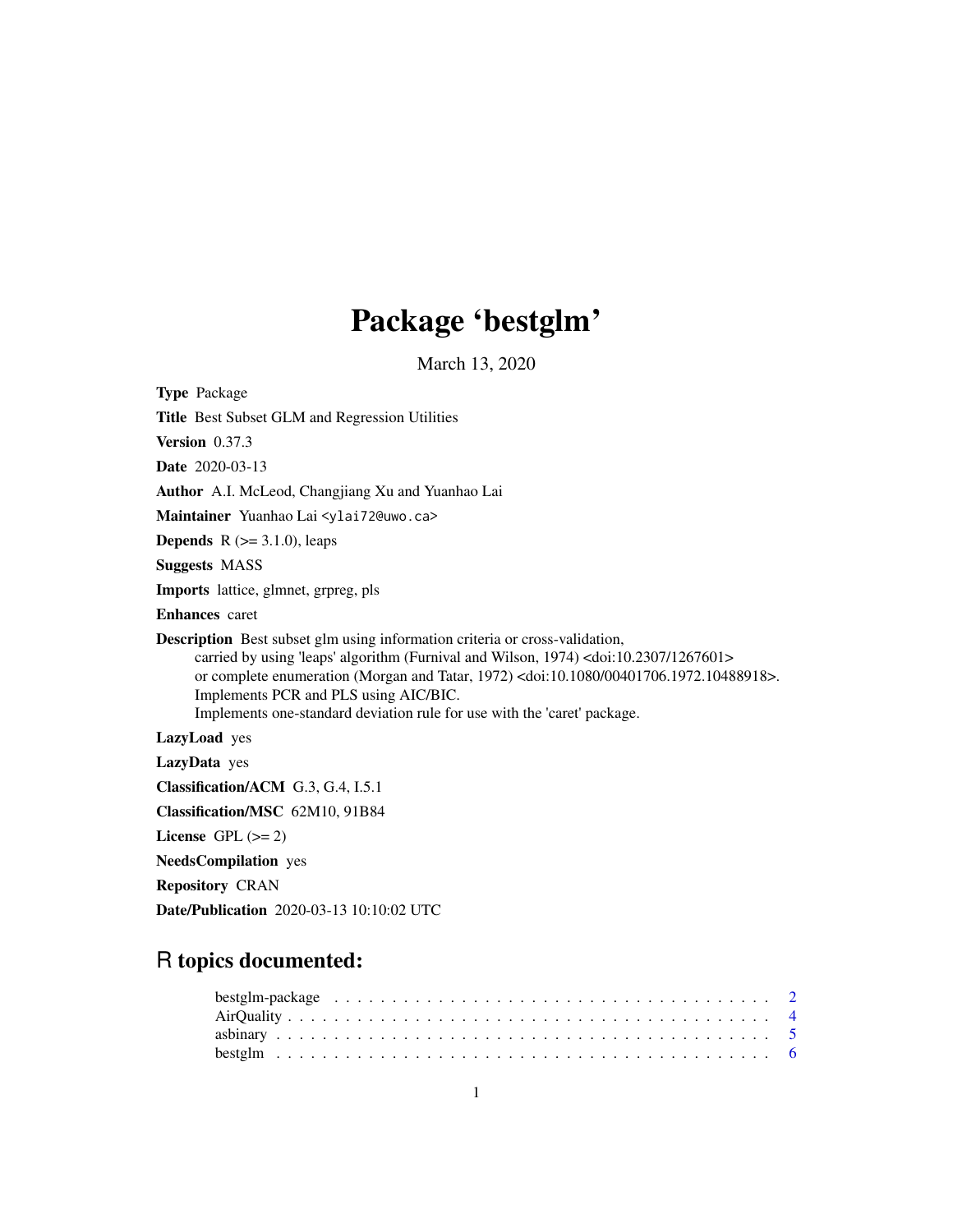# Package 'bestglm'

March 13, 2020

<span id="page-0-0"></span>

| <b>Type Package</b>                                                                                                                                                                                                                                                                                                                                                                                                            |
|--------------------------------------------------------------------------------------------------------------------------------------------------------------------------------------------------------------------------------------------------------------------------------------------------------------------------------------------------------------------------------------------------------------------------------|
| Title Best Subset GLM and Regression Utilities                                                                                                                                                                                                                                                                                                                                                                                 |
| Version $0.37.3$                                                                                                                                                                                                                                                                                                                                                                                                               |
| <b>Date</b> 2020-03-13                                                                                                                                                                                                                                                                                                                                                                                                         |
| Author A.I. McLeod, Changjiang Xu and Yuanhao Lai                                                                                                                                                                                                                                                                                                                                                                              |
| Maintainer Yuanhao Lai <ylai72@uwo.ca></ylai72@uwo.ca>                                                                                                                                                                                                                                                                                                                                                                         |
| <b>Depends</b> $R (=3.1.0)$ , leaps                                                                                                                                                                                                                                                                                                                                                                                            |
| <b>Suggests MASS</b>                                                                                                                                                                                                                                                                                                                                                                                                           |
| <b>Imports</b> lattice, glmnet, grpreg, pls                                                                                                                                                                                                                                                                                                                                                                                    |
| <b>Enhances</b> caret                                                                                                                                                                                                                                                                                                                                                                                                          |
| <b>Description</b> Best subset glm using information criteria or cross-validation,<br>carried by using 'leaps' algorithm (Furnival and Wilson, 1974) <doi:10.2307 1267601=""><br/>or complete enumeration (Morgan and Tatar, 1972) <doi:10.1080 00401706.1972.10488918="">.<br/>Implements PCR and PLS using AIC/BIC.<br/>Implements one-standard deviation rule for use with the 'caret' package.</doi:10.1080></doi:10.2307> |
| LazyLoad yes                                                                                                                                                                                                                                                                                                                                                                                                                   |
| LazyData yes                                                                                                                                                                                                                                                                                                                                                                                                                   |
| Classification/ACM G.3, G.4, I.5.1                                                                                                                                                                                                                                                                                                                                                                                             |
| Classification/MSC 62M10, 91B84                                                                                                                                                                                                                                                                                                                                                                                                |
| License GPL $(>= 2)$                                                                                                                                                                                                                                                                                                                                                                                                           |
| <b>NeedsCompilation</b> yes                                                                                                                                                                                                                                                                                                                                                                                                    |
| <b>Repository CRAN</b>                                                                                                                                                                                                                                                                                                                                                                                                         |
| Date/Publication 2020-03-13 10:10:02 UTC                                                                                                                                                                                                                                                                                                                                                                                       |

# R topics documented: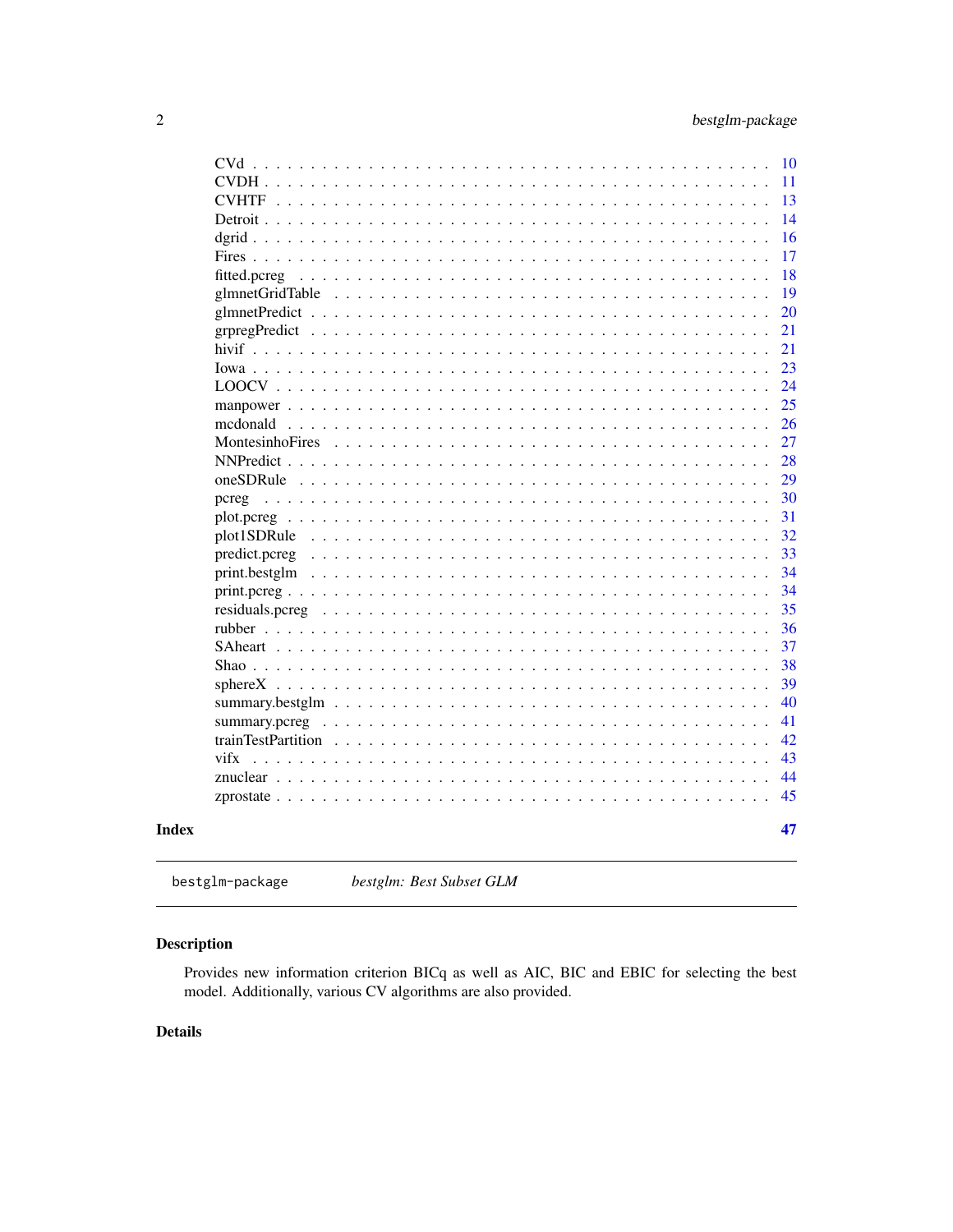<span id="page-1-0"></span>

| CVd                                                                                                       | 10 |
|-----------------------------------------------------------------------------------------------------------|----|
|                                                                                                           | 11 |
|                                                                                                           | 13 |
|                                                                                                           | 14 |
|                                                                                                           | 16 |
|                                                                                                           | 17 |
| fitted.pcreg                                                                                              | 18 |
|                                                                                                           | 19 |
|                                                                                                           | 20 |
|                                                                                                           | 21 |
|                                                                                                           | 21 |
|                                                                                                           | 23 |
|                                                                                                           | 24 |
|                                                                                                           | 25 |
| mcdonald                                                                                                  | 26 |
| MontesinhoFires                                                                                           | 27 |
|                                                                                                           | 28 |
| oneSDRule                                                                                                 | 29 |
| pcreg                                                                                                     | 30 |
| plot.pcreg                                                                                                | 31 |
| plot1SDRule                                                                                               | 32 |
| $predict.pcreg \dots \dots \dots \dots \dots \dots \dots \dots \dots \dots \dots \dots \dots \dots \dots$ | 33 |
|                                                                                                           | 34 |
|                                                                                                           | 34 |
| residuals.pcreg                                                                                           | 35 |
|                                                                                                           | 36 |
|                                                                                                           | 37 |
|                                                                                                           | 38 |
|                                                                                                           | 39 |
|                                                                                                           | 40 |
|                                                                                                           | 41 |
|                                                                                                           | 42 |
| vifx                                                                                                      | 43 |
|                                                                                                           | 44 |
|                                                                                                           | 45 |
|                                                                                                           | 47 |
|                                                                                                           |    |
|                                                                                                           |    |

bestglm-package bestglm: Best Subset GLM

# **Description**

**Index** 

Provides new information criterion BICq as well as AIC, BIC and EBIC for selecting the best model. Additionally, various CV algorithms are also provided.

# **Details**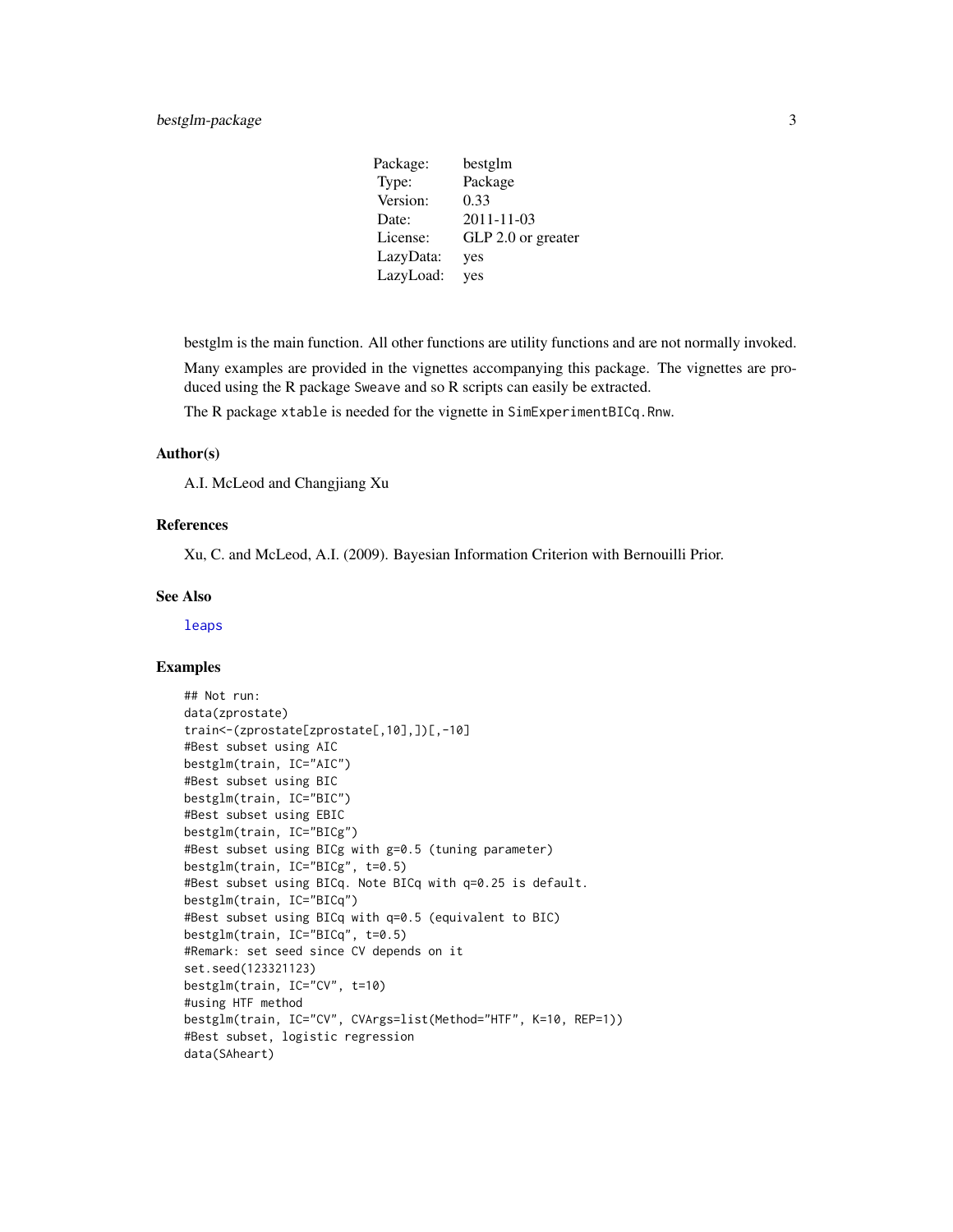<span id="page-2-0"></span>Package: bestglm Type: Package Version: 0.33 Date: 2011-11-03 License: GLP 2.0 or greater LazyData: yes LazyLoad: yes

bestglm is the main function. All other functions are utility functions and are not normally invoked.

Many examples are provided in the vignettes accompanying this package. The vignettes are produced using the R package Sweave and so R scripts can easily be extracted.

The R package xtable is needed for the vignette in SimExperimentBICq.Rnw.

#### Author(s)

A.I. McLeod and Changjiang Xu

#### References

Xu, C. and McLeod, A.I. (2009). Bayesian Information Criterion with Bernouilli Prior.

#### See Also

[leaps](#page-0-0)

```
## Not run:
data(zprostate)
train<-(zprostate[zprostate[,10],])[,-10]
#Best subset using AIC
bestglm(train, IC="AIC")
#Best subset using BIC
bestglm(train, IC="BIC")
#Best subset using EBIC
bestglm(train, IC="BICg")
#Best subset using BICg with g=0.5 (tuning parameter)
bestglm(train, IC="BICg", t=0.5)
#Best subset using BICq. Note BICq with q=0.25 is default.
bestglm(train, IC="BICq")
#Best subset using BICq with q=0.5 (equivalent to BIC)
bestglm(train, IC="BICq", t=0.5)
#Remark: set seed since CV depends on it
set.seed(123321123)
bestglm(train, IC="CV", t=10)
#using HTF method
bestglm(train, IC="CV", CVArgs=list(Method="HTF", K=10, REP=1))
#Best subset, logistic regression
data(SAheart)
```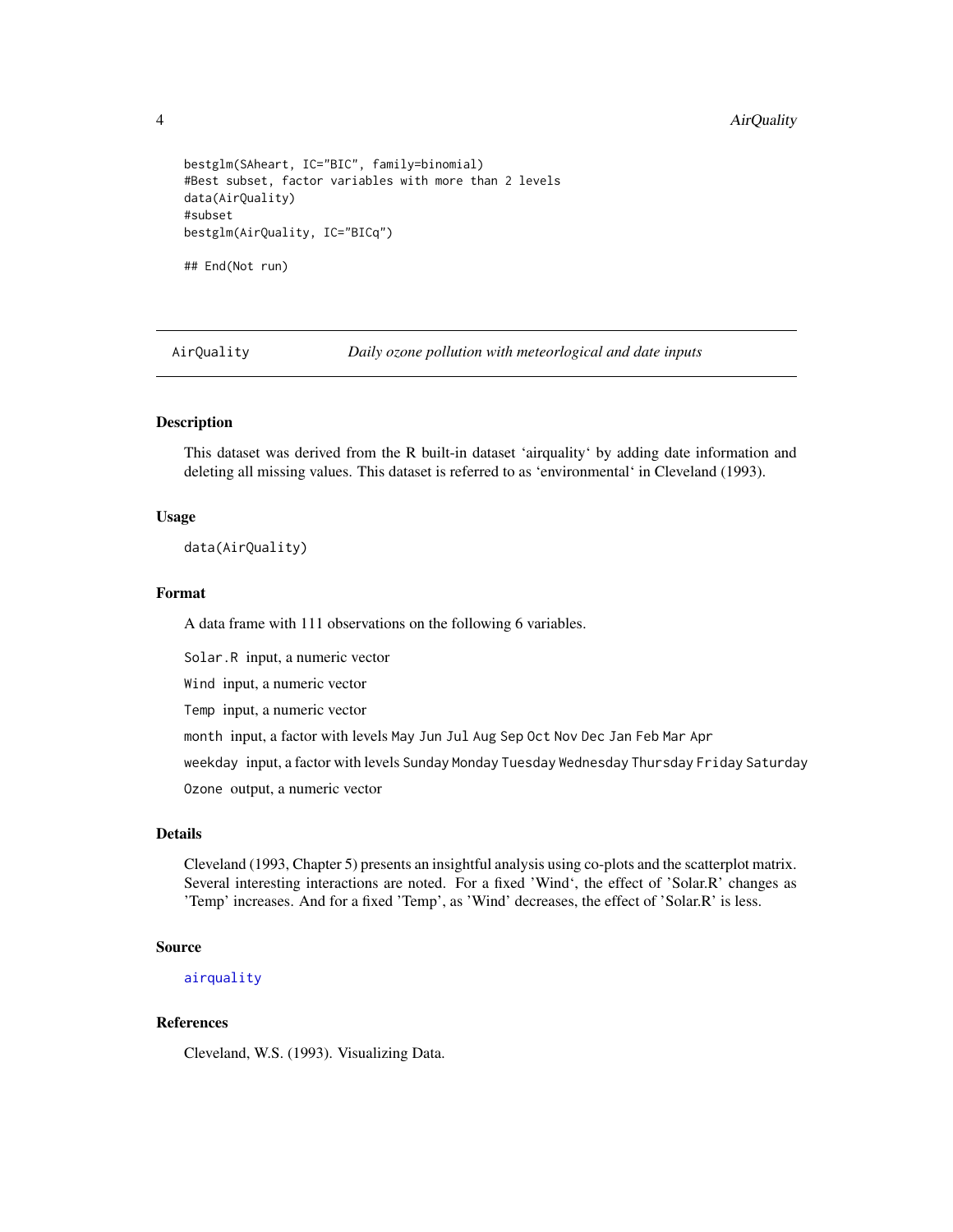```
bestglm(SAheart, IC="BIC", family=binomial)
#Best subset, factor variables with more than 2 levels
data(AirQuality)
#subset
bestglm(AirQuality, IC="BICq")
## End(Not run)
```
AirQuality *Daily ozone pollution with meteorlogical and date inputs*

#### Description

This dataset was derived from the R built-in dataset 'airquality' by adding date information and deleting all missing values. This dataset is referred to as 'environmental' in Cleveland (1993).

#### Usage

data(AirQuality)

#### Format

A data frame with 111 observations on the following 6 variables.

Solar.R input, a numeric vector

Wind input, a numeric vector

Temp input, a numeric vector

month input, a factor with levels May Jun Jul Aug Sep Oct Nov Dec Jan Feb Mar Apr

weekday input, a factor with levels Sunday Monday Tuesday Wednesday Thursday Friday Saturday

Ozone output, a numeric vector

#### Details

Cleveland (1993, Chapter 5) presents an insightful analysis using co-plots and the scatterplot matrix. Several interesting interactions are noted. For a fixed 'Wind', the effect of 'Solar.R' changes as 'Temp' increases. And for a fixed 'Temp', as 'Wind' decreases, the effect of 'Solar.R' is less.

#### Source

[airquality](#page-0-0)

#### References

Cleveland, W.S. (1993). Visualizing Data.

<span id="page-3-0"></span>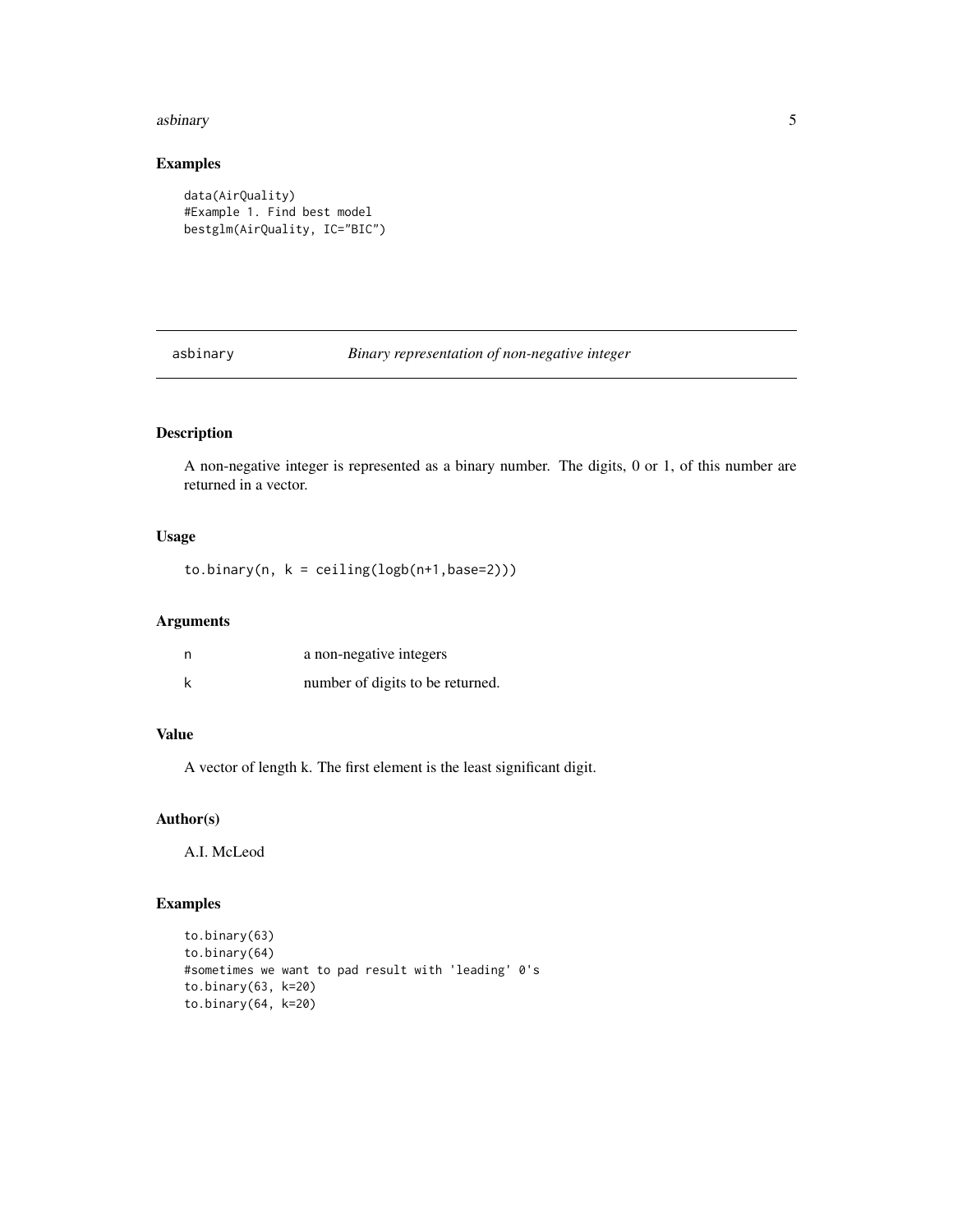#### <span id="page-4-0"></span>asbinary 5

# Examples

```
data(AirQuality)
#Example 1. Find best model
bestglm(AirQuality, IC="BIC")
```
asbinary *Binary representation of non-negative integer*

# Description

A non-negative integer is represented as a binary number. The digits, 0 or 1, of this number are returned in a vector.

# Usage

 $to.binary(n, k = ceiling(logb(n+1,base=2)))$ 

# Arguments

| a non-negative integers          |
|----------------------------------|
| number of digits to be returned. |

# Value

A vector of length k. The first element is the least significant digit.

# Author(s)

A.I. McLeod

```
to.binary(63)
to.binary(64)
#sometimes we want to pad result with 'leading' 0's
to.binary(63, k=20)
to.binary(64, k=20)
```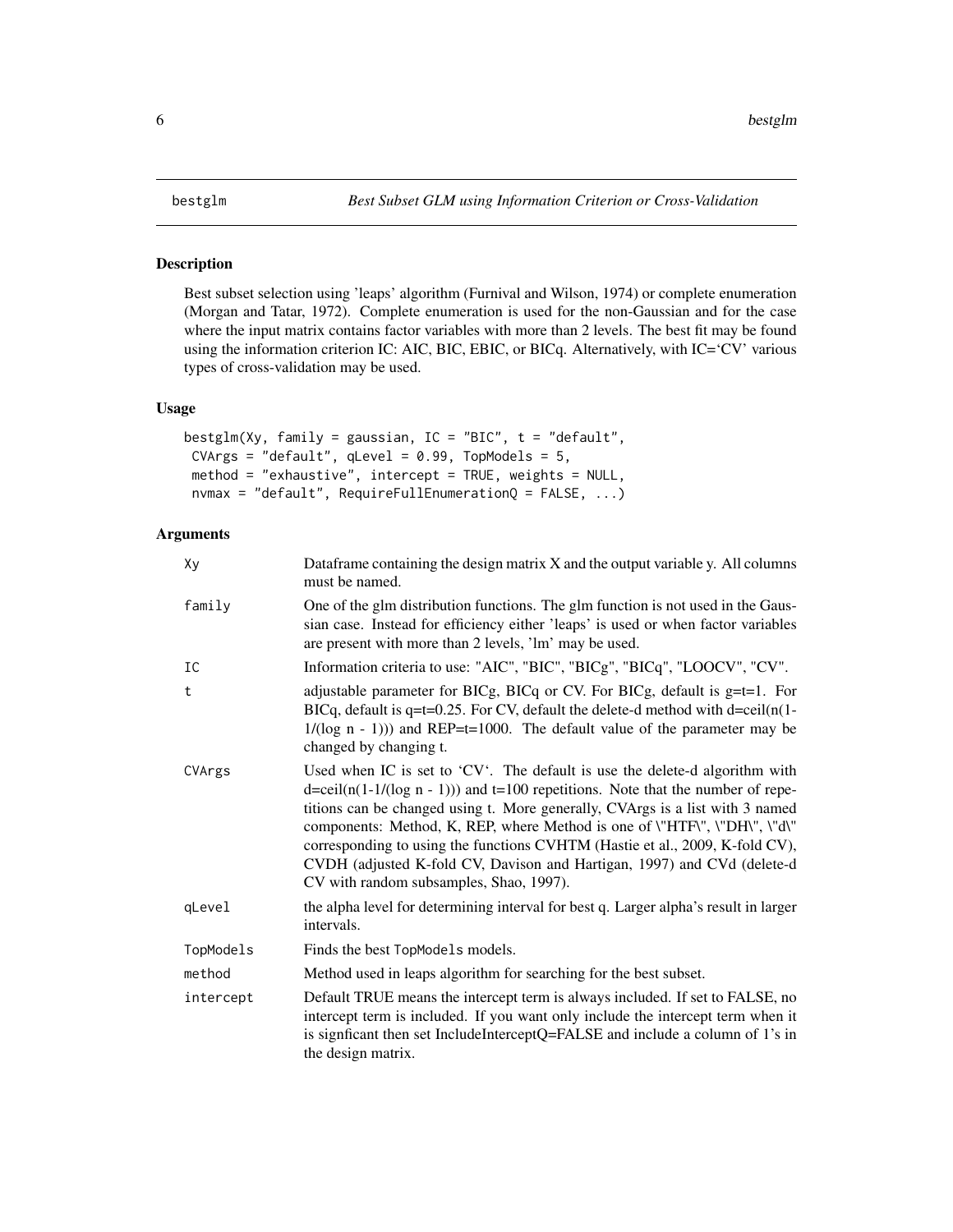<span id="page-5-1"></span><span id="page-5-0"></span>Best subset selection using 'leaps' algorithm (Furnival and Wilson, 1974) or complete enumeration (Morgan and Tatar, 1972). Complete enumeration is used for the non-Gaussian and for the case where the input matrix contains factor variables with more than 2 levels. The best fit may be found using the information criterion IC: AIC, BIC, EBIC, or BICq. Alternatively, with IC='CV' various types of cross-validation may be used.

# Usage

```
bestglm(Xy, family = gaussian, IC = "BIC", t = "default",CVArgs = "default", qLevel = 0.99, TopModels = 5,
method = "exhaustive", intercept = TRUE, weights = NULL,
nvmax = "default", RequireFullEnumerationQ = FALSE, ...)
```
#### Arguments

| Dataframe containing the design matrix X and the output variable y. All columns<br>must be named.                                                                                                                                                                                                                                                                                                                                                                                                                                                  |
|----------------------------------------------------------------------------------------------------------------------------------------------------------------------------------------------------------------------------------------------------------------------------------------------------------------------------------------------------------------------------------------------------------------------------------------------------------------------------------------------------------------------------------------------------|
| One of the glm distribution functions. The glm function is not used in the Gaus-<br>sian case. Instead for efficiency either 'leaps' is used or when factor variables<br>are present with more than 2 levels, 'lm' may be used.                                                                                                                                                                                                                                                                                                                    |
| Information criteria to use: "AIC", "BIC", "BICg", "BICq", "LOOCV", "CV".                                                                                                                                                                                                                                                                                                                                                                                                                                                                          |
| adjustable parameter for BICg, BICq or CV. For BICg, default is $g=t=1$ . For<br>BICq, default is $q=t=0.25$ . For CV, default the delete-d method with $d=ceil(n(1-t))$<br>$1/(log n - 1))$ and REP=t=1000. The default value of the parameter may be<br>changed by changing t.                                                                                                                                                                                                                                                                   |
| Used when IC is set to 'CV'. The default is use the delete-d algorithm with<br>$d = \text{ceil}(n(1-1/(\log n - 1)))$ and $t = 100$ repetitions. Note that the number of repe-<br>titions can be changed using t. More generally, CVArgs is a list with 3 named<br>components: Method, K, REP, where Method is one of \"HTF\", \"DH\", \"d\"<br>corresponding to using the functions CVHTM (Hastie et al., 2009, K-fold CV),<br>CVDH (adjusted K-fold CV, Davison and Hartigan, 1997) and CVd (delete-d<br>CV with random subsamples, Shao, 1997). |
| the alpha level for determining interval for best q. Larger alpha's result in larger<br>intervals.                                                                                                                                                                                                                                                                                                                                                                                                                                                 |
| Finds the best TopModels models.                                                                                                                                                                                                                                                                                                                                                                                                                                                                                                                   |
| Method used in leaps algorithm for searching for the best subset.                                                                                                                                                                                                                                                                                                                                                                                                                                                                                  |
| Default TRUE means the intercept term is always included. If set to FALSE, no<br>intercept term is included. If you want only include the intercept term when it<br>is signficant then set IncludeInterceptQ=FALSE and include a column of 1's in<br>the design matrix.                                                                                                                                                                                                                                                                            |
|                                                                                                                                                                                                                                                                                                                                                                                                                                                                                                                                                    |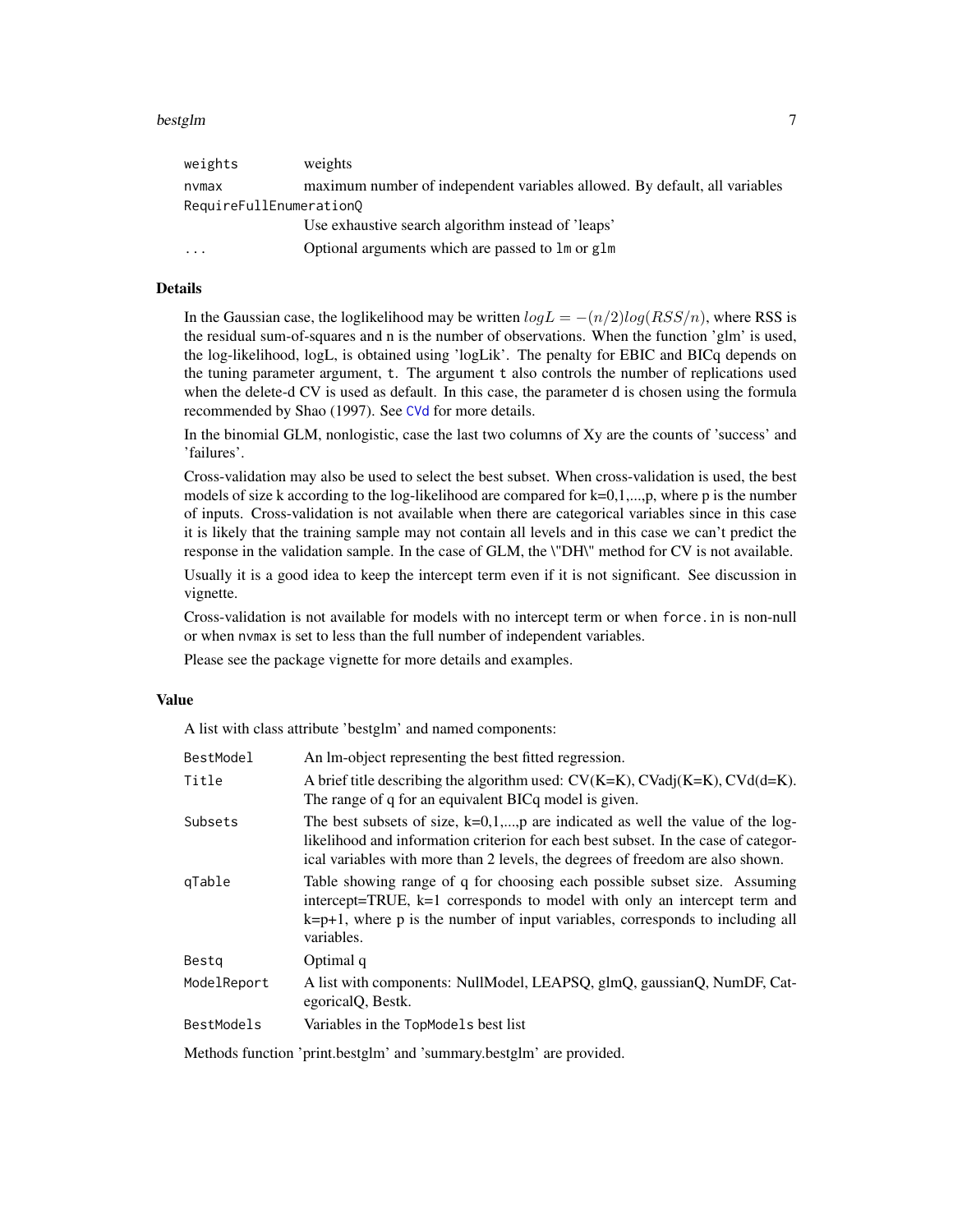#### <span id="page-6-0"></span>bestglm 7

| weights                 | weights                                                                    |
|-------------------------|----------------------------------------------------------------------------|
| nvmax                   | maximum number of independent variables allowed. By default, all variables |
| RequireFullEnumeration0 |                                                                            |
|                         | Use exhaustive search algorithm instead of 'leaps'                         |
| $\cdots$                | Optional arguments which are passed to 1 m or g1 m                         |

# Details

In the Gaussian case, the loglikelihood may be written  $logL = -(n/2)log(RSS/n)$ , where RSS is the residual sum-of-squares and n is the number of observations. When the function 'glm' is used, the log-likelihood, logL, is obtained using 'logLik'. The penalty for EBIC and BICq depends on the tuning parameter argument, t. The argument t also controls the number of replications used when the delete-d CV is used as default. In this case, the parameter d is chosen using the formula recommended by Shao (1997). See [CVd](#page-9-1) for more details.

In the binomial GLM, nonlogistic, case the last two columns of Xy are the counts of 'success' and 'failures'.

Cross-validation may also be used to select the best subset. When cross-validation is used, the best models of size k according to the log-likelihood are compared for  $k=0,1,...,p$ , where p is the number of inputs. Cross-validation is not available when there are categorical variables since in this case it is likely that the training sample may not contain all levels and in this case we can't predict the response in the validation sample. In the case of GLM, the \"DH\" method for CV is not available.

Usually it is a good idea to keep the intercept term even if it is not significant. See discussion in vignette.

Cross-validation is not available for models with no intercept term or when force.in is non-null or when nvmax is set to less than the full number of independent variables.

Please see the package vignette for more details and examples.

#### Value

A list with class attribute 'bestglm' and named components:

| BestModel         | An Im-object representing the best fitted regression.                                                                                                                                                                                                    |
|-------------------|----------------------------------------------------------------------------------------------------------------------------------------------------------------------------------------------------------------------------------------------------------|
| Title             | A brief title describing the algorithm used: $CV(K=K)$ , $CVadj(K=K)$ , $CVd(d=K)$ .<br>The range of q for an equivalent BICq model is given.                                                                                                            |
| Subsets           | The best subsets of size, $k=0,1,,p$ are indicated as well the value of the log-<br>likelihood and information criterion for each best subset. In the case of categor-<br>ical variables with more than 2 levels, the degrees of freedom are also shown. |
| gTable            | Table showing range of q for choosing each possible subset size. Assuming<br>intercept=TRUE, k=1 corresponds to model with only an intercept term and<br>$k=p+1$ , where p is the number of input variables, corresponds to including all<br>variables.  |
| Bestg             | Optimal q                                                                                                                                                                                                                                                |
| ModelReport       | A list with components: NullModel, LEAPSQ, glmQ, gaussianQ, NumDF, Cat-<br>egoricalQ, Bestk.                                                                                                                                                             |
| <b>BestModels</b> | Variables in the TopModels best list                                                                                                                                                                                                                     |
|                   |                                                                                                                                                                                                                                                          |

Methods function 'print.bestglm' and 'summary.bestglm' are provided.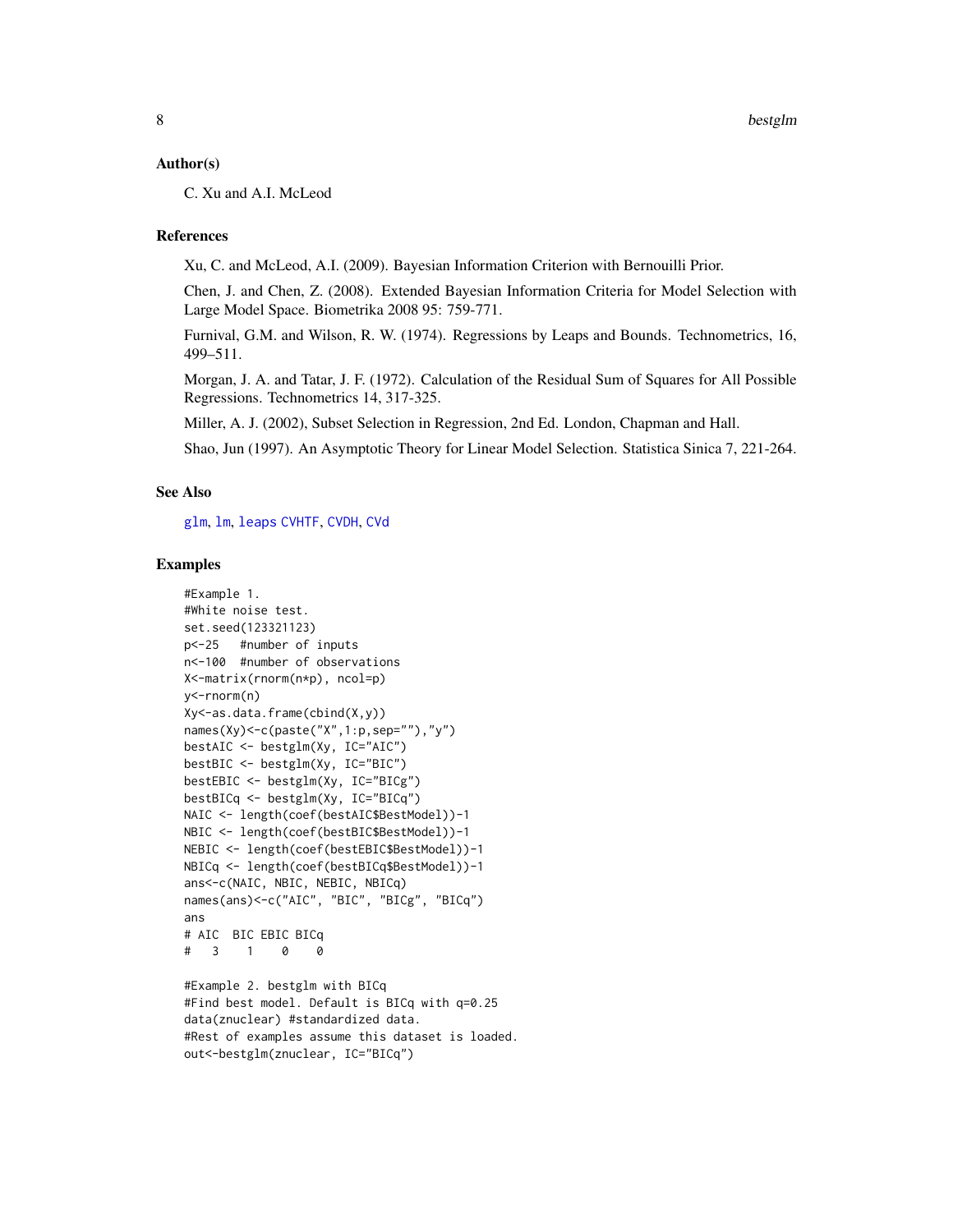#### <span id="page-7-0"></span>Author(s)

C. Xu and A.I. McLeod

#### References

Xu, C. and McLeod, A.I. (2009). Bayesian Information Criterion with Bernouilli Prior.

Chen, J. and Chen, Z. (2008). Extended Bayesian Information Criteria for Model Selection with Large Model Space. Biometrika 2008 95: 759-771.

Furnival, G.M. and Wilson, R. W. (1974). Regressions by Leaps and Bounds. Technometrics, 16, 499–511.

Morgan, J. A. and Tatar, J. F. (1972). Calculation of the Residual Sum of Squares for All Possible Regressions. Technometrics 14, 317-325.

Miller, A. J. (2002), Subset Selection in Regression, 2nd Ed. London, Chapman and Hall.

Shao, Jun (1997). An Asymptotic Theory for Linear Model Selection. Statistica Sinica 7, 221-264.

#### See Also

[glm](#page-0-0), [lm](#page-0-0), [leaps](#page-0-0) [CVHTF](#page-12-1), [CVDH](#page-10-1), [CVd](#page-9-1)

```
#Example 1.
#White noise test.
set.seed(123321123)
p<-25 #number of inputs
n<-100 #number of observations
X<-matrix(rnorm(n*p), ncol=p)
y<-rnorm(n)
Xy<-as.data.frame(cbind(X,y))
names(Xy)<-c(paste("X",1:p,sep=""),"y")
bestAIC <- bestglm(Xy, IC="AIC")
bestBIC <- bestglm(Xy, IC="BIC")
bestEBIC <- bestglm(Xy, IC="BICg")
bestBICq <- bestglm(Xy, IC="BICq")
NAIC <- length(coef(bestAIC$BestModel))-1
NBIC <- length(coef(bestBIC$BestModel))-1
NEBIC <- length(coef(bestEBIC$BestModel))-1
NBICq <- length(coef(bestBICq$BestModel))-1
ans<-c(NAIC, NBIC, NEBIC, NBICq)
names(ans)<-c("AIC", "BIC", "BICg", "BICq")
ans
# AIC BIC EBIC BICq
# 3 1 0 0
```

```
#Example 2. bestglm with BICq
#Find best model. Default is BICq with q=0.25
data(znuclear) #standardized data.
#Rest of examples assume this dataset is loaded.
out<-bestglm(znuclear, IC="BICq")
```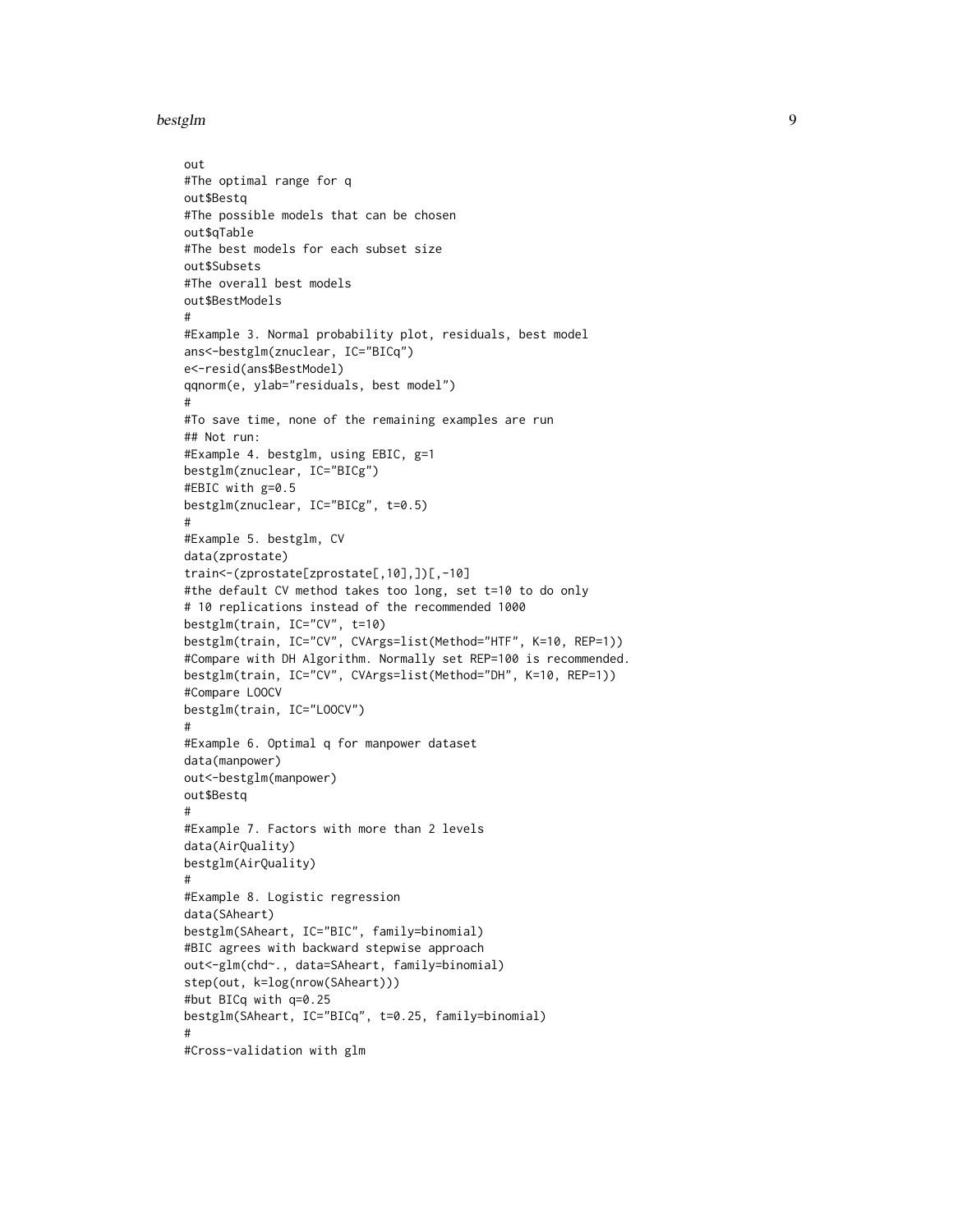```
bestglm 9
```

```
out
#The optimal range for q
out$Bestq
#The possible models that can be chosen
out$qTable
#The best models for each subset size
out$Subsets
#The overall best models
out$BestModels
#
#Example 3. Normal probability plot, residuals, best model
ans<-bestglm(znuclear, IC="BICq")
e<-resid(ans$BestModel)
qqnorm(e, ylab="residuals, best model")
#
#To save time, none of the remaining examples are run
## Not run:
#Example 4. bestglm, using EBIC, g=1
bestglm(znuclear, IC="BICg")
#EBIC with g=0.5
bestglm(znuclear, IC="BICg", t=0.5)
#
#Example 5. bestglm, CV
data(zprostate)
train<-(zprostate[zprostate[,10],])[,-10]
#the default CV method takes too long, set t=10 to do only
# 10 replications instead of the recommended 1000
bestglm(train, IC="CV", t=10)
bestglm(train, IC="CV", CVArgs=list(Method="HTF", K=10, REP=1))
#Compare with DH Algorithm. Normally set REP=100 is recommended.
bestglm(train, IC="CV", CVArgs=list(Method="DH", K=10, REP=1))
#Compare LOOCV
bestglm(train, IC="LOOCV")
#
#Example 6. Optimal q for manpower dataset
data(manpower)
out<-bestglm(manpower)
out$Bestq
#
#Example 7. Factors with more than 2 levels
data(AirQuality)
bestglm(AirQuality)
#
#Example 8. Logistic regression
data(SAheart)
bestglm(SAheart, IC="BIC", family=binomial)
#BIC agrees with backward stepwise approach
out<-glm(chd~., data=SAheart, family=binomial)
step(out, k=log(nrow(SAheart)))
#but BICq with q=0.25
bestglm(SAheart, IC="BICq", t=0.25, family=binomial)
#
#Cross-validation with glm
```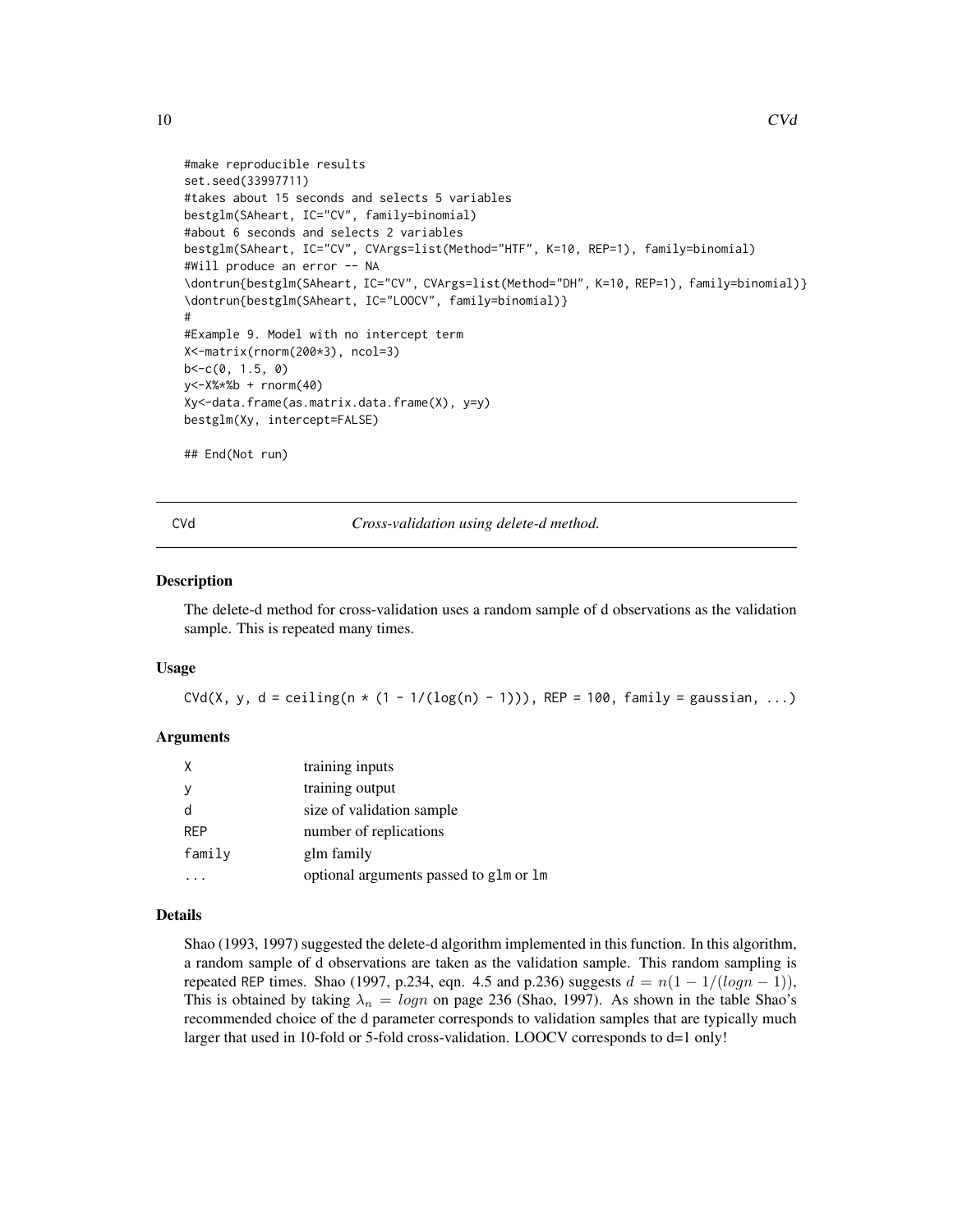```
#make reproducible results
set.seed(33997711)
#takes about 15 seconds and selects 5 variables
bestglm(SAheart, IC="CV", family=binomial)
#about 6 seconds and selects 2 variables
bestglm(SAheart, IC="CV", CVArgs=list(Method="HTF", K=10, REP=1), family=binomial)
#Will produce an error -- NA
\dontrun{bestglm(SAheart, IC="CV", CVArgs=list(Method="DH", K=10, REP=1), family=binomial)}
\dontrun{bestglm(SAheart, IC="LOOCV", family=binomial)}
#
#Example 9. Model with no intercept term
X<-matrix(rnorm(200*3), ncol=3)
b < -c(0, 1.5, 0)y<-X%*%b + rnorm(40)
Xy<-data.frame(as.matrix.data.frame(X), y=y)
bestglm(Xy, intercept=FALSE)
## End(Not run)
```
CVd *Cross-validation using delete-d method.*

#### Description

The delete-d method for cross-validation uses a random sample of d observations as the validation sample. This is repeated many times.

#### Usage

CVd(X, y, d = ceiling(n  $*$  (1 - 1/(log(n) - 1))), REP = 100, family = gaussian, ...)

#### **Arguments**

| Χ          | training inputs                        |
|------------|----------------------------------------|
|            | training output                        |
|            | size of validation sample              |
| <b>REP</b> | number of replications                 |
| family     | glm family                             |
|            | optional arguments passed to glm or lm |
|            |                                        |

#### Details

Shao (1993, 1997) suggested the delete-d algorithm implemented in this function. In this algorithm, a random sample of d observations are taken as the validation sample. This random sampling is repeated REP times. Shao (1997, p.234, eqn. 4.5 and p.236) suggests  $d = n(1 - 1/(log n - 1))$ , This is obtained by taking  $\lambda_n = logn$  on page 236 (Shao, 1997). As shown in the table Shao's recommended choice of the d parameter corresponds to validation samples that are typically much larger that used in 10-fold or 5-fold cross-validation. LOOCV corresponds to d=1 only!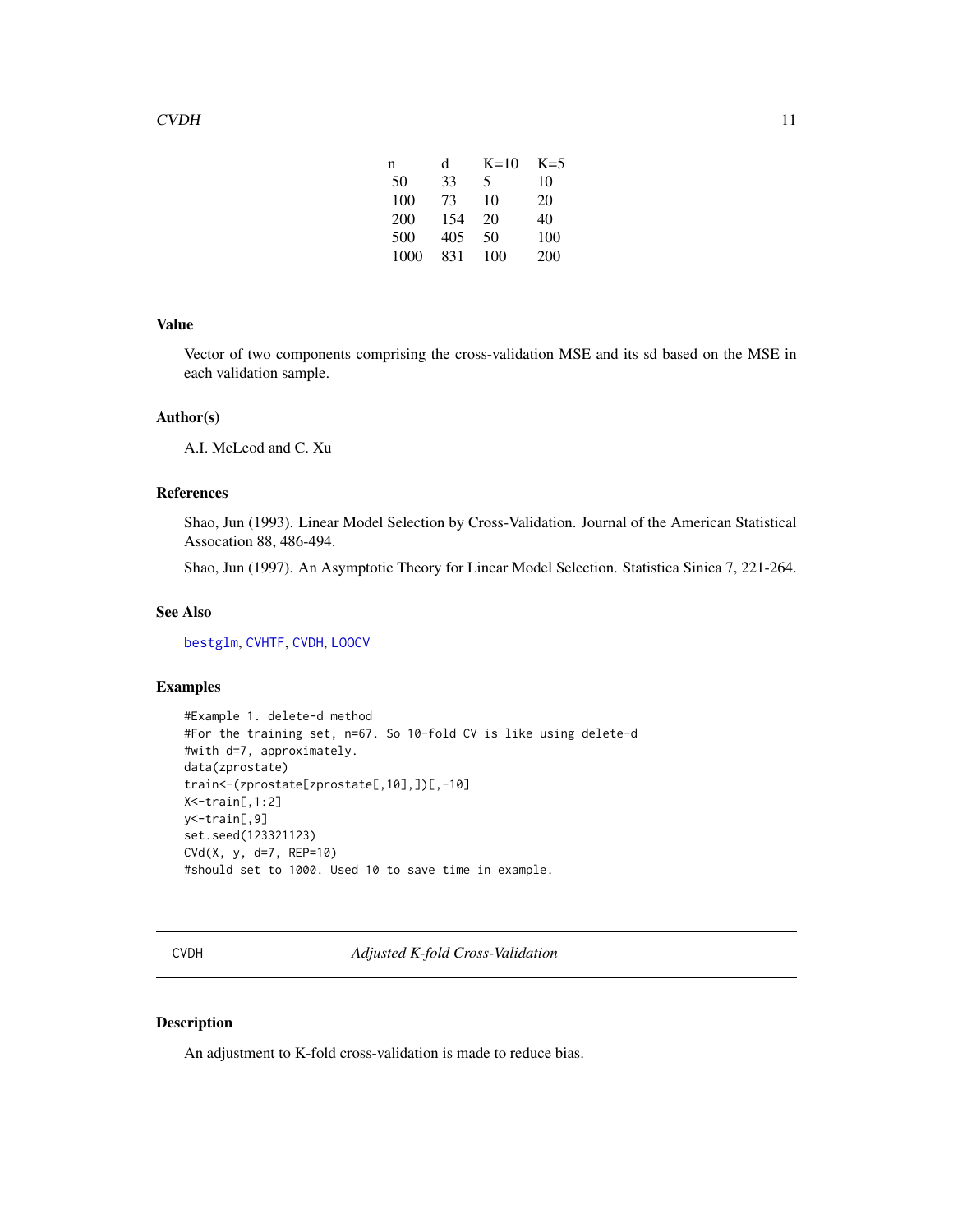| n    | d   | $K=10$ | $K=5$ |
|------|-----|--------|-------|
| 50   | 33  | 5      | 10    |
| 100  | 73  | 10     | 20    |
| 200  | 154 | 20     | 40    |
| 500  | 405 | 50     | 100   |
| 1000 | 831 | 100    | 200   |

#### <span id="page-10-0"></span>Value

Vector of two components comprising the cross-validation MSE and its sd based on the MSE in each validation sample.

#### Author(s)

A.I. McLeod and C. Xu

#### References

Shao, Jun (1993). Linear Model Selection by Cross-Validation. Journal of the American Statistical Assocation 88, 486-494.

Shao, Jun (1997). An Asymptotic Theory for Linear Model Selection. Statistica Sinica 7, 221-264.

#### See Also

[bestglm](#page-5-1), [CVHTF](#page-12-1), [CVDH](#page-10-1), [LOOCV](#page-23-1)

# Examples

```
#Example 1. delete-d method
#For the training set, n=67. So 10-fold CV is like using delete-d
#with d=7, approximately.
data(zprostate)
train<-(zprostate[zprostate[,10],])[,-10]
X<-train[,1:2]
y<-train[,9]
set.seed(123321123)
CVd(X, y, d=7, REP=10)
#should set to 1000. Used 10 to save time in example.
```
<span id="page-10-1"></span>CVDH *Adjusted K-fold Cross-Validation*

#### Description

An adjustment to K-fold cross-validation is made to reduce bias.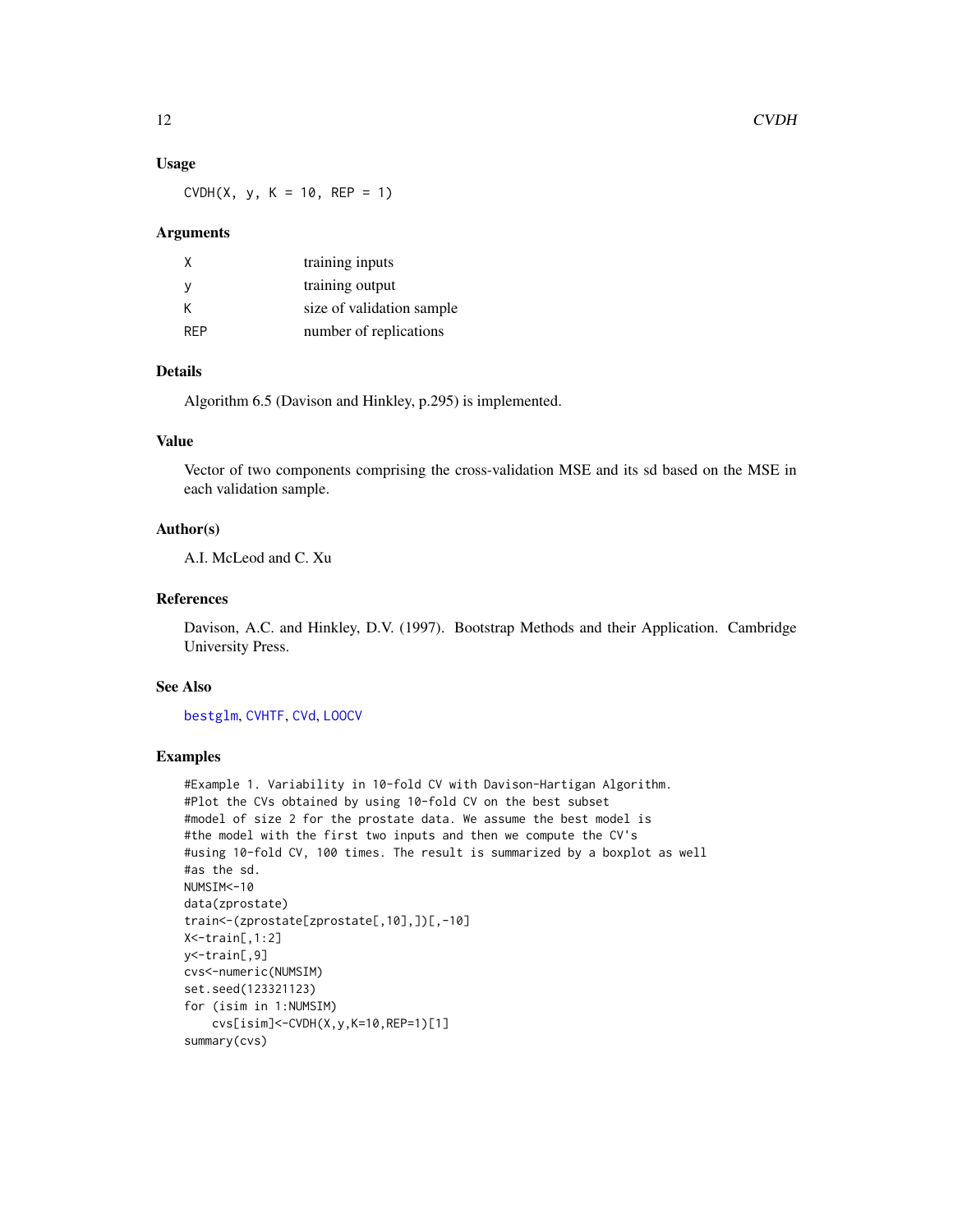#### Usage

 $CVDH(X, y, K = 10, REP = 1)$ 

#### Arguments

| X          | training inputs           |
|------------|---------------------------|
| <b>V</b>   | training output           |
| К          | size of validation sample |
| <b>RFP</b> | number of replications    |

# Details

Algorithm 6.5 (Davison and Hinkley, p.295) is implemented.

# Value

Vector of two components comprising the cross-validation MSE and its sd based on the MSE in each validation sample.

### Author(s)

A.I. McLeod and C. Xu

# References

Davison, A.C. and Hinkley, D.V. (1997). Bootstrap Methods and their Application. Cambridge University Press.

# See Also

[bestglm](#page-5-1), [CVHTF](#page-12-1), [CVd](#page-9-1), [LOOCV](#page-23-1)

```
#Example 1. Variability in 10-fold CV with Davison-Hartigan Algorithm.
#Plot the CVs obtained by using 10-fold CV on the best subset
#model of size 2 for the prostate data. We assume the best model is
#the model with the first two inputs and then we compute the CV's
#using 10-fold CV, 100 times. The result is summarized by a boxplot as well
#as the sd.
NUMSIM<-10
data(zprostate)
train<-(zprostate[zprostate[,10],])[,-10]
X<-train[,1:2]
y<-train[,9]
cvs<-numeric(NUMSIM)
set.seed(123321123)
for (isim in 1:NUMSIM)
    cvs[isim]<-CVDH(X,y,K=10,REP=1)[1]
summary(cvs)
```
<span id="page-11-0"></span>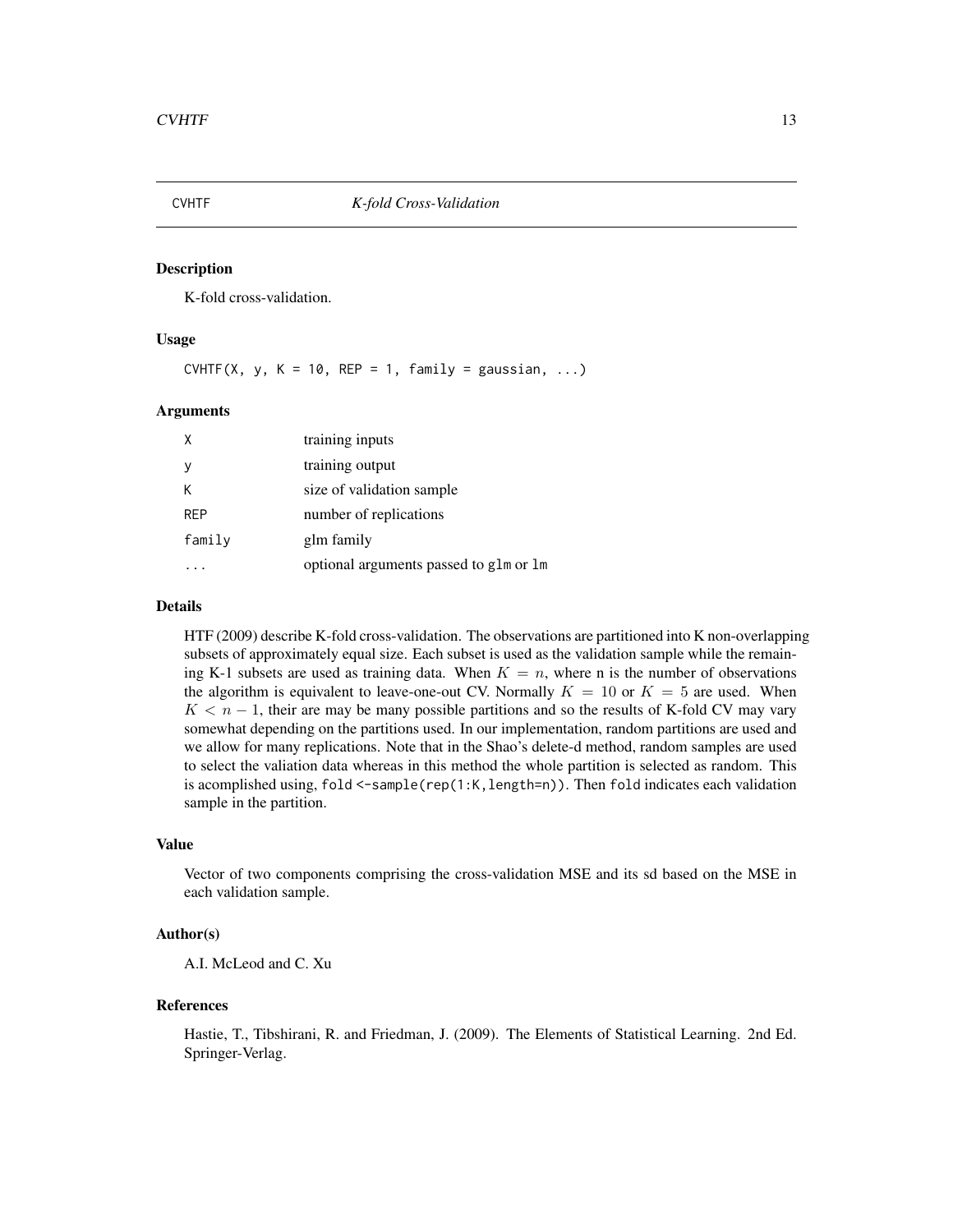<span id="page-12-1"></span><span id="page-12-0"></span>

K-fold cross-validation.

#### Usage

CVHTF(X, y, K = 10, REP = 1, family = gaussian, ...)

#### Arguments

| X          | training inputs                        |
|------------|----------------------------------------|
|            | training output                        |
| К          | size of validation sample              |
| <b>RFP</b> | number of replications                 |
| family     | glm family                             |
|            | optional arguments passed to glm or lm |

#### Details

HTF (2009) describe K-fold cross-validation. The observations are partitioned into K non-overlapping subsets of approximately equal size. Each subset is used as the validation sample while the remaining K-1 subsets are used as training data. When  $K = n$ , where n is the number of observations the algorithm is equivalent to leave-one-out CV. Normally  $K = 10$  or  $K = 5$  are used. When  $K < n - 1$ , their are may be many possible partitions and so the results of K-fold CV may vary somewhat depending on the partitions used. In our implementation, random partitions are used and we allow for many replications. Note that in the Shao's delete-d method, random samples are used to select the valiation data whereas in this method the whole partition is selected as random. This is acomplished using, fold <-sample(rep(1:K,length=n)). Then fold indicates each validation sample in the partition.

#### Value

Vector of two components comprising the cross-validation MSE and its sd based on the MSE in each validation sample.

## Author(s)

A.I. McLeod and C. Xu

#### References

Hastie, T., Tibshirani, R. and Friedman, J. (2009). The Elements of Statistical Learning. 2nd Ed. Springer-Verlag.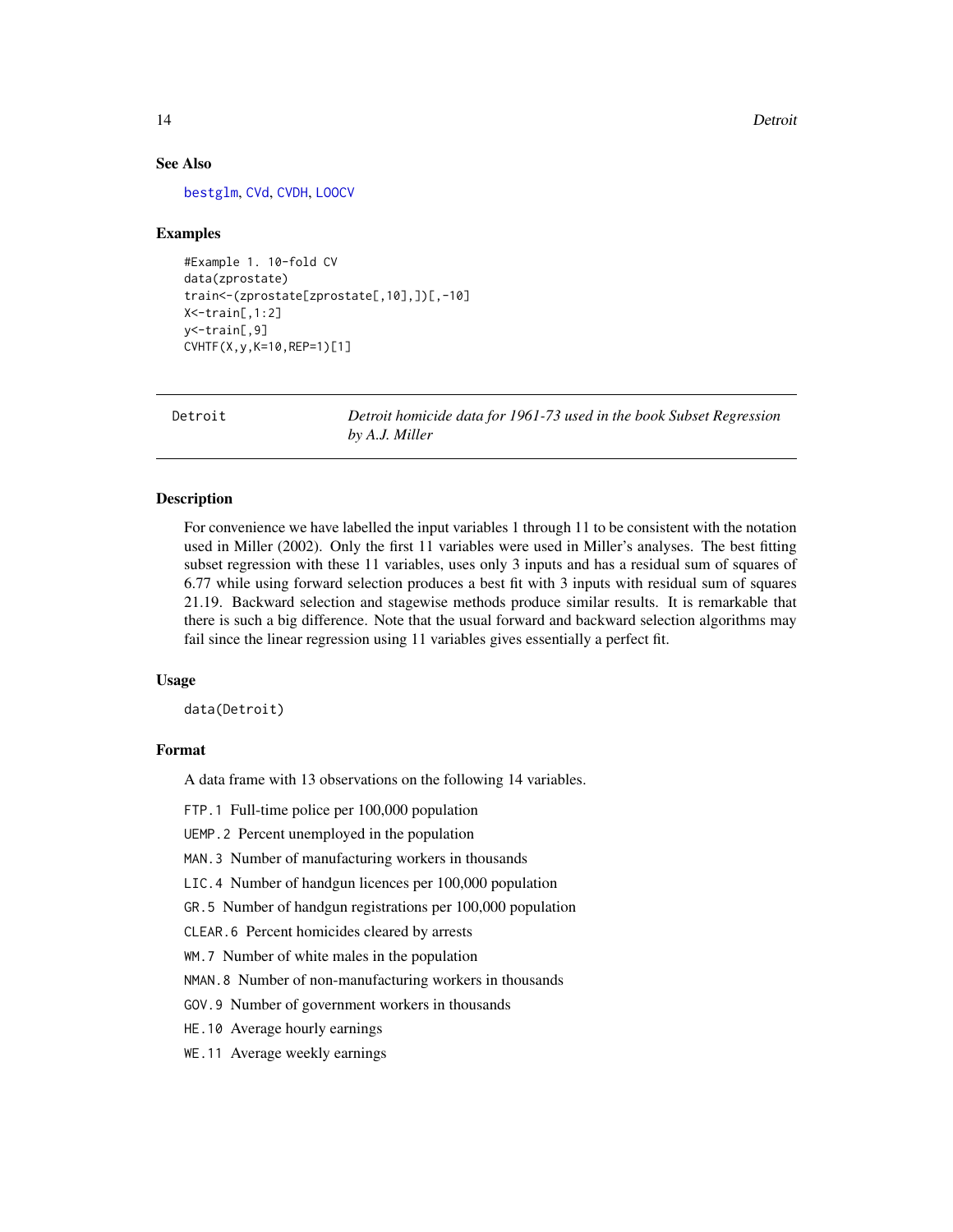#### See Also

[bestglm](#page-5-1), [CVd](#page-9-1), [CVDH](#page-10-1), [LOOCV](#page-23-1)

#### Examples

```
#Example 1. 10-fold CV
data(zprostate)
train<-(zprostate[zprostate[,10],])[,-10]
X<-train[,1:2]
y<-train[,9]
CVHTF(X,y,K=10,REP=1)[1]
```
Detroit *Detroit homicide data for 1961-73 used in the book Subset Regression by A.J. Miller*

#### Description

For convenience we have labelled the input variables 1 through 11 to be consistent with the notation used in Miller (2002). Only the first 11 variables were used in Miller's analyses. The best fitting subset regression with these 11 variables, uses only 3 inputs and has a residual sum of squares of 6.77 while using forward selection produces a best fit with 3 inputs with residual sum of squares 21.19. Backward selection and stagewise methods produce similar results. It is remarkable that there is such a big difference. Note that the usual forward and backward selection algorithms may fail since the linear regression using 11 variables gives essentially a perfect fit.

#### Usage

data(Detroit)

# Format

A data frame with 13 observations on the following 14 variables.

FTP.1 Full-time police per 100,000 population

UEMP.2 Percent unemployed in the population

MAN.3 Number of manufacturing workers in thousands

LIC.4 Number of handgun licences per 100,000 population

GR.5 Number of handgun registrations per 100,000 population

CLEAR.6 Percent homicides cleared by arrests

WM.7 Number of white males in the population

NMAN.8 Number of non-manufacturing workers in thousands

GOV.9 Number of government workers in thousands

HE.10 Average hourly earnings

WE.11 Average weekly earnings

<span id="page-13-0"></span>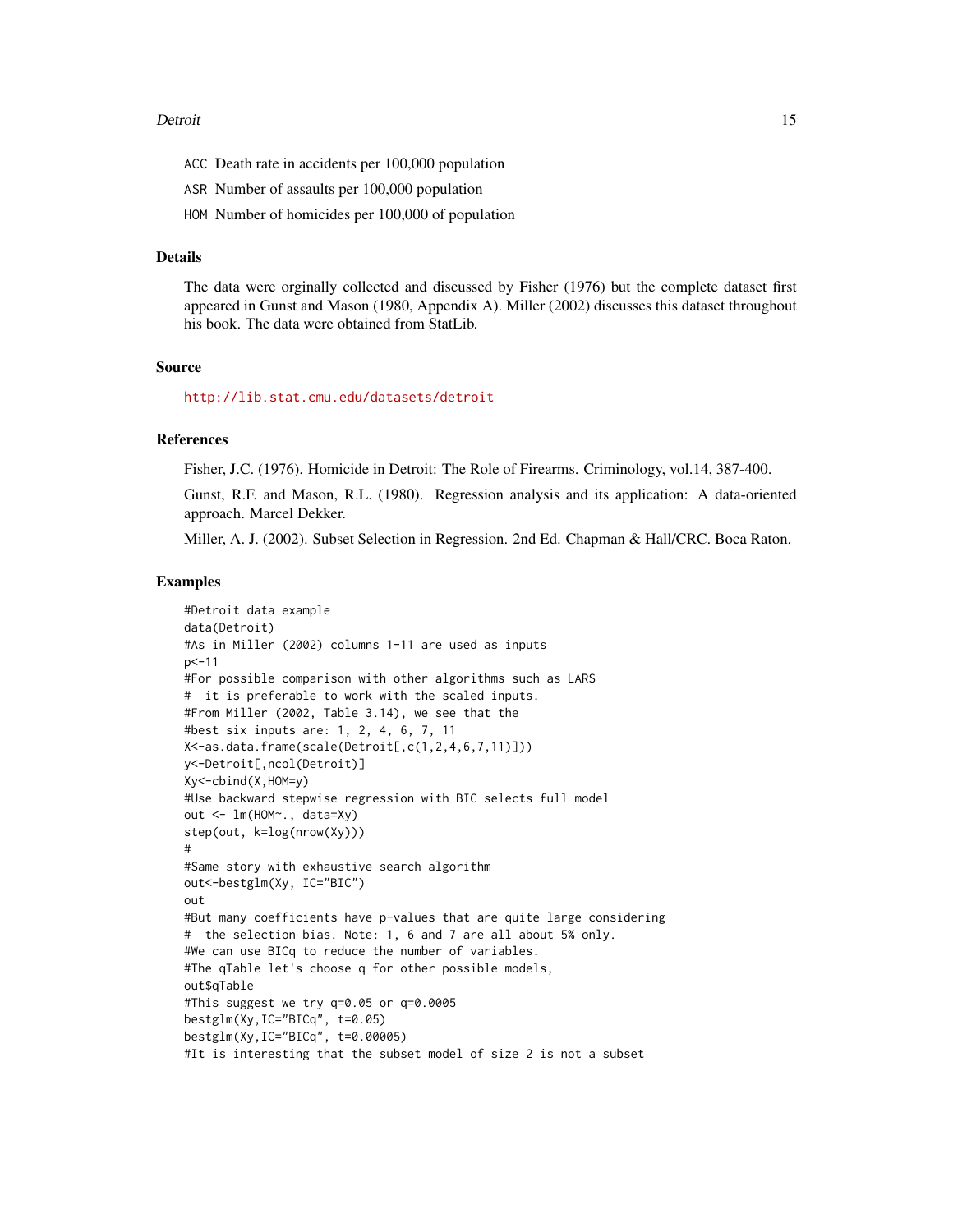#### Detroit 15

- ACC Death rate in accidents per 100,000 population
- ASR Number of assaults per 100,000 population
- HOM Number of homicides per 100,000 of population

#### Details

The data were orginally collected and discussed by Fisher (1976) but the complete dataset first appeared in Gunst and Mason (1980, Appendix A). Miller (2002) discusses this dataset throughout his book. The data were obtained from StatLib.

# Source

<http://lib.stat.cmu.edu/datasets/detroit>

#### References

Fisher, J.C. (1976). Homicide in Detroit: The Role of Firearms. Criminology, vol.14, 387-400.

Gunst, R.F. and Mason, R.L. (1980). Regression analysis and its application: A data-oriented approach. Marcel Dekker.

Miller, A. J. (2002). Subset Selection in Regression. 2nd Ed. Chapman & Hall/CRC. Boca Raton.

```
#Detroit data example
data(Detroit)
#As in Miller (2002) columns 1-11 are used as inputs
p<-11
#For possible comparison with other algorithms such as LARS
# it is preferable to work with the scaled inputs.
#From Miller (2002, Table 3.14), we see that the
#best six inputs are: 1, 2, 4, 6, 7, 11
X<-as.data.frame(scale(Detroit[,c(1,2,4,6,7,11)]))
y<-Detroit[,ncol(Detroit)]
Xy<-cbind(X,HOM=y)
#Use backward stepwise regression with BIC selects full model
out <- lm(HOM~., data=Xy)
step(out, k=log(nrow(Xy)))
#
#Same story with exhaustive search algorithm
out<-bestglm(Xy, IC="BIC")
out
#But many coefficients have p-values that are quite large considering
# the selection bias. Note: 1, 6 and 7 are all about 5% only.
#We can use BICq to reduce the number of variables.
#The qTable let's choose q for other possible models,
out$qTable
#This suggest we try q=0.05 or q=0.0005
bestglm(Xy,IC="BICq", t=0.05)
bestglm(Xy,IC="BICq", t=0.00005)
#It is interesting that the subset model of size 2 is not a subset
```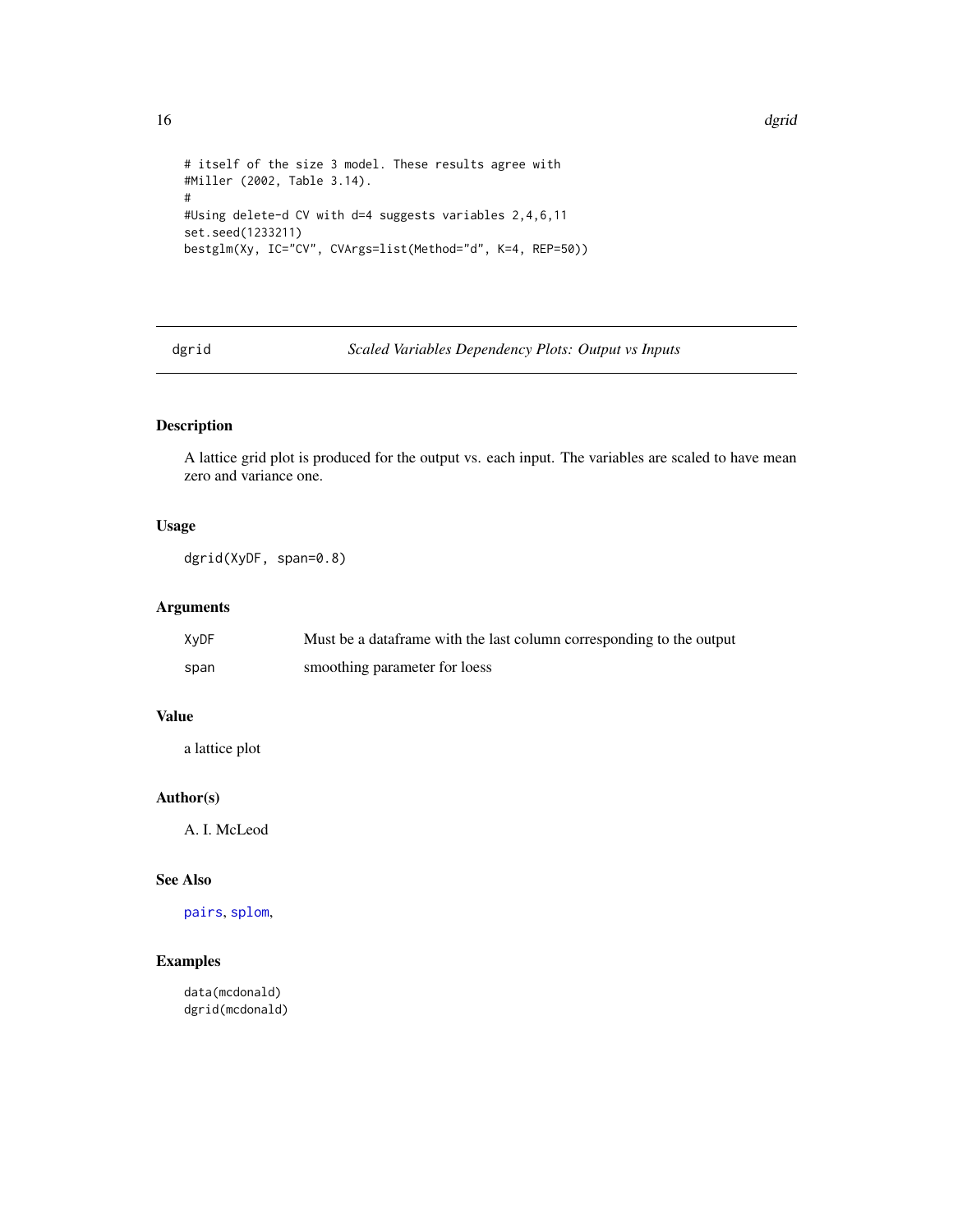```
# itself of the size 3 model. These results agree with
#Miller (2002, Table 3.14).
#
#Using delete-d CV with d=4 suggests variables 2,4,6,11
set.seed(1233211)
bestglm(Xy, IC="CV", CVArgs=list(Method="d", K=4, REP=50))
```
dgrid *Scaled Variables Dependency Plots: Output vs Inputs*

# Description

A lattice grid plot is produced for the output vs. each input. The variables are scaled to have mean zero and variance one.

#### Usage

dgrid(XyDF, span=0.8)

# Arguments

| XyDF | Must be a dataframe with the last column corresponding to the output |
|------|----------------------------------------------------------------------|
| span | smoothing parameter for loess                                        |

# Value

a lattice plot

# Author(s)

A. I. McLeod

#### See Also

[pairs](#page-0-0), [splom](#page-0-0),

# Examples

data(mcdonald) dgrid(mcdonald)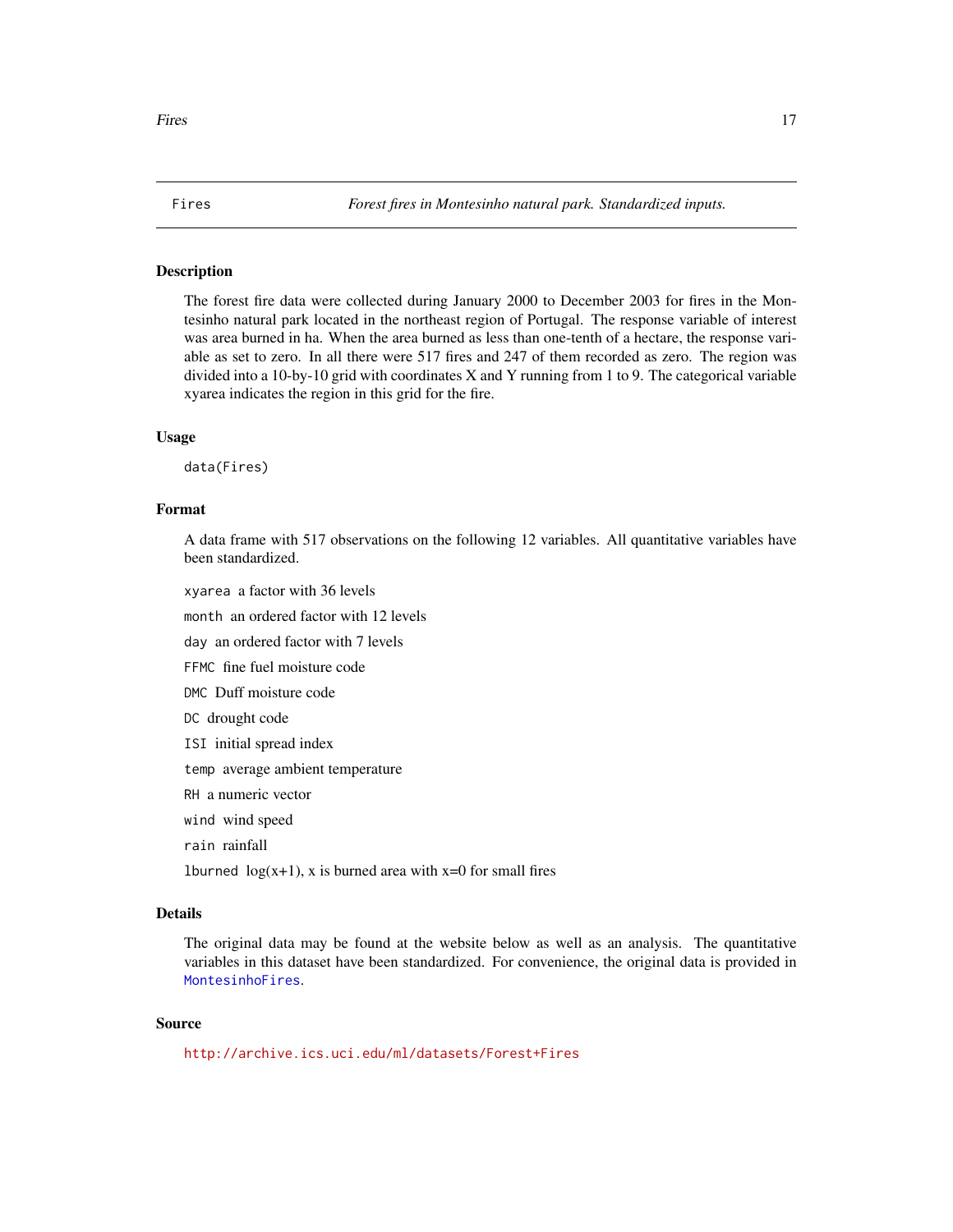<span id="page-16-1"></span><span id="page-16-0"></span>

The forest fire data were collected during January 2000 to December 2003 for fires in the Montesinho natural park located in the northeast region of Portugal. The response variable of interest was area burned in ha. When the area burned as less than one-tenth of a hectare, the response variable as set to zero. In all there were 517 fires and 247 of them recorded as zero. The region was divided into a 10-by-10 grid with coordinates X and Y running from 1 to 9. The categorical variable xyarea indicates the region in this grid for the fire.

#### Usage

data(Fires)

#### Format

A data frame with 517 observations on the following 12 variables. All quantitative variables have been standardized.

xyarea a factor with 36 levels

month an ordered factor with 12 levels

day an ordered factor with 7 levels

FFMC fine fuel moisture code

DMC Duff moisture code

DC drought code

ISI initial spread index

temp average ambient temperature

RH a numeric vector

wind wind speed

rain rainfall

1burned  $log(x+1)$ , x is burned area with x=0 for small fires

#### Details

The original data may be found at the website below as well as an analysis. The quantitative variables in this dataset have been standardized. For convenience, the original data is provided in [MontesinhoFires](#page-26-1).

#### Source

<http://archive.ics.uci.edu/ml/datasets/Forest+Fires>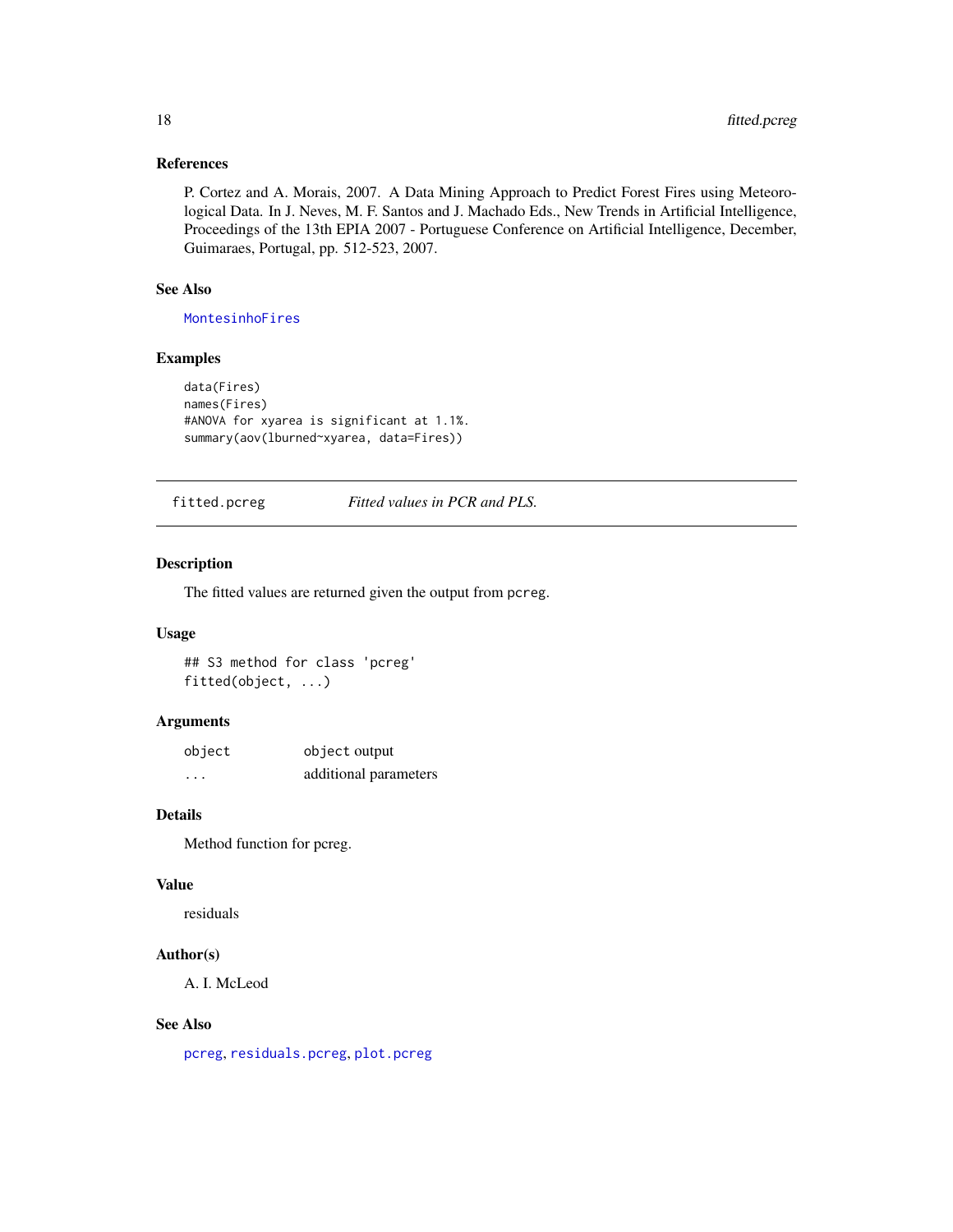# <span id="page-17-0"></span>References

P. Cortez and A. Morais, 2007. A Data Mining Approach to Predict Forest Fires using Meteorological Data. In J. Neves, M. F. Santos and J. Machado Eds., New Trends in Artificial Intelligence, Proceedings of the 13th EPIA 2007 - Portuguese Conference on Artificial Intelligence, December, Guimaraes, Portugal, pp. 512-523, 2007.

# See Also

[MontesinhoFires](#page-26-1)

# Examples

```
data(Fires)
names(Fires)
#ANOVA for xyarea is significant at 1.1%.
summary(aov(lburned~xyarea, data=Fires))
```
<span id="page-17-1"></span>fitted.pcreg *Fitted values in PCR and PLS.*

# Description

The fitted values are returned given the output from pcreg.

# Usage

## S3 method for class 'pcreg' fitted(object, ...)

#### Arguments

| object | object output         |
|--------|-----------------------|
| .      | additional parameters |

#### Details

Method function for pcreg.

#### Value

residuals

# Author(s)

A. I. McLeod

# See Also

[pcreg](#page-29-1), [residuals.pcreg](#page-34-1), [plot.pcreg](#page-30-1)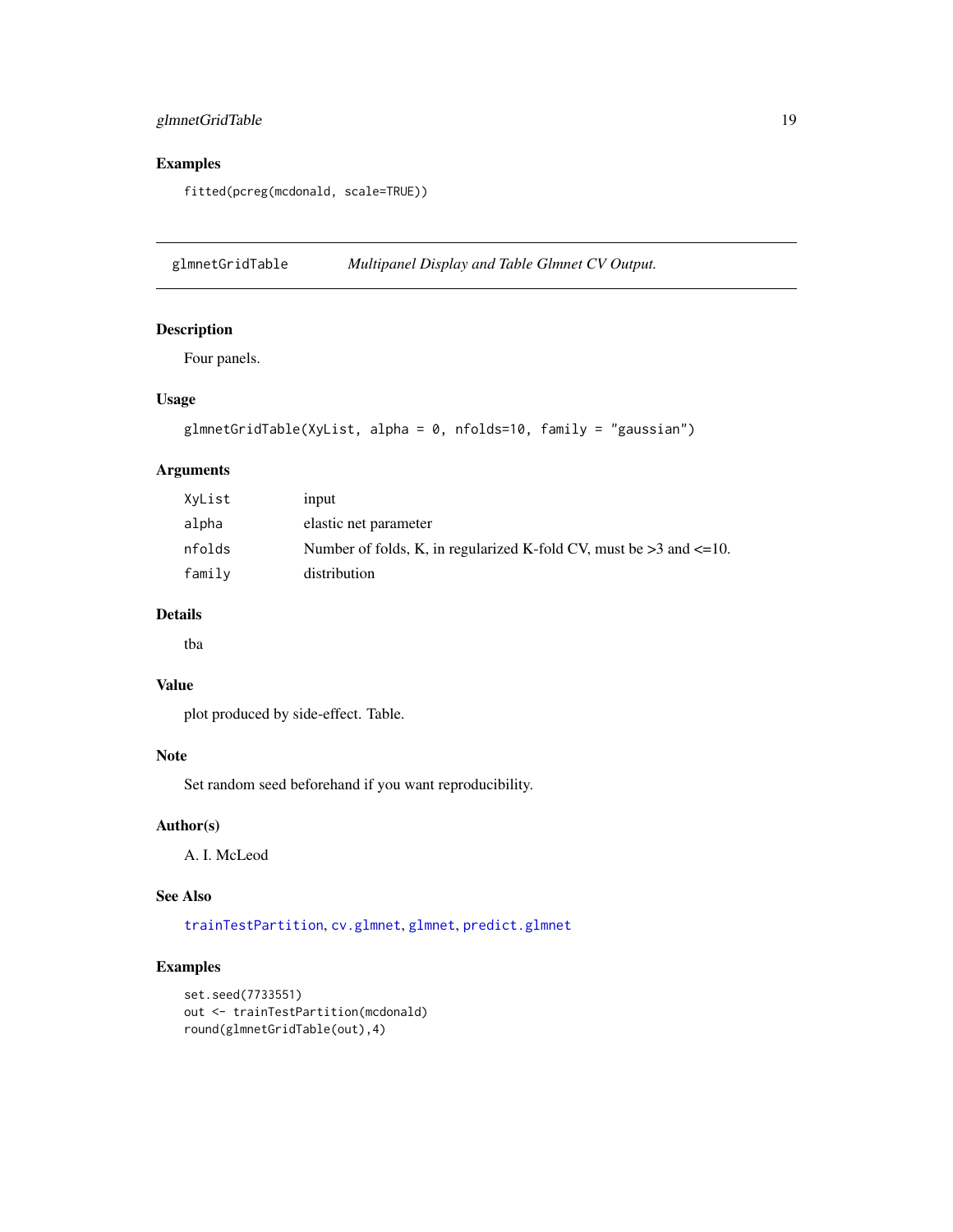# <span id="page-18-0"></span>glmnetGridTable 19

# Examples

fitted(pcreg(mcdonald, scale=TRUE))

<span id="page-18-1"></span>glmnetGridTable *Multipanel Display and Table Glmnet CV Output.*

# Description

Four panels.

#### Usage

```
glmnetGridTable(XyList, alpha = 0, nfolds=10, family = "gaussian")
```
# Arguments

| XyList | input                                                                      |
|--------|----------------------------------------------------------------------------|
| alpha  | elastic net parameter                                                      |
| nfolds | Number of folds, K, in regularized K-fold CV, must be $>3$ and $\leq$ =10. |
| family | distribution                                                               |

# Details

tba

# Value

plot produced by side-effect. Table.

#### Note

Set random seed beforehand if you want reproducibility.

# Author(s)

A. I. McLeod

# See Also

[trainTestPartition](#page-41-1), [cv.glmnet](#page-0-0), [glmnet](#page-0-0), [predict.glmnet](#page-0-0)

```
set.seed(7733551)
out <- trainTestPartition(mcdonald)
round(glmnetGridTable(out),4)
```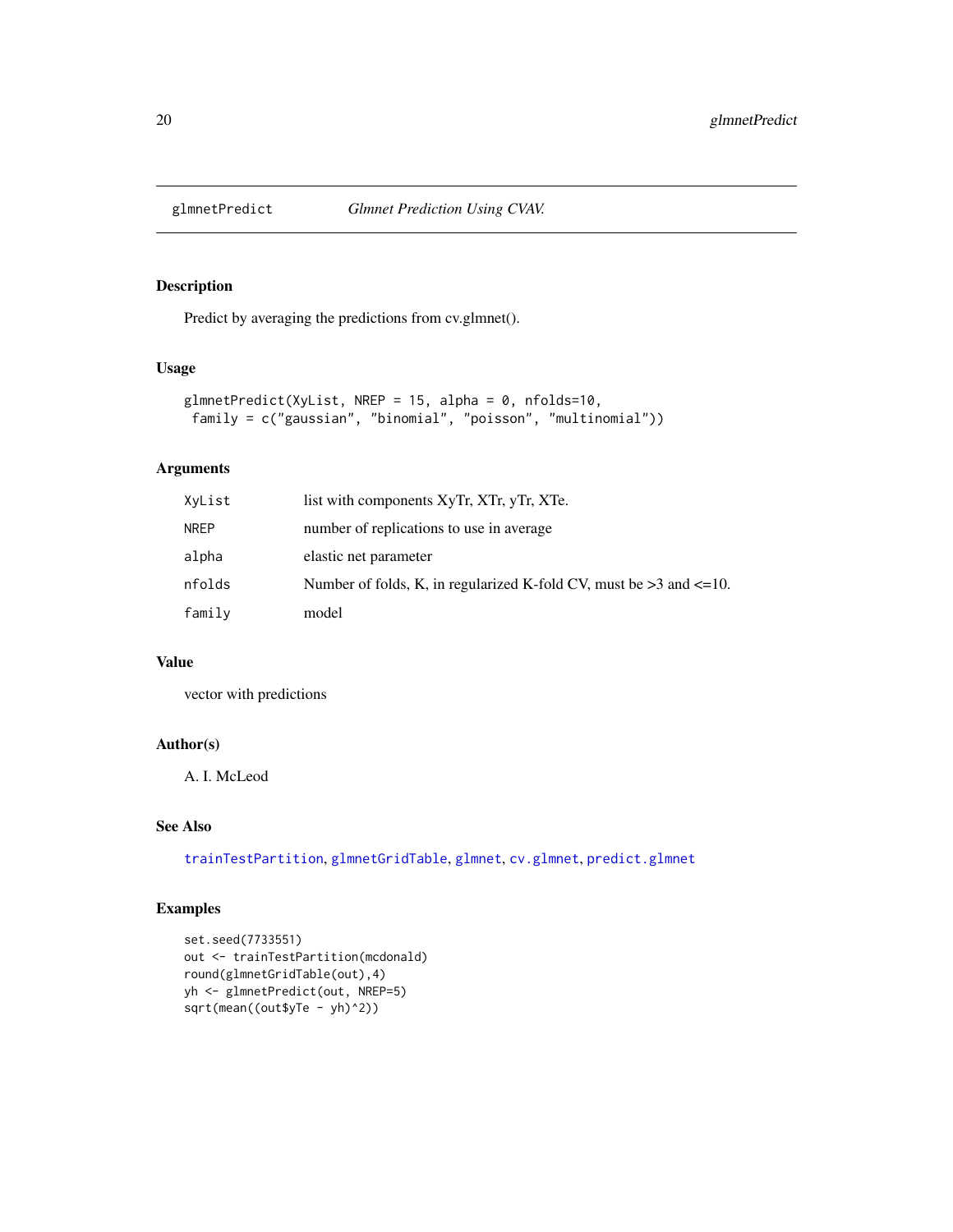<span id="page-19-1"></span><span id="page-19-0"></span>

Predict by averaging the predictions from cv.glmnet().

#### Usage

```
glmnetPredict(XyList, NREP = 15, alpha = 0, nfolds=10,
 family = c("gaussian", "binomial", "poisson", "multinomial"))
```
#### Arguments

| XvList | list with components XyTr, XTr, yTr, XTe.                                  |
|--------|----------------------------------------------------------------------------|
| NREP   | number of replications to use in average                                   |
| alpha  | elastic net parameter                                                      |
| nfolds | Number of folds, K, in regularized K-fold CV, must be $>3$ and $\leq 10$ . |
| family | model                                                                      |

# Value

vector with predictions

# Author(s)

A. I. McLeod

#### See Also

[trainTestPartition](#page-41-1), [glmnetGridTable](#page-18-1), [glmnet](#page-0-0), [cv.glmnet](#page-0-0), [predict.glmnet](#page-0-0)

```
set.seed(7733551)
out <- trainTestPartition(mcdonald)
round(glmnetGridTable(out),4)
yh <- glmnetPredict(out, NREP=5)
sqrt(mean((out$yTe - yh)^2))
```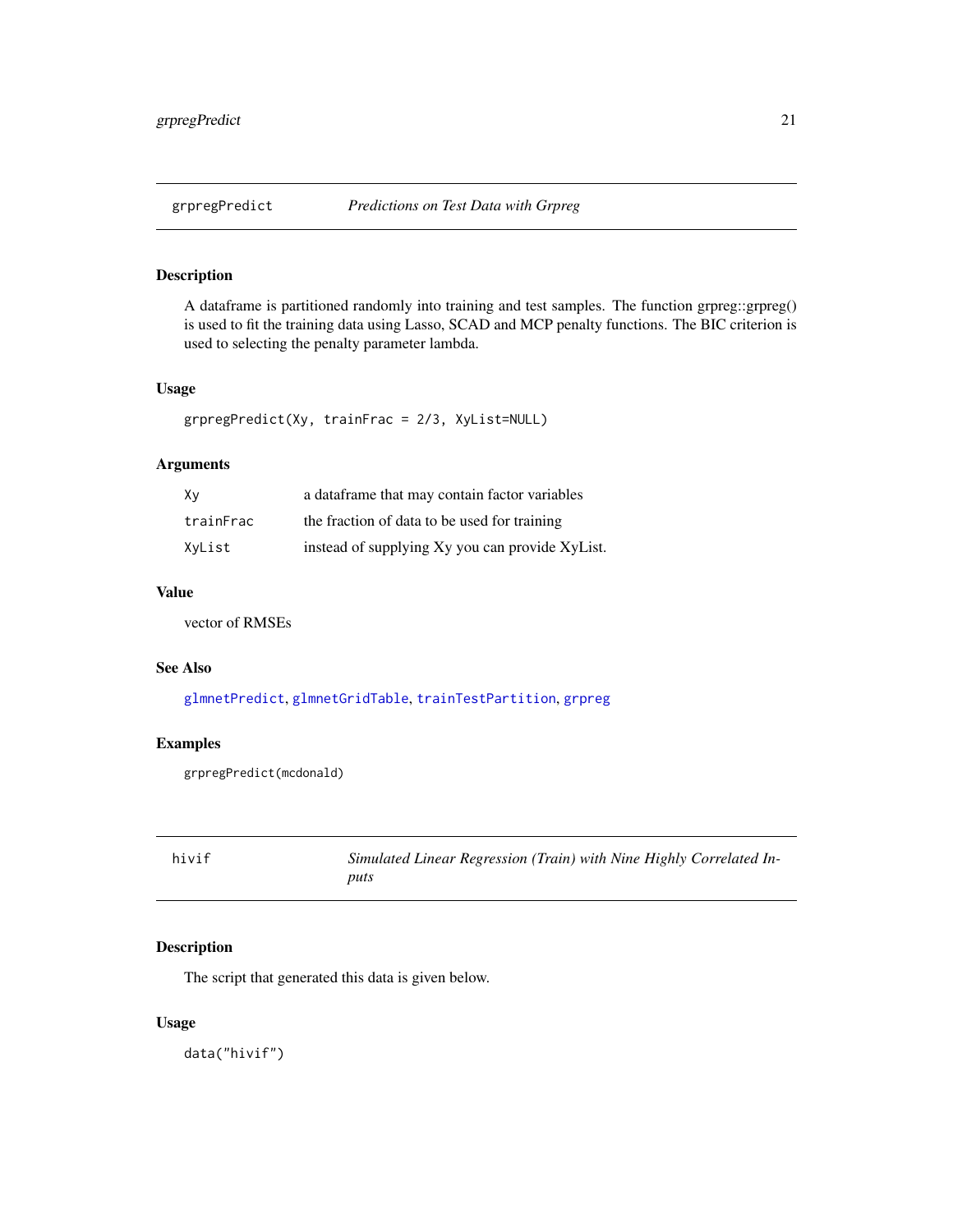<span id="page-20-0"></span>

A dataframe is partitioned randomly into training and test samples. The function grpreg::grpreg() is used to fit the training data using Lasso, SCAD and MCP penalty functions. The BIC criterion is used to selecting the penalty parameter lambda.

#### Usage

```
grpregPredict(Xy, trainFrac = 2/3, XyList=NULL)
```
## Arguments

| Xν        | a data frame that may contain factor variables  |
|-----------|-------------------------------------------------|
| trainFrac | the fraction of data to be used for training    |
| XyList    | instead of supplying Xy you can provide XyList. |

# Value

vector of RMSEs

# See Also

[glmnetPredict](#page-19-1), [glmnetGridTable](#page-18-1), [trainTestPartition](#page-41-1), [grpreg](#page-0-0)

## Examples

grpregPredict(mcdonald)

| hivif | Simulated Linear Regression (Train) with Nine Highly Correlated In- |
|-------|---------------------------------------------------------------------|
|       | puts                                                                |

# Description

The script that generated this data is given below.

#### Usage

data("hivif")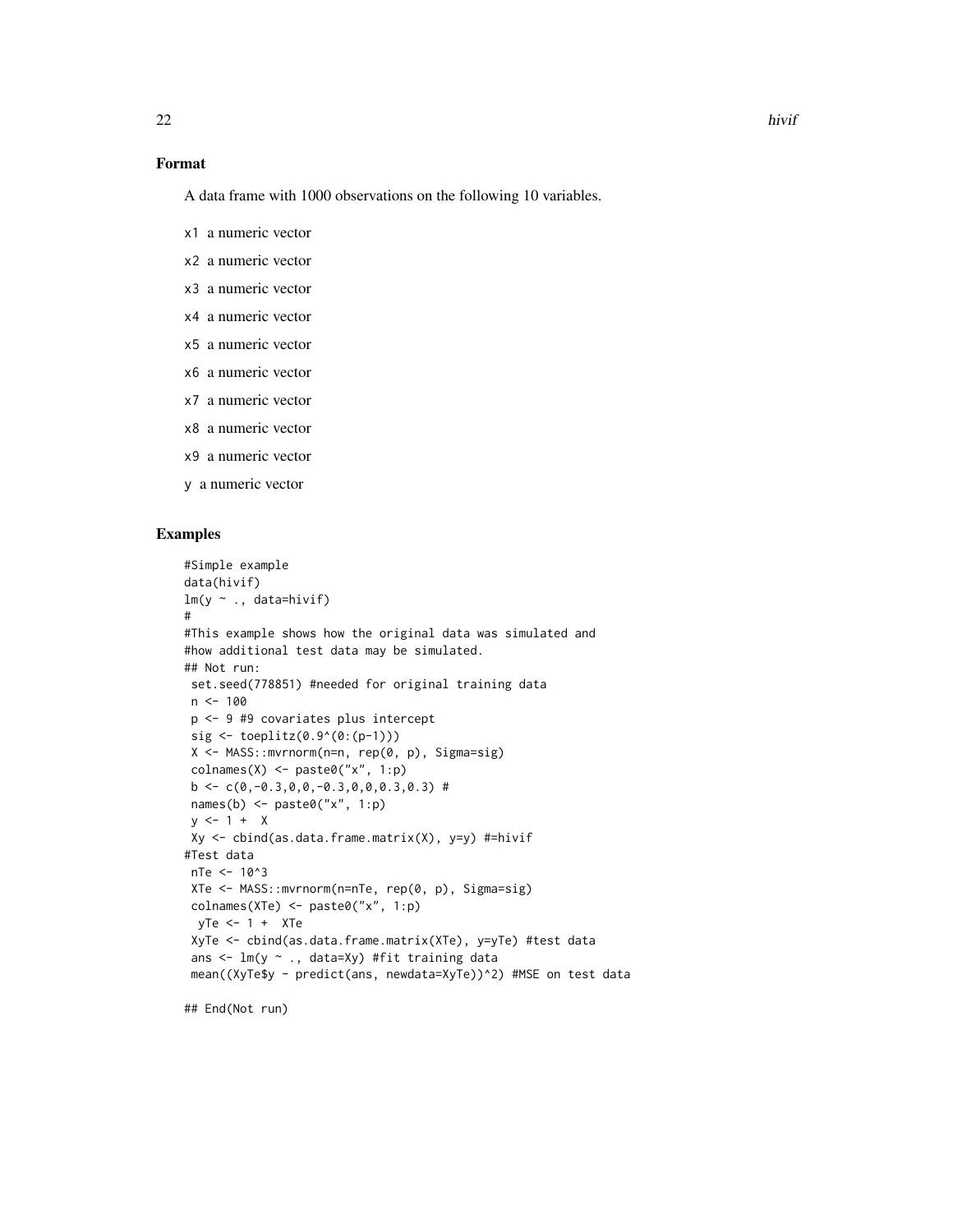# Format

A data frame with 1000 observations on the following 10 variables.

- x1 a numeric vector
- x2 a numeric vector
- x3 a numeric vector
- x4 a numeric vector
- x5 a numeric vector
- x6 a numeric vector
- x7 a numeric vector
- x8 a numeric vector
- x9 a numeric vector
- y a numeric vector

#### Examples

```
#Simple example
data(hivif)
lm(y \sim ., data=hivif)#
#This example shows how the original data was simulated and
#how additional test data may be simulated.
## Not run:
 set.seed(778851) #needed for original training data
 n < -100p <- 9 #9 covariates plus intercept
 sig \leftarrow toplitz(0.9^(0:(p-1)))X <- MASS::mvrnorm(n=n, rep(0, p), Sigma=sig)
 colnames(X) <- paste0("x", 1:p)
 b \leftarrow c(\emptyset, -\emptyset.3, \emptyset, \emptyset, -\emptyset.3, \emptyset, \emptyset, \emptyset.3, \emptyset.3)#
 names(b) \leq paste0("x", 1:p)
 y \le -1 + XXy \leftarrow \text{cbind}(as.data-frame.matrix(X), y=y) #=hivif#Test data
 nTe <- 10^3
 XTe <- MASS::mvrnorm(n=nTe, rep(0, p), Sigma=sig)
 colnames(XTe) <- paste0("x", 1:p)
 yTe <- 1 + XTe
 XyTe <- cbind(as.data.frame.matrix(XTe), y=yTe) #test data
 ans <- lm(y ~ ., data=Xy) #fit training data
 mean((XyTe$y - predict(ans, newdata=XyTe))^2) #MSE on test data
```
## End(Not run)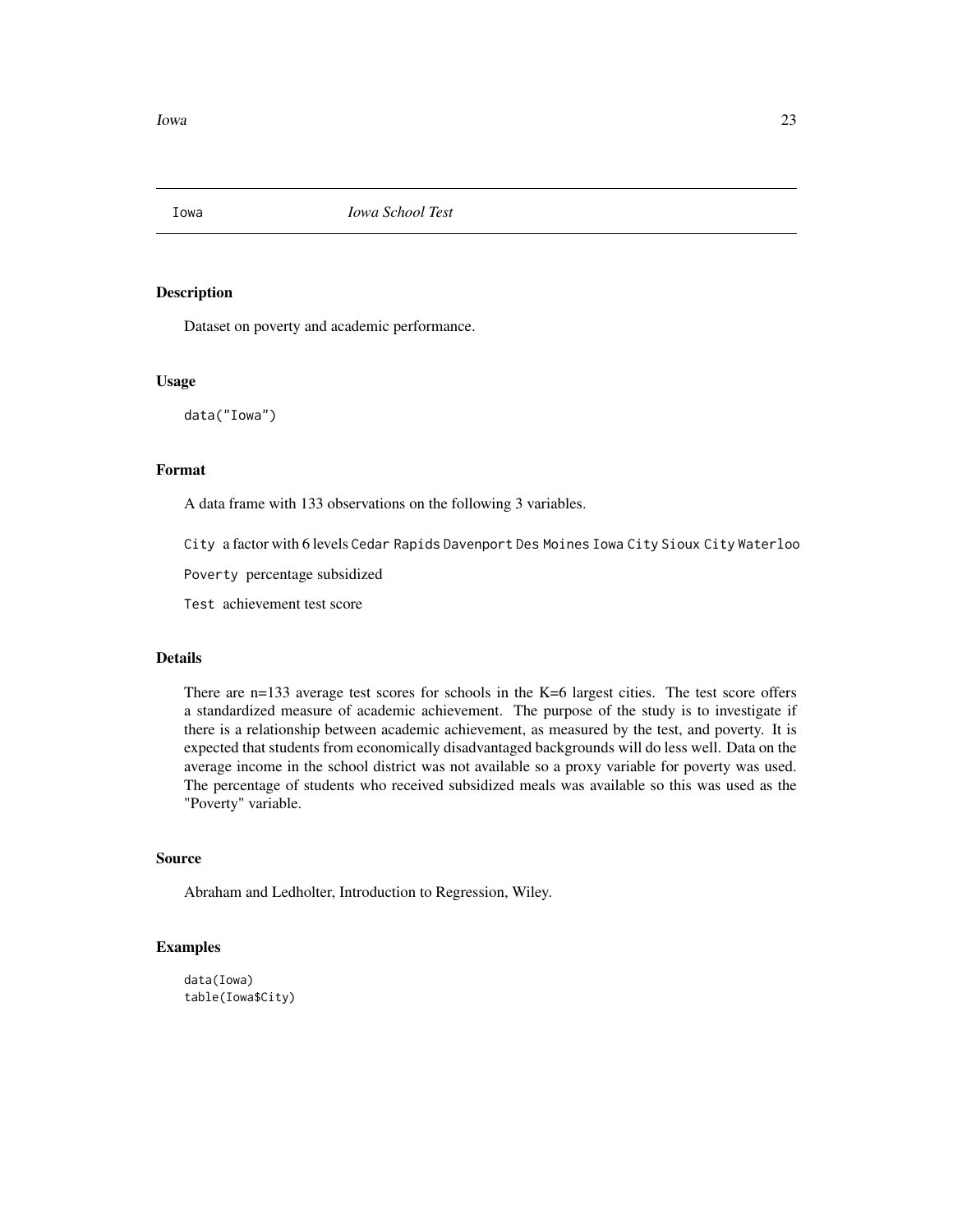<span id="page-22-0"></span>

Dataset on poverty and academic performance.

#### Usage

data("Iowa")

# Format

A data frame with 133 observations on the following 3 variables.

City a factor with 6 levels Cedar Rapids Davenport Des Moines Iowa City Sioux City Waterloo

Poverty percentage subsidized

Test achievement test score

# Details

There are n=133 average test scores for schools in the K=6 largest cities. The test score offers a standardized measure of academic achievement. The purpose of the study is to investigate if there is a relationship between academic achievement, as measured by the test, and poverty. It is expected that students from economically disadvantaged backgrounds will do less well. Data on the average income in the school district was not available so a proxy variable for poverty was used. The percentage of students who received subsidized meals was available so this was used as the "Poverty" variable.

# Source

Abraham and Ledholter, Introduction to Regression, Wiley.

```
data(Iowa)
table(Iowa$City)
```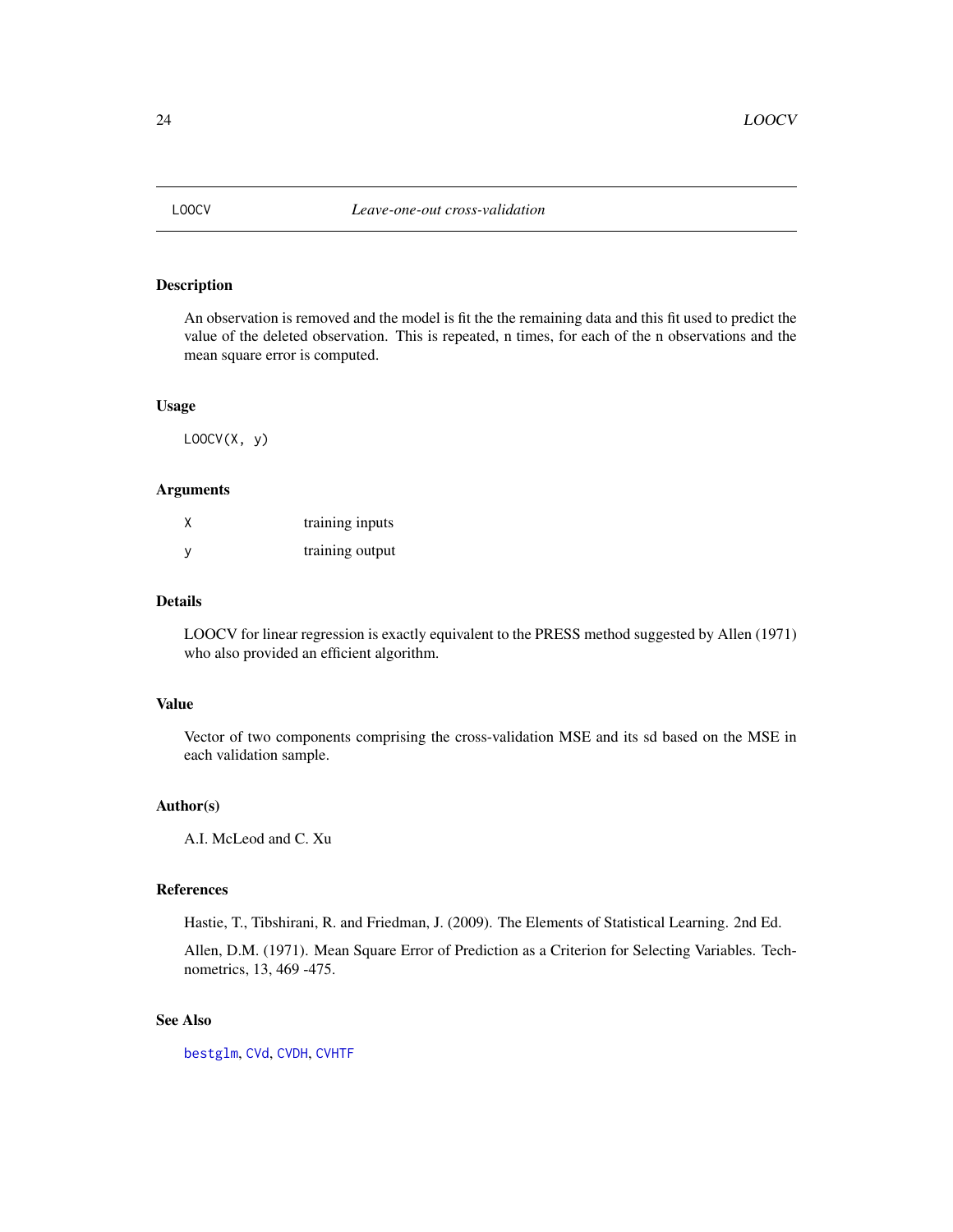<span id="page-23-1"></span><span id="page-23-0"></span>

An observation is removed and the model is fit the the remaining data and this fit used to predict the value of the deleted observation. This is repeated, n times, for each of the n observations and the mean square error is computed.

#### Usage

 $LOOCV(X, y)$ 

# Arguments

|    | training inputs |
|----|-----------------|
| -V | training output |

# Details

LOOCV for linear regression is exactly equivalent to the PRESS method suggested by Allen (1971) who also provided an efficient algorithm.

#### Value

Vector of two components comprising the cross-validation MSE and its sd based on the MSE in each validation sample.

# Author(s)

A.I. McLeod and C. Xu

#### References

Hastie, T., Tibshirani, R. and Friedman, J. (2009). The Elements of Statistical Learning. 2nd Ed.

Allen, D.M. (1971). Mean Square Error of Prediction as a Criterion for Selecting Variables. Technometrics, 13, 469 -475.

# See Also

[bestglm](#page-5-1), [CVd](#page-9-1), [CVDH](#page-10-1), [CVHTF](#page-12-1)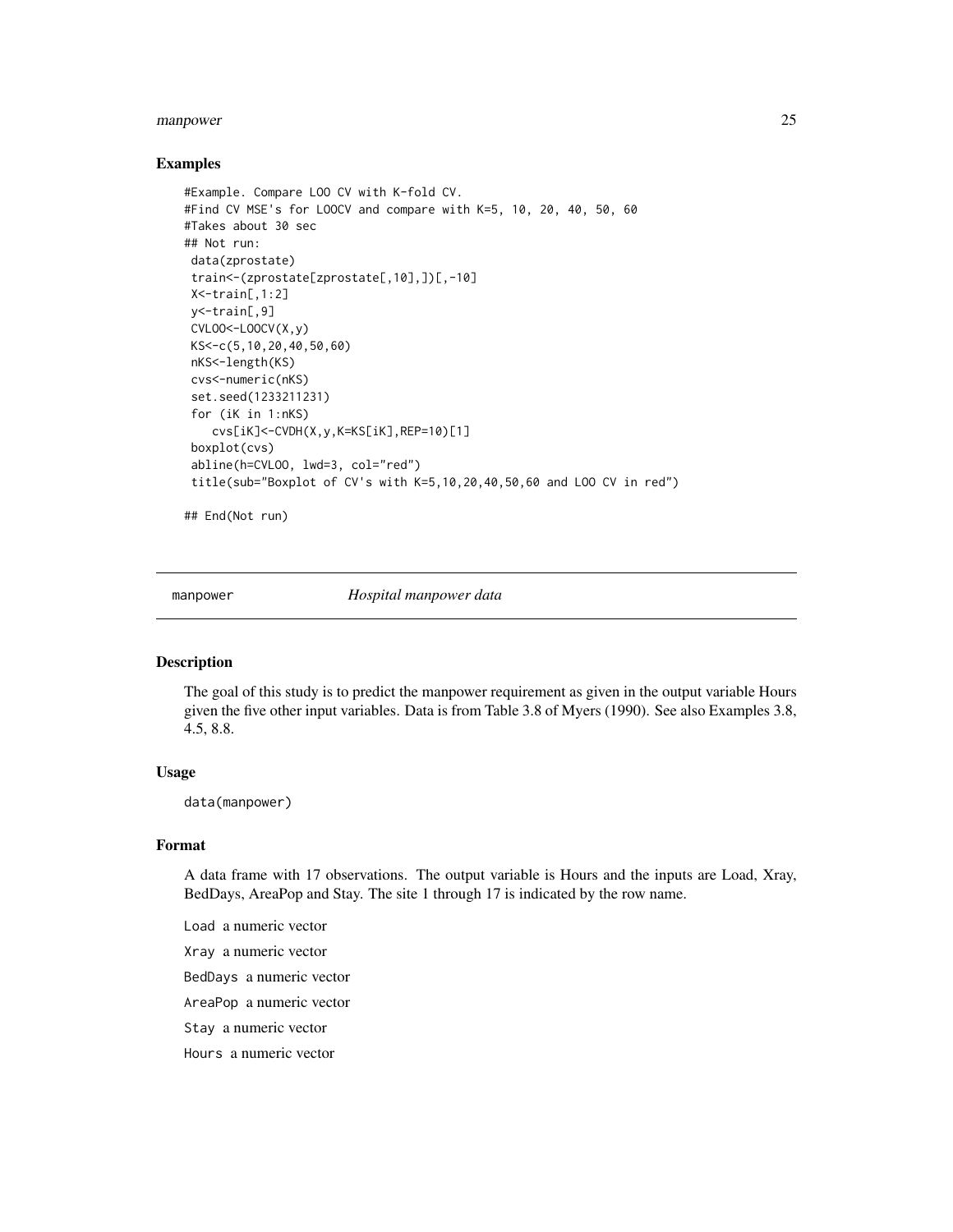#### <span id="page-24-0"></span>manpower 25

#### Examples

```
#Example. Compare LOO CV with K-fold CV.
#Find CV MSE's for LOOCV and compare with K=5, 10, 20, 40, 50, 60
#Takes about 30 sec
## Not run:
data(zprostate)
train<-(zprostate[zprostate[,10],])[,-10]
X<-train[,1:2]
y<-train[,9]
CVLOO<-LOOCV(X,y)
KS<-c(5,10,20,40,50,60)
nKS<-length(KS)
cvs<-numeric(nKS)
set.seed(1233211231)
 for (iK in 1:nKS)
   cvs[iK]<-CVDH(X,y,K=KS[iK],REP=10)[1]
boxplot(cvs)
 abline(h=CVLOO, lwd=3, col="red")
 title(sub="Boxplot of CV's with K=5,10,20,40,50,60 and LOO CV in red")
```
## End(Not run)

manpower *Hospital manpower data*

#### Description

The goal of this study is to predict the manpower requirement as given in the output variable Hours given the five other input variables. Data is from Table 3.8 of Myers (1990). See also Examples 3.8, 4.5, 8.8.

#### Usage

data(manpower)

#### Format

A data frame with 17 observations. The output variable is Hours and the inputs are Load, Xray, BedDays, AreaPop and Stay. The site 1 through 17 is indicated by the row name.

Load a numeric vector

Xray a numeric vector

BedDays a numeric vector

AreaPop a numeric vector

Stay a numeric vector

Hours a numeric vector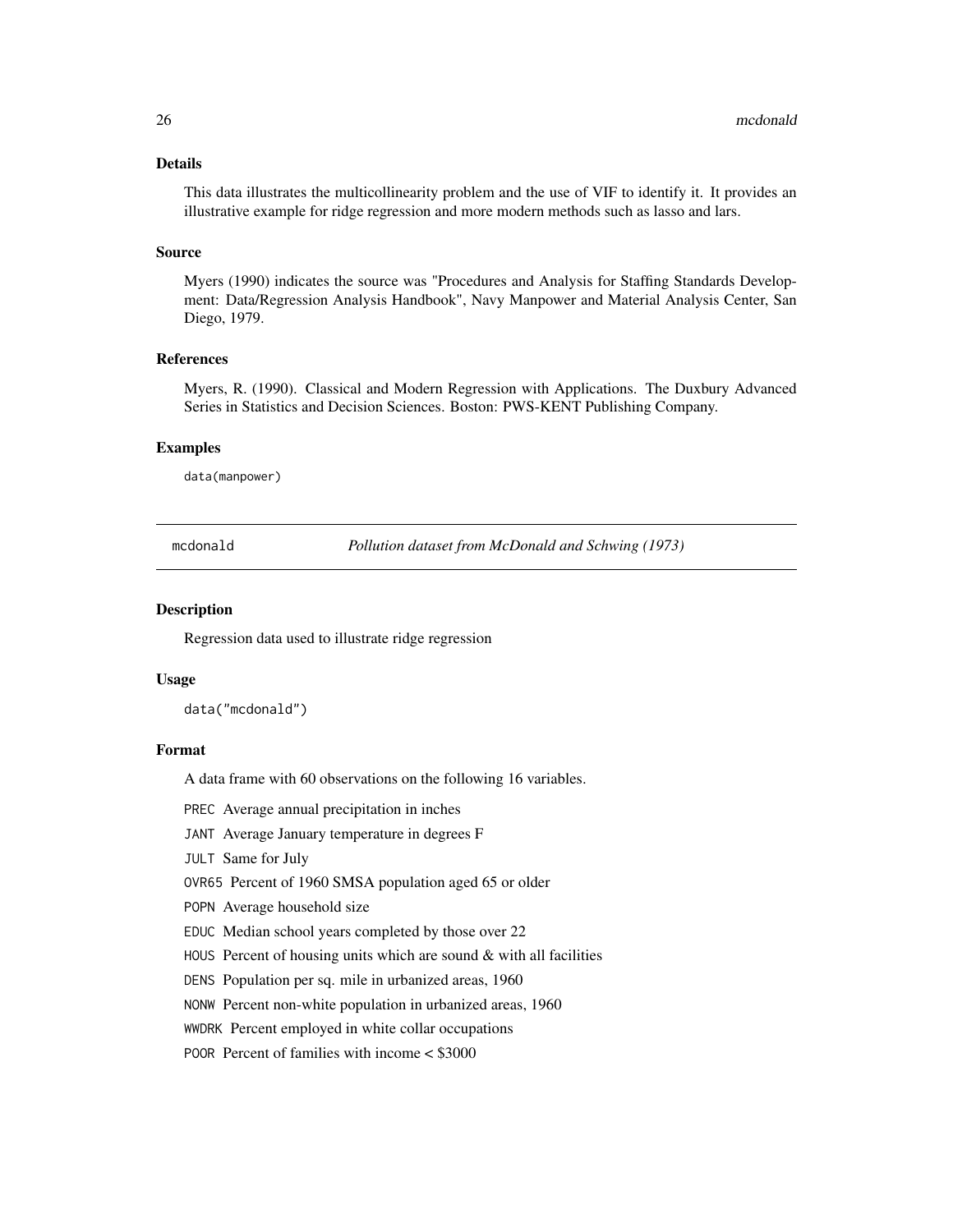#### <span id="page-25-0"></span>Details

This data illustrates the multicollinearity problem and the use of VIF to identify it. It provides an illustrative example for ridge regression and more modern methods such as lasso and lars.

#### Source

Myers (1990) indicates the source was "Procedures and Analysis for Staffing Standards Development: Data/Regression Analysis Handbook", Navy Manpower and Material Analysis Center, San Diego, 1979.

#### References

Myers, R. (1990). Classical and Modern Regression with Applications. The Duxbury Advanced Series in Statistics and Decision Sciences. Boston: PWS-KENT Publishing Company.

#### Examples

data(manpower)

mcdonald *Pollution dataset from McDonald and Schwing (1973)*

#### **Description**

Regression data used to illustrate ridge regression

#### Usage

data("mcdonald")

#### Format

A data frame with 60 observations on the following 16 variables.

PREC Average annual precipitation in inches

JANT Average January temperature in degrees F

JULT Same for July

OVR65 Percent of 1960 SMSA population aged 65 or older

POPN Average household size

EDUC Median school years completed by those over 22

HOUS Percent of housing units which are sound  $&$  with all facilities

DENS Population per sq. mile in urbanized areas, 1960

NONW Percent non-white population in urbanized areas, 1960

WWDRK Percent employed in white collar occupations

POOR Percent of families with income < \$3000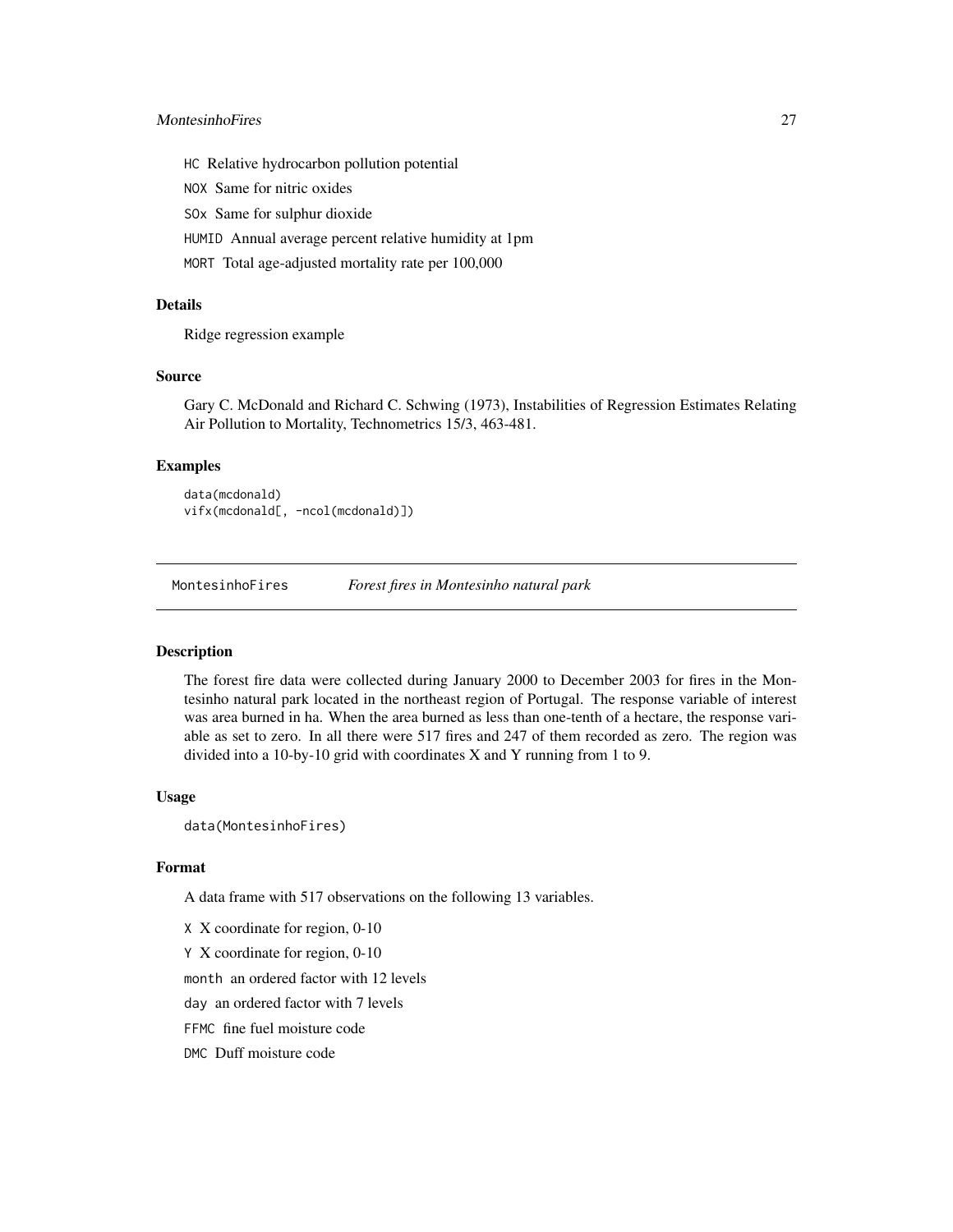# <span id="page-26-0"></span>MontesinhoFires 27

HC Relative hydrocarbon pollution potential

NOX Same for nitric oxides

SOx Same for sulphur dioxide

HUMID Annual average percent relative humidity at 1pm

MORT Total age-adjusted mortality rate per 100,000

#### Details

Ridge regression example

#### Source

Gary C. McDonald and Richard C. Schwing (1973), Instabilities of Regression Estimates Relating Air Pollution to Mortality, Technometrics 15/3, 463-481.

#### Examples

data(mcdonald) vifx(mcdonald[, -ncol(mcdonald)])

<span id="page-26-1"></span>MontesinhoFires *Forest fires in Montesinho natural park*

#### Description

The forest fire data were collected during January 2000 to December 2003 for fires in the Montesinho natural park located in the northeast region of Portugal. The response variable of interest was area burned in ha. When the area burned as less than one-tenth of a hectare, the response variable as set to zero. In all there were 517 fires and 247 of them recorded as zero. The region was divided into a 10-by-10 grid with coordinates X and Y running from 1 to 9.

#### Usage

data(MontesinhoFires)

#### Format

A data frame with 517 observations on the following 13 variables.

X X coordinate for region, 0-10

Y X coordinate for region, 0-10

month an ordered factor with 12 levels

day an ordered factor with 7 levels

FFMC fine fuel moisture code

DMC Duff moisture code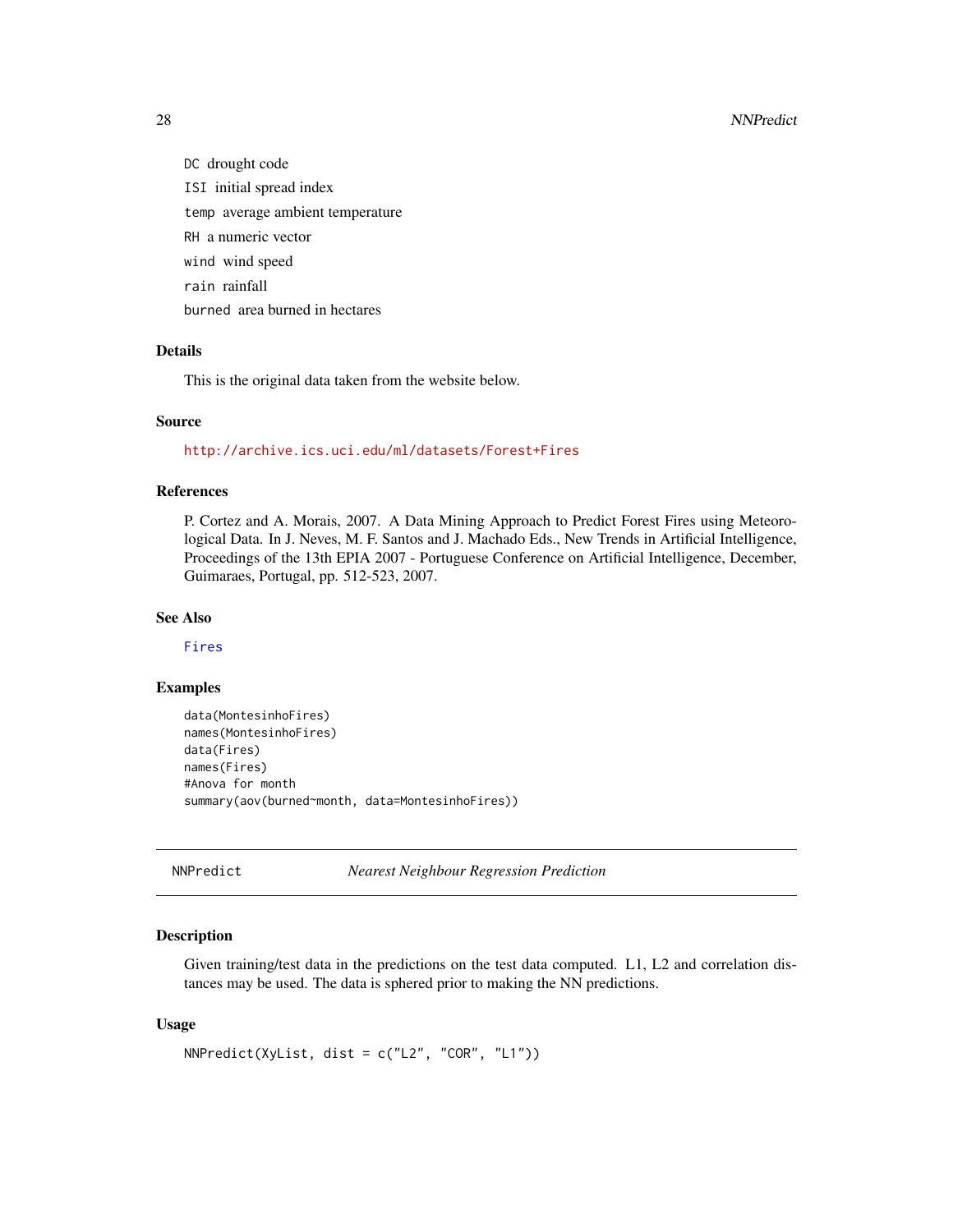#### 28 NNPredict 2018 and 2018 and 2018 and 2018 and 2018 and 2018 and 2018 and 2018 and 2018 and 2018 and 2018 and 2018 and 2018 and 2018 and 2018 and 2018 and 2018 and 2018 and 2018 and 2018 and 2018 and 2018 and 2018 and 20

DC drought code ISI initial spread index temp average ambient temperature RH a numeric vector wind wind speed rain rainfall burned area burned in hectares

# Details

This is the original data taken from the website below.

#### Source

<http://archive.ics.uci.edu/ml/datasets/Forest+Fires>

#### References

P. Cortez and A. Morais, 2007. A Data Mining Approach to Predict Forest Fires using Meteorological Data. In J. Neves, M. F. Santos and J. Machado Eds., New Trends in Artificial Intelligence, Proceedings of the 13th EPIA 2007 - Portuguese Conference on Artificial Intelligence, December, Guimaraes, Portugal, pp. 512-523, 2007.

#### See Also

[Fires](#page-16-1)

#### Examples

```
data(MontesinhoFires)
names(MontesinhoFires)
data(Fires)
names(Fires)
#Anova for month
summary(aov(burned~month, data=MontesinhoFires))
```
<span id="page-27-1"></span>NNPredict *Nearest Neighbour Regression Prediction*

#### Description

Given training/test data in the predictions on the test data computed. L1, L2 and correlation distances may be used. The data is sphered prior to making the NN predictions.

#### Usage

```
NNPredict(XyList, dist = c("L2", "COR", "L1"))
```
<span id="page-27-0"></span>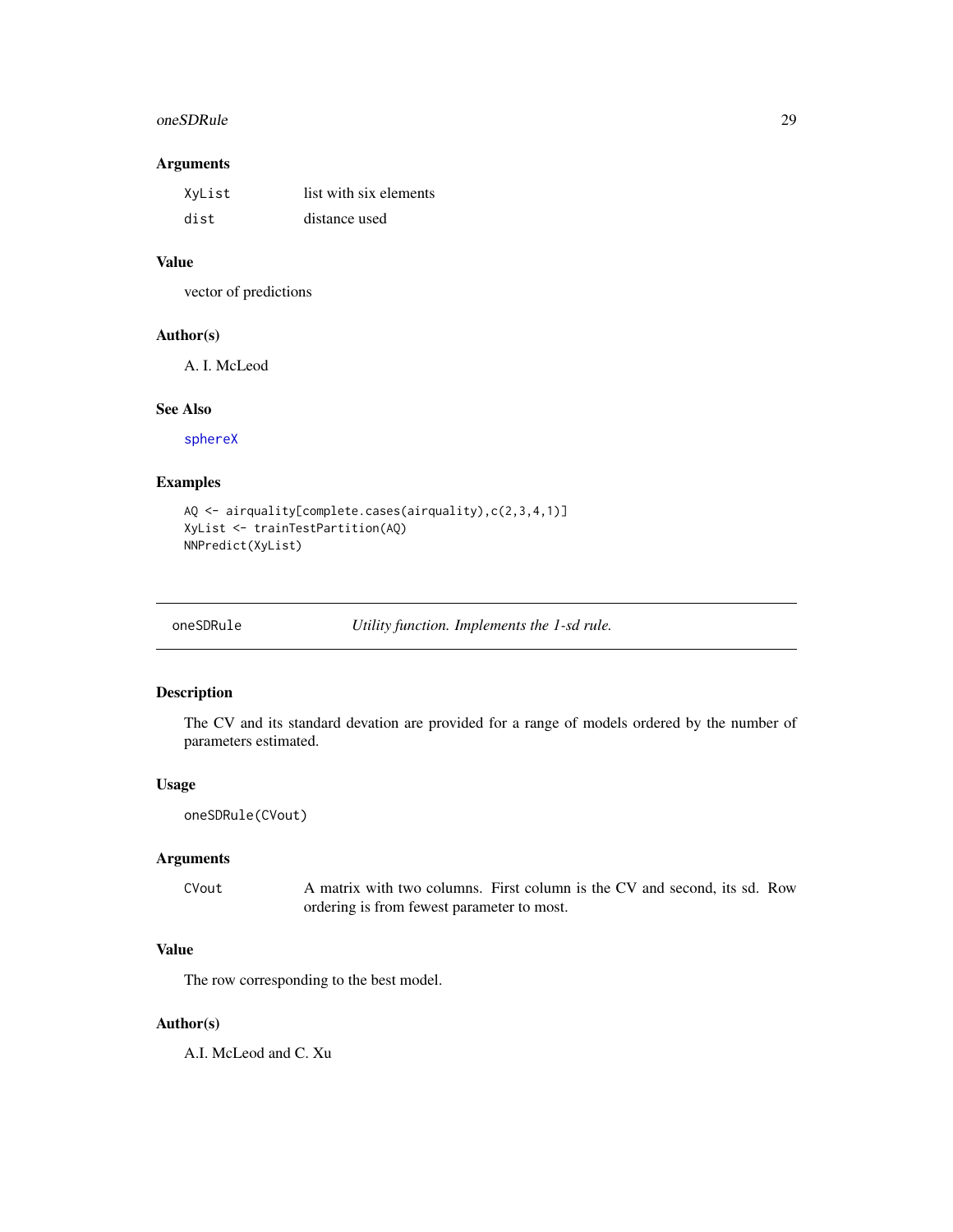#### <span id="page-28-0"></span>oneSDRule 29

#### Arguments

| XyList | list with six elements |
|--------|------------------------|
| dist   | distance used          |

#### Value

vector of predictions

#### Author(s)

A. I. McLeod

# See Also

[sphereX](#page-38-1)

# Examples

```
AQ <- airquality[complete.cases(airquality),c(2,3,4,1)]
XyList <- trainTestPartition(AQ)
NNPredict(XyList)
```
<span id="page-28-1"></span>oneSDRule *Utility function. Implements the 1-sd rule.*

# Description

The CV and its standard devation are provided for a range of models ordered by the number of parameters estimated.

#### Usage

```
oneSDRule(CVout)
```
## Arguments

CVout A matrix with two columns. First column is the CV and second, its sd. Row ordering is from fewest parameter to most.

# Value

The row corresponding to the best model.

#### Author(s)

A.I. McLeod and C. Xu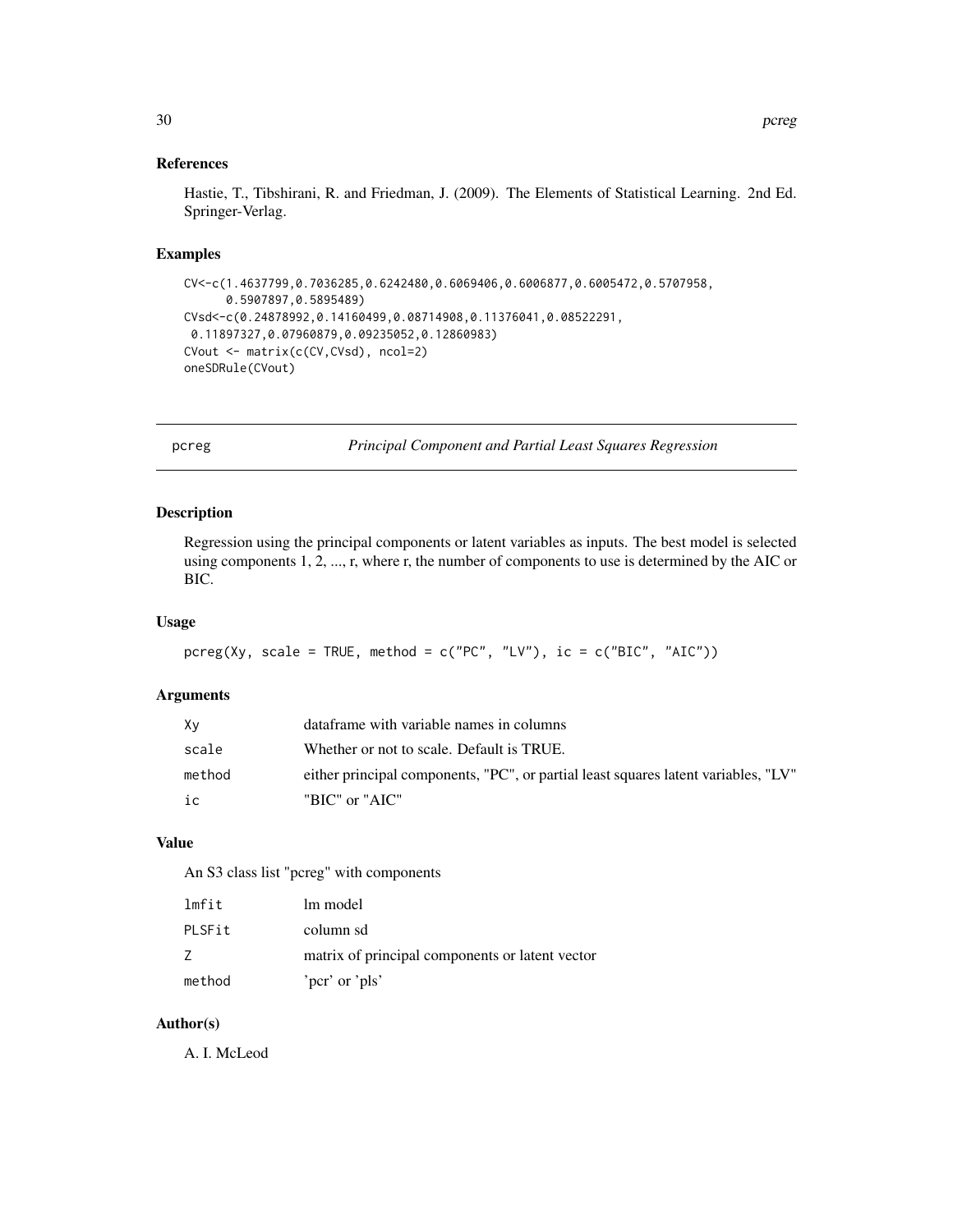# <span id="page-29-0"></span>References

Hastie, T., Tibshirani, R. and Friedman, J. (2009). The Elements of Statistical Learning. 2nd Ed. Springer-Verlag.

#### Examples

```
CV<-c(1.4637799,0.7036285,0.6242480,0.6069406,0.6006877,0.6005472,0.5707958,
     0.5907897,0.5895489)
CVsd<-c(0.24878992,0.14160499,0.08714908,0.11376041,0.08522291,
0.11897327,0.07960879,0.09235052,0.12860983)
CVout <- matrix(c(CV,CVsd), ncol=2)
oneSDRule(CVout)
```
<span id="page-29-1"></span>pcreg *Principal Component and Partial Least Squares Regression*

# Description

Regression using the principal components or latent variables as inputs. The best model is selected using components 1, 2, ..., r, where r, the number of components to use is determined by the AIC or BIC.

#### Usage

```
pereg(Xy, scale = TRUE, method = c("PC", "LV"), ic = c("BIC", "AIC"))
```
# Arguments

| Xν     | data frame with variable names in columns                                          |
|--------|------------------------------------------------------------------------------------|
| scale  | Whether or not to scale. Default is TRUE.                                          |
| method | either principal components, "PC", or partial least squares latent variables, "LV" |
| iс     | "BIC" or "AIC"                                                                     |

# Value

An S3 class list "pcreg" with components

| lmfit  | lm model                                        |
|--------|-------------------------------------------------|
| PLSFit | column sd                                       |
|        | matrix of principal components or latent vector |
| method | 'pcr' or 'pls'                                  |

#### Author(s)

A. I. McLeod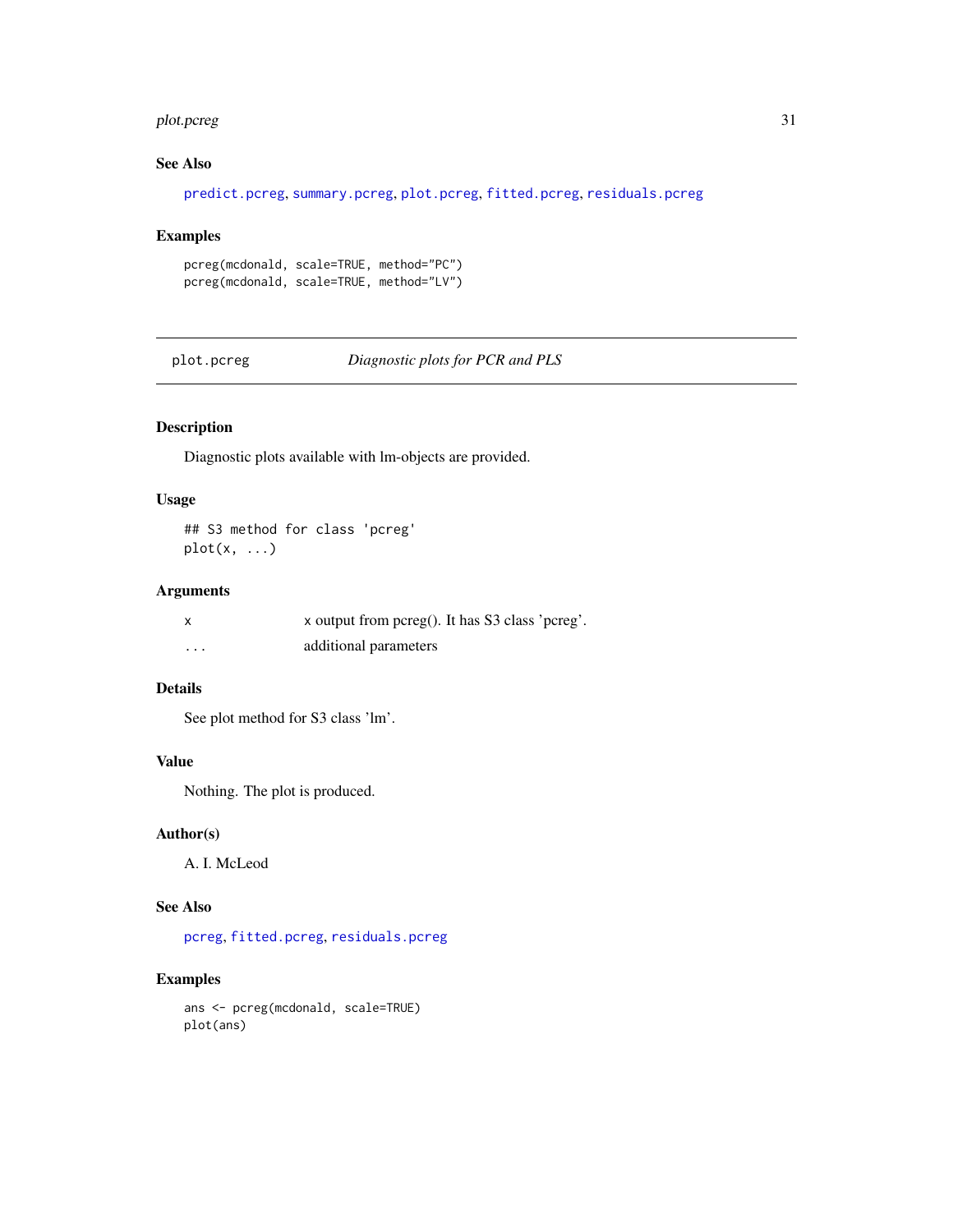#### <span id="page-30-0"></span>plot.pcreg 31

# See Also

[predict.pcreg](#page-32-1), [summary.pcreg](#page-40-1), [plot.pcreg](#page-30-1), [fitted.pcreg](#page-17-1), [residuals.pcreg](#page-34-1)

# Examples

```
pcreg(mcdonald, scale=TRUE, method="PC")
pcreg(mcdonald, scale=TRUE, method="LV")
```
<span id="page-30-1"></span>plot.pcreg *Diagnostic plots for PCR and PLS*

# Description

Diagnostic plots available with lm-objects are provided.

#### Usage

## S3 method for class 'pcreg'  $plot(x, \ldots)$ 

# Arguments

| $\boldsymbol{\mathsf{x}}$ | x output from pcreg(). It has S3 class 'pcreg'. |
|---------------------------|-------------------------------------------------|
| $\cdots$                  | additional parameters                           |

# Details

See plot method for S3 class 'lm'.

# Value

Nothing. The plot is produced.

#### Author(s)

A. I. McLeod

# See Also

[pcreg](#page-29-1), [fitted.pcreg](#page-17-1), [residuals.pcreg](#page-34-1)

# Examples

ans <- pcreg(mcdonald, scale=TRUE) plot(ans)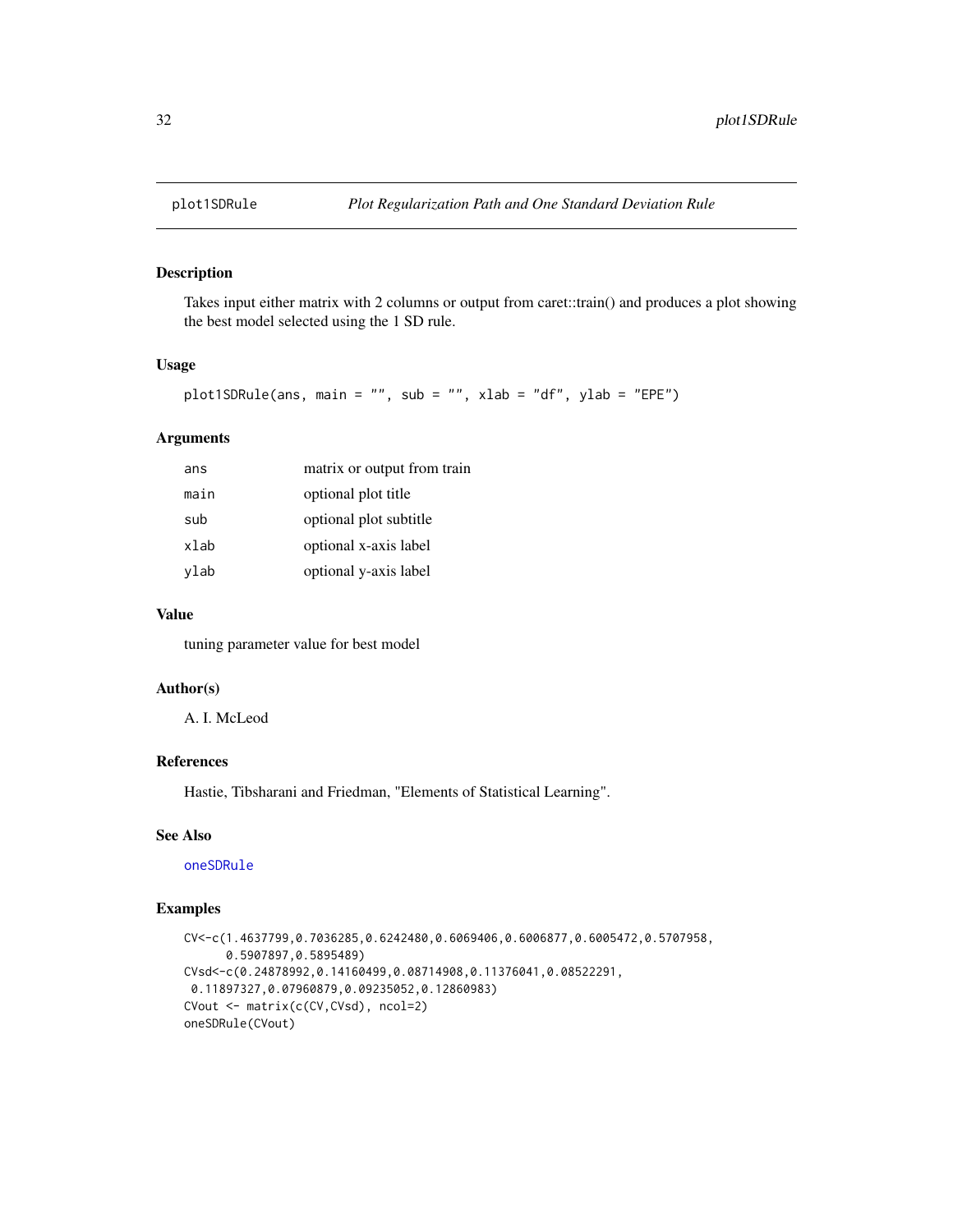<span id="page-31-0"></span>

Takes input either matrix with 2 columns or output from caret::train() and produces a plot showing the best model selected using the 1 SD rule.

#### Usage

```
plot1SDRule(ans, main = "", sub = "", xlab = "df", ylab = "EPE")
```
# Arguments

| ans  | matrix or output from train |
|------|-----------------------------|
| main | optional plot title         |
| sub  | optional plot subtitle      |
| xlab | optional x-axis label       |
| ylab | optional y-axis label       |

# Value

tuning parameter value for best model

# Author(s)

A. I. McLeod

### References

Hastie, Tibsharani and Friedman, "Elements of Statistical Learning".

# See Also

[oneSDRule](#page-28-1)

```
CV<-c(1.4637799,0.7036285,0.6242480,0.6069406,0.6006877,0.6005472,0.5707958,
      0.5907897,0.5895489)
CVsd<-c(0.24878992,0.14160499,0.08714908,0.11376041,0.08522291,
0.11897327,0.07960879,0.09235052,0.12860983)
CVout <- matrix(c(CV,CVsd), ncol=2)
oneSDRule(CVout)
```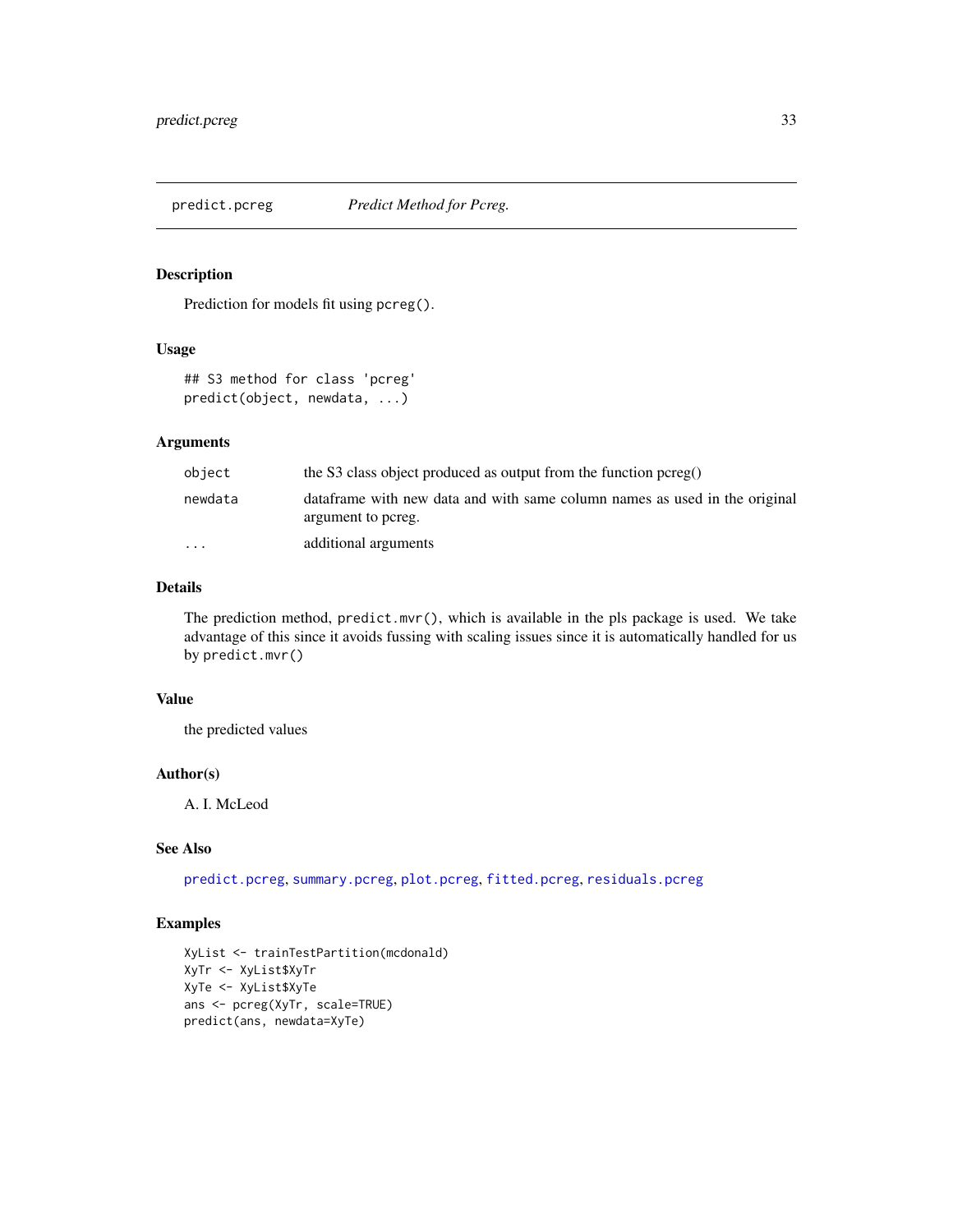<span id="page-32-1"></span><span id="page-32-0"></span>

Prediction for models fit using pcreg().

# Usage

## S3 method for class 'pcreg' predict(object, newdata, ...)

#### Arguments

| object    | the S3 class object produced as output from the function $perpe($ )                               |
|-----------|---------------------------------------------------------------------------------------------------|
| newdata   | data frame with new data and with same column names as used in the original<br>argument to pcreg. |
| $\ddotsc$ | additional arguments                                                                              |

#### Details

The prediction method,  $predict.mvr()$ , which is available in the pls package is used. We take advantage of this since it avoids fussing with scaling issues since it is automatically handled for us by predict.mvr()

# Value

the predicted values

# Author(s)

A. I. McLeod

# See Also

[predict.pcreg](#page-32-1), [summary.pcreg](#page-40-1), [plot.pcreg](#page-30-1), [fitted.pcreg](#page-17-1), [residuals.pcreg](#page-34-1)

```
XyList <- trainTestPartition(mcdonald)
XyTr <- XyList$XyTr
XyTe <- XyList$XyTe
ans <- pcreg(XyTr, scale=TRUE)
predict(ans, newdata=XyTe)
```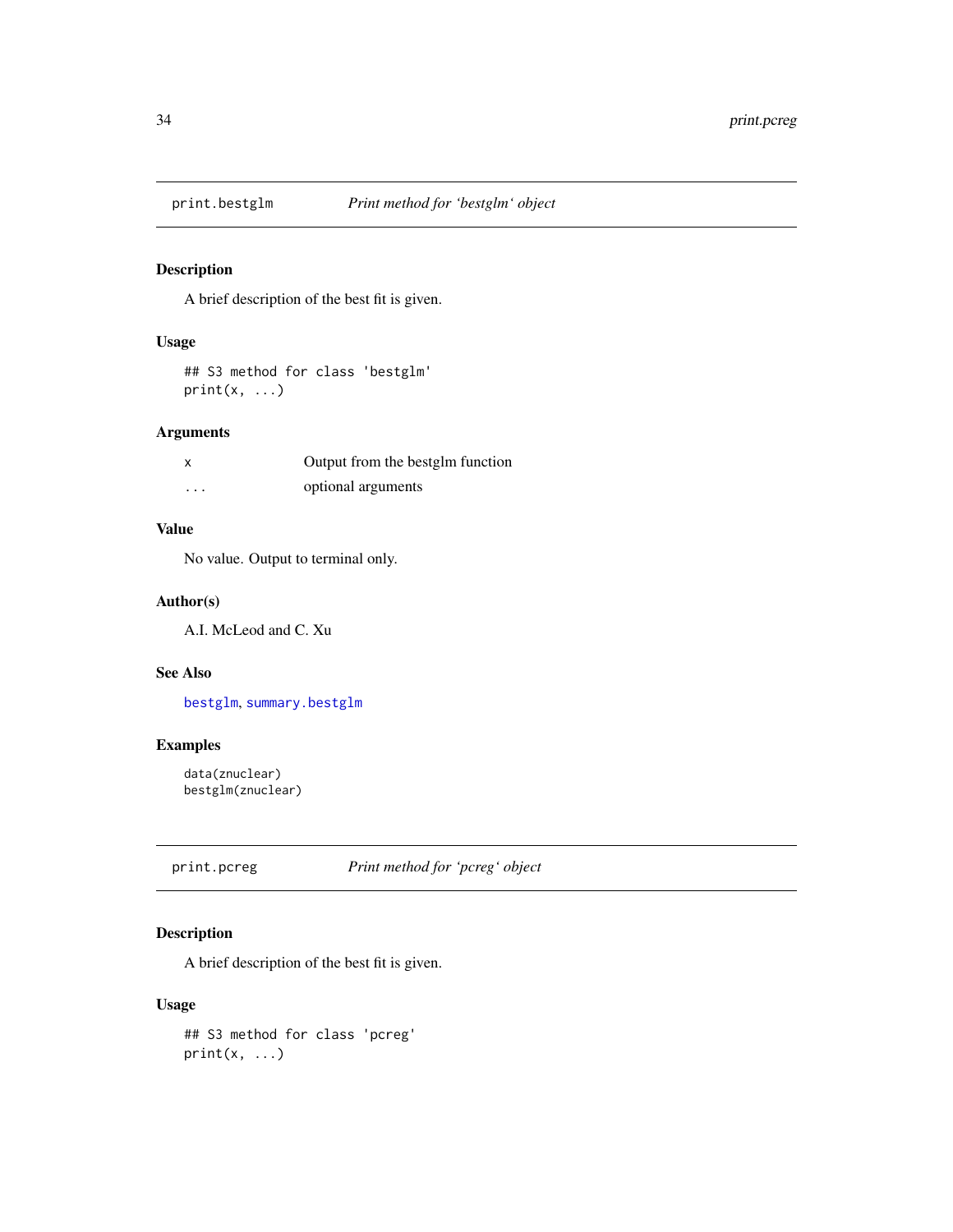<span id="page-33-1"></span><span id="page-33-0"></span>

A brief description of the best fit is given.

# Usage

## S3 method for class 'bestglm'  $print(x, \ldots)$ 

# Arguments

| x        | Output from the bestglm function |
|----------|----------------------------------|
| $\cdots$ | optional arguments               |

# Value

No value. Output to terminal only.

# Author(s)

A.I. McLeod and C. Xu

# See Also

[bestglm](#page-5-1), [summary.bestglm](#page-39-1)

# Examples

```
data(znuclear)
bestglm(znuclear)
```
print.pcreg *Print method for 'pcreg' object*

# Description

A brief description of the best fit is given.

#### Usage

```
## S3 method for class 'pcreg'
print(x, \ldots)
```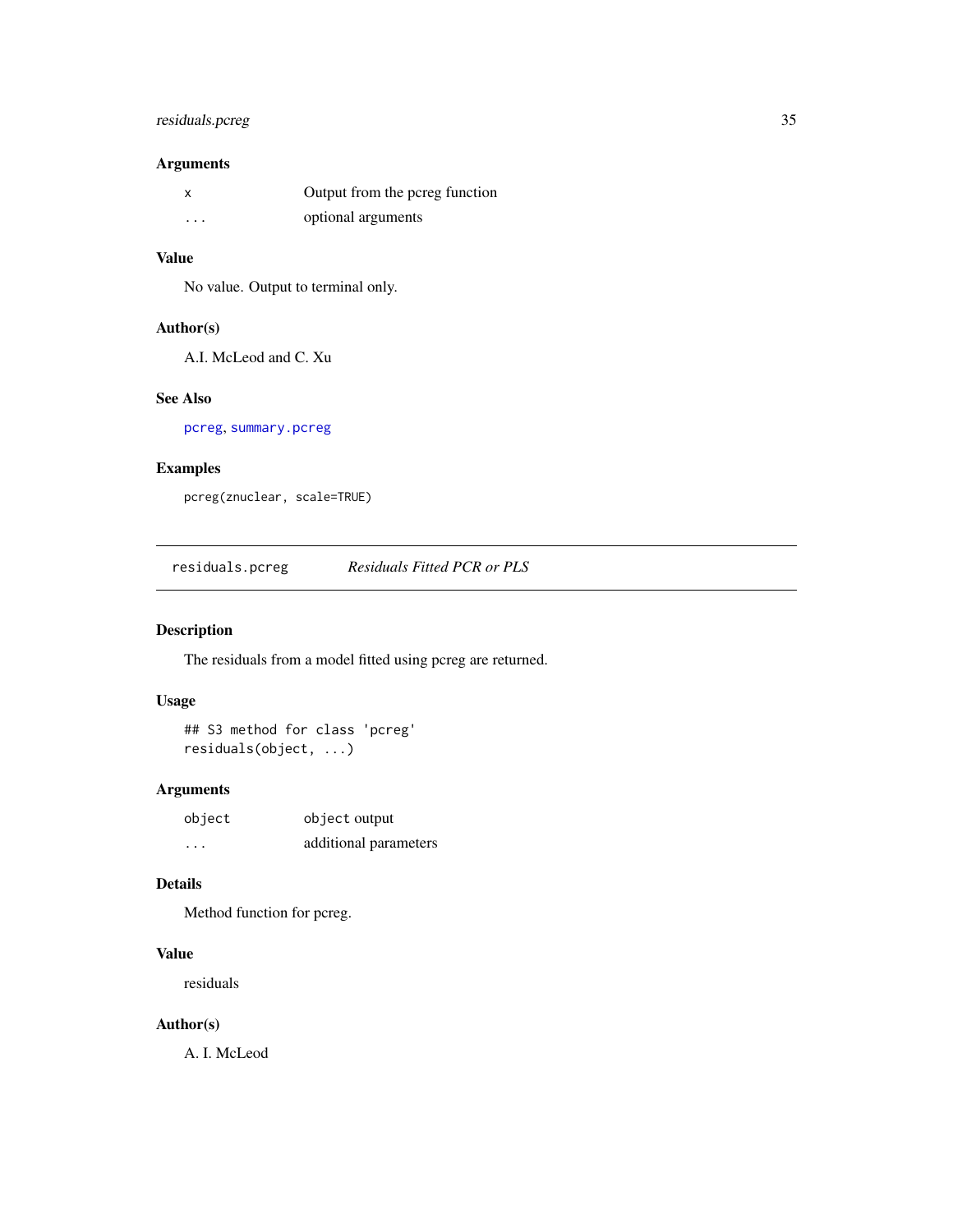# <span id="page-34-0"></span>residuals.pcreg 35

# Arguments

|          | Output from the pcreg function |
|----------|--------------------------------|
| $\cdots$ | optional arguments             |

#### Value

No value. Output to terminal only.

#### Author(s)

A.I. McLeod and C. Xu

#### See Also

[pcreg](#page-29-1), [summary.pcreg](#page-40-1)

#### Examples

pcreg(znuclear, scale=TRUE)

<span id="page-34-1"></span>residuals.pcreg *Residuals Fitted PCR or PLS*

# Description

The residuals from a model fitted using pcreg are returned.

# Usage

```
## S3 method for class 'pcreg'
residuals(object, ...)
```
#### Arguments

| object   | object output         |
|----------|-----------------------|
| $\cdots$ | additional parameters |

# Details

Method function for pcreg.

# Value

residuals

# Author(s)

A. I. McLeod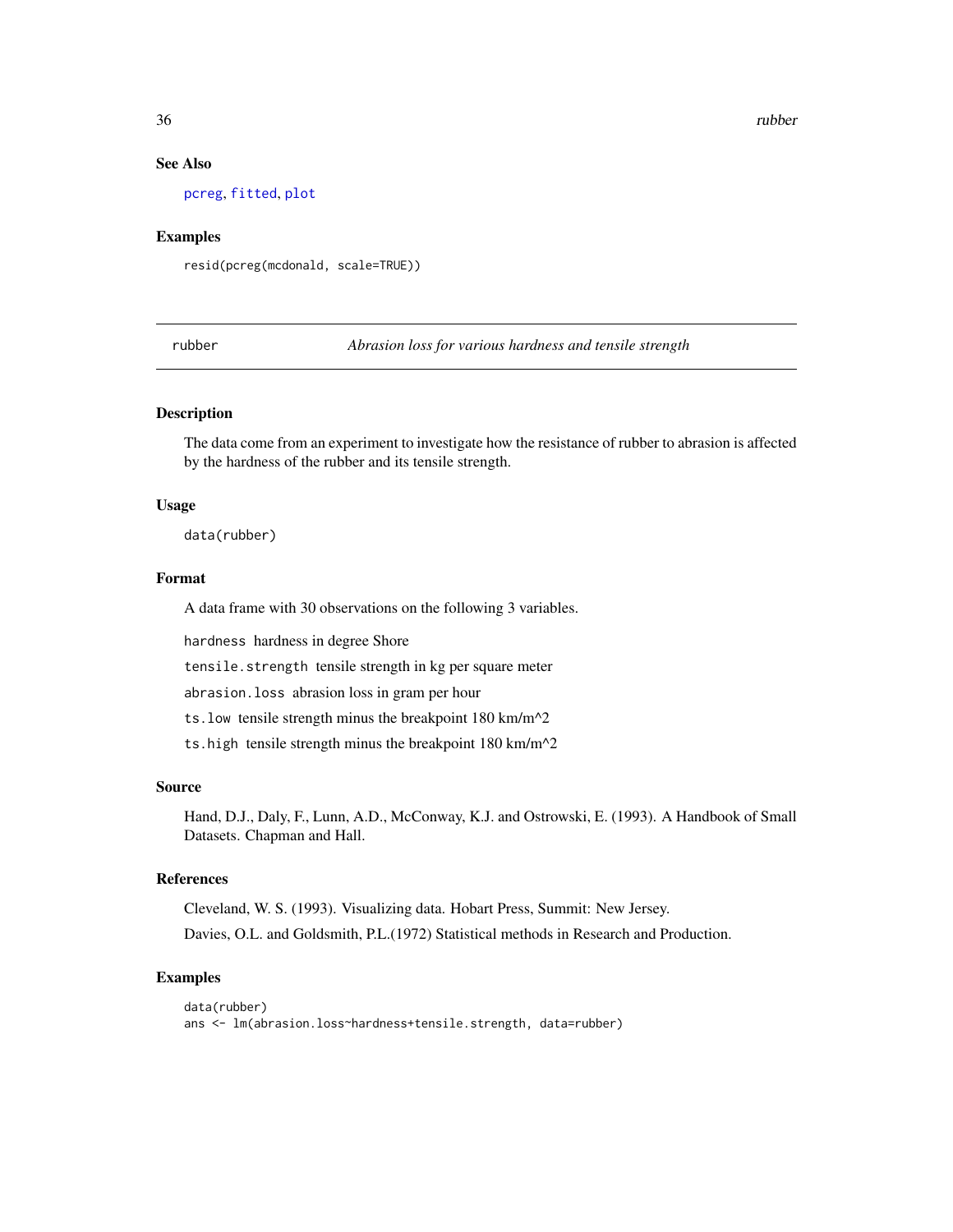#### See Also

[pcreg](#page-29-1), [fitted](#page-0-0), [plot](#page-0-0)

#### Examples

resid(pcreg(mcdonald, scale=TRUE))

rubber *Abrasion loss for various hardness and tensile strength*

#### Description

The data come from an experiment to investigate how the resistance of rubber to abrasion is affected by the hardness of the rubber and its tensile strength.

#### Usage

data(rubber)

#### Format

A data frame with 30 observations on the following 3 variables.

hardness hardness in degree Shore

tensile.strength tensile strength in kg per square meter

abrasion.loss abrasion loss in gram per hour

ts.low tensile strength minus the breakpoint 180 km/m^2

ts.high tensile strength minus the breakpoint 180 km/m^2

#### Source

Hand, D.J., Daly, F., Lunn, A.D., McConway, K.J. and Ostrowski, E. (1993). A Handbook of Small Datasets. Chapman and Hall.

#### References

Cleveland, W. S. (1993). Visualizing data. Hobart Press, Summit: New Jersey.

Davies, O.L. and Goldsmith, P.L.(1972) Statistical methods in Research and Production.

```
data(rubber)
ans <- lm(abrasion.loss~hardness+tensile.strength, data=rubber)
```
<span id="page-35-0"></span>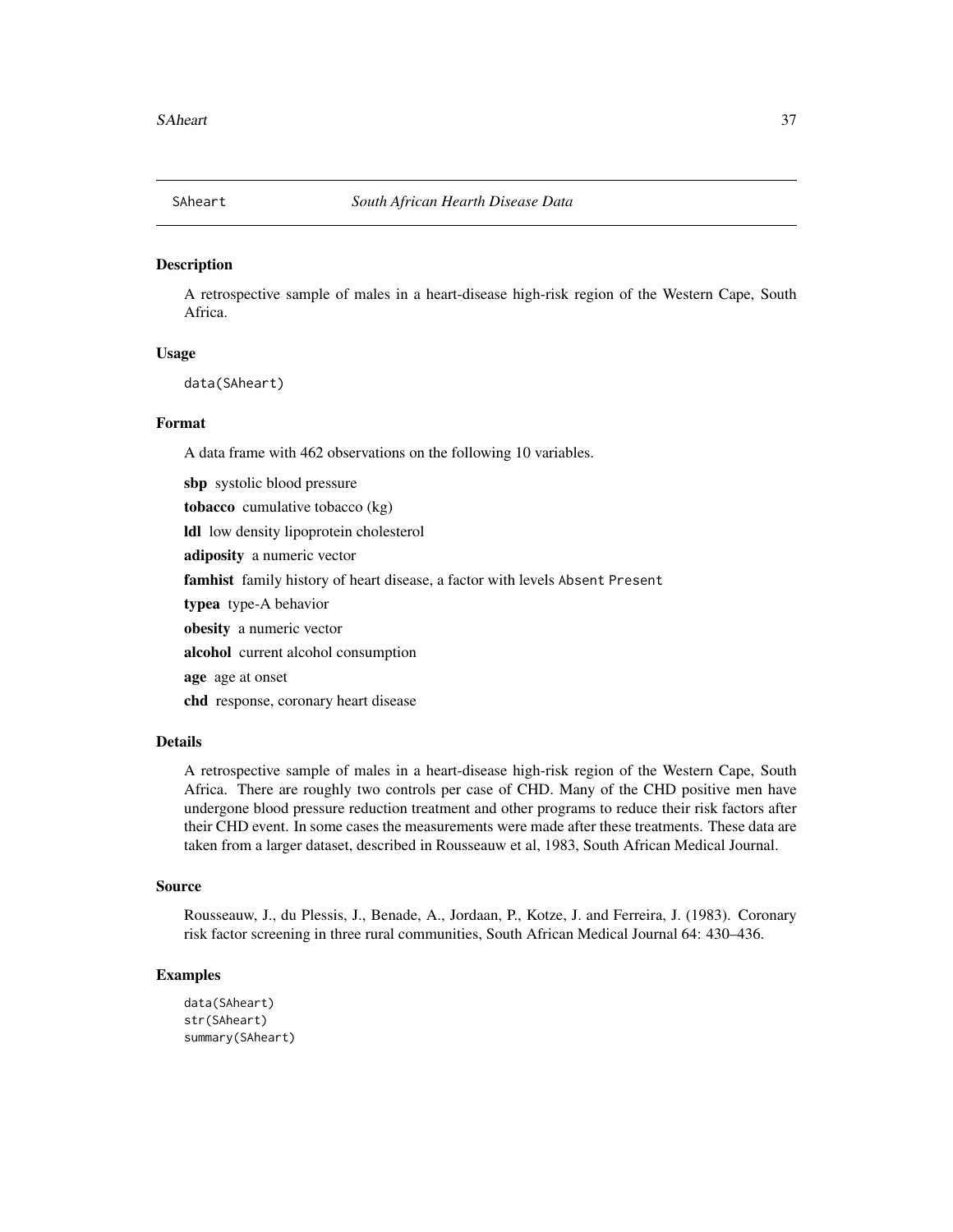<span id="page-36-0"></span>

A retrospective sample of males in a heart-disease high-risk region of the Western Cape, South Africa.

#### Usage

data(SAheart)

#### Format

A data frame with 462 observations on the following 10 variables.

sbp systolic blood pressure tobacco cumulative tobacco (kg) ldl low density lipoprotein cholesterol adiposity a numeric vector famhist family history of heart disease, a factor with levels Absent Present typea type-A behavior obesity a numeric vector alcohol current alcohol consumption age age at onset chd response, coronary heart disease

#### Details

A retrospective sample of males in a heart-disease high-risk region of the Western Cape, South Africa. There are roughly two controls per case of CHD. Many of the CHD positive men have undergone blood pressure reduction treatment and other programs to reduce their risk factors after their CHD event. In some cases the measurements were made after these treatments. These data are taken from a larger dataset, described in Rousseauw et al, 1983, South African Medical Journal.

#### Source

Rousseauw, J., du Plessis, J., Benade, A., Jordaan, P., Kotze, J. and Ferreira, J. (1983). Coronary risk factor screening in three rural communities, South African Medical Journal 64: 430–436.

```
data(SAheart)
str(SAheart)
summary(SAheart)
```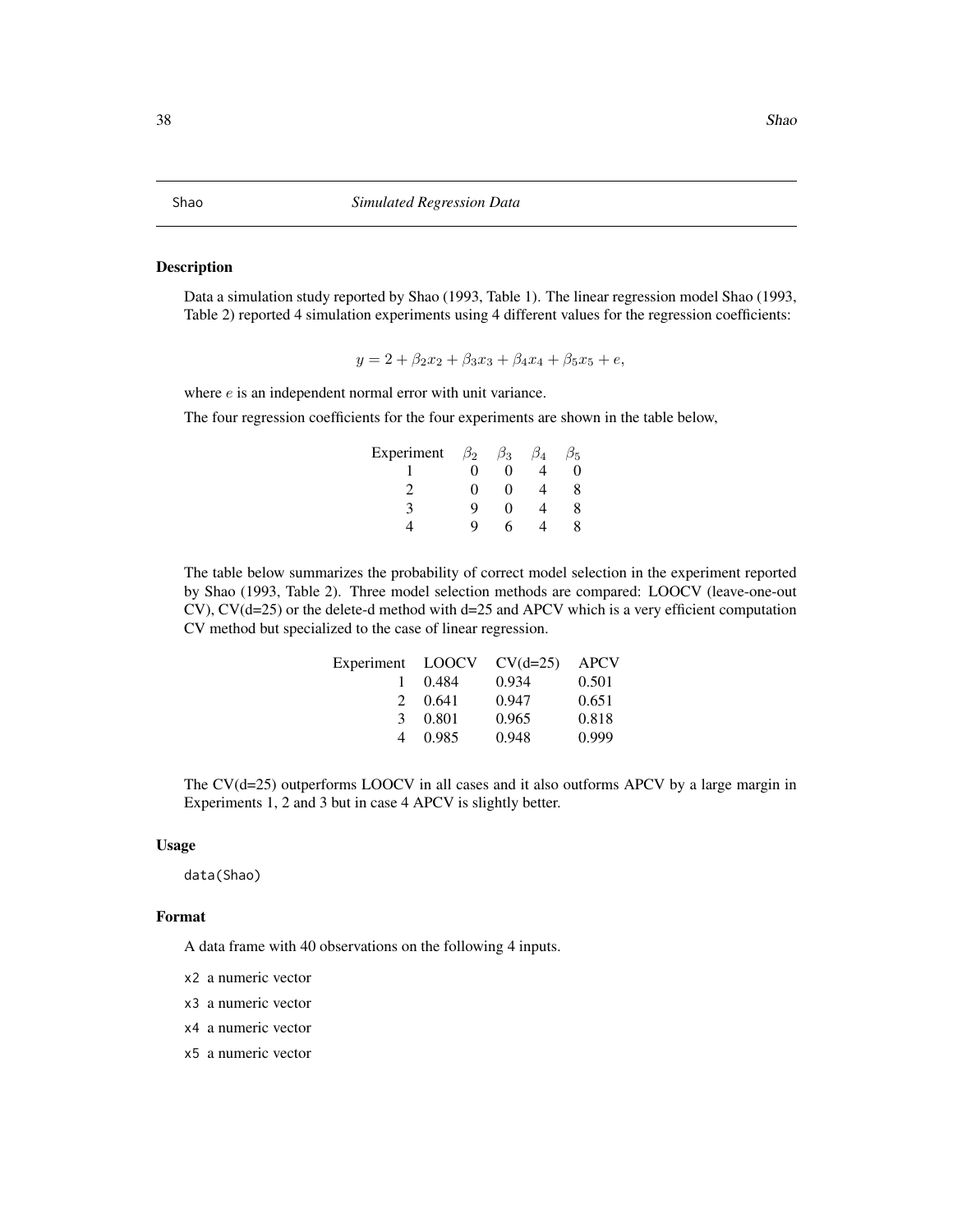<span id="page-37-0"></span>Data a simulation study reported by Shao (1993, Table 1). The linear regression model Shao (1993, Table 2) reported 4 simulation experiments using 4 different values for the regression coefficients:

$$
y = 2 + \beta_2 x_2 + \beta_3 x_3 + \beta_4 x_4 + \beta_5 x_5 + e,
$$

where  $e$  is an independent normal error with unit variance.

The four regression coefficients for the four experiments are shown in the table below,

| Experiment | $\beta_2$         | $\beta_3$ | β4 | $\frac{1}{5}$ |
|------------|-------------------|-----------|----|---------------|
|            | $\mathbf{\Omega}$ | ∩         |    |               |
|            | 0                 | 0         |    | 8             |
|            | Q                 | 0         |    |               |
|            | Q                 | h         |    |               |

The table below summarizes the probability of correct model selection in the experiment reported by Shao (1993, Table 2). Three model selection methods are compared: LOOCV (leave-one-out CV), CV(d=25) or the delete-d method with d=25 and APCV which is a very efficient computation CV method but specialized to the case of linear regression.

| Experiment LOOCV |       | $CV(d=25)$ | <b>APCV</b> |
|------------------|-------|------------|-------------|
|                  | 0.484 | 0.934      | 0.501       |
| $2^{\circ}$      | 0.641 | 0.947      | 0.651       |
| $\mathcal{F}$    | 0.801 | 0.965      | 0.818       |
| 4                | 0.985 | 0.948      | 0.999       |

The  $CV(d=25)$  outperforms LOOCV in all cases and it also outforms APCV by a large margin in Experiments 1, 2 and 3 but in case 4 APCV is slightly better.

#### Usage

data(Shao)

#### Format

A data frame with 40 observations on the following 4 inputs.

- x2 a numeric vector
- x3 a numeric vector
- x4 a numeric vector
- x5 a numeric vector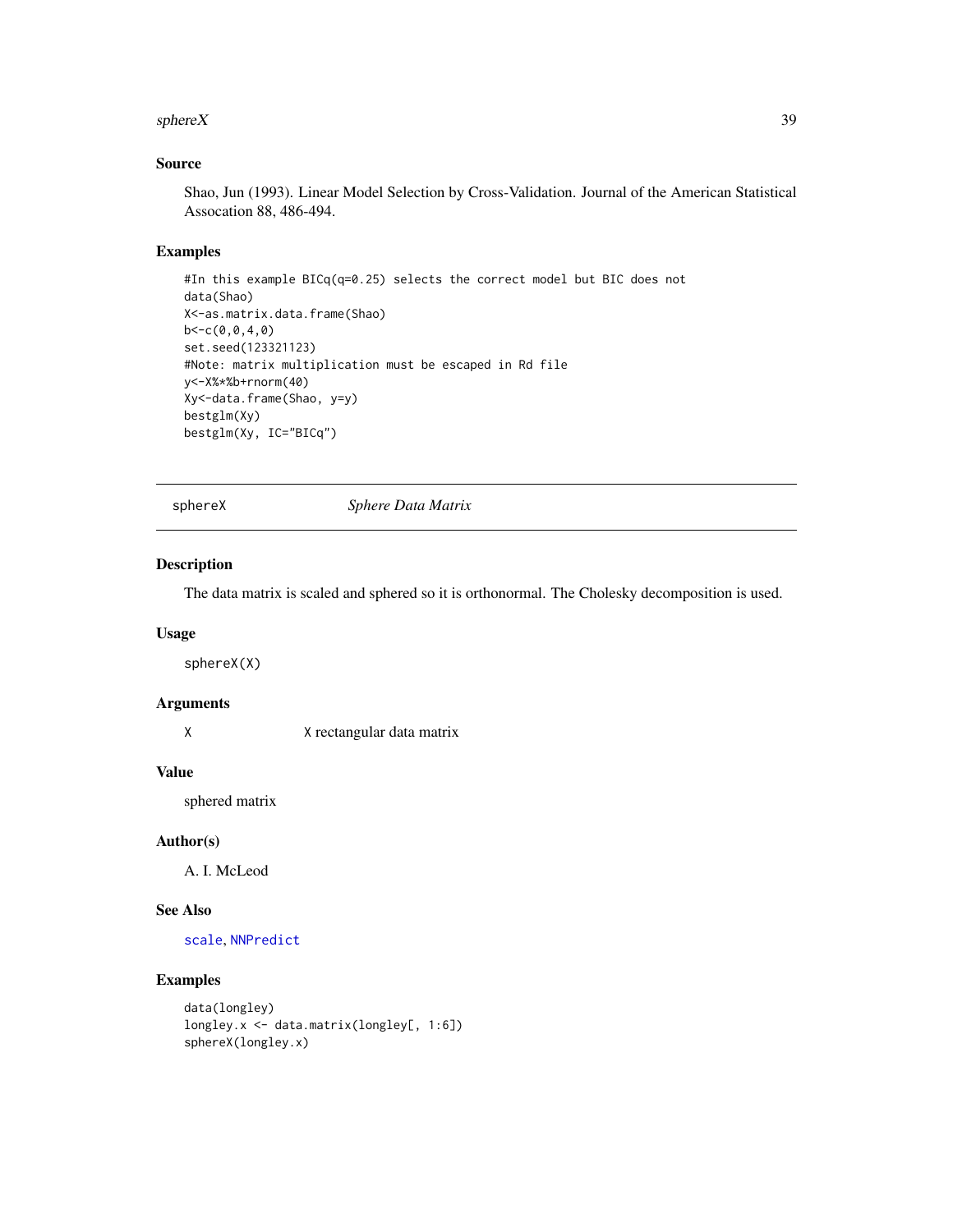#### <span id="page-38-0"></span>sphereX 39

# Source

Shao, Jun (1993). Linear Model Selection by Cross-Validation. Journal of the American Statistical Assocation 88, 486-494.

#### Examples

```
#In this example BICq(q=0.25) selects the correct model but BIC does not
data(Shao)
X<-as.matrix.data.frame(Shao)
b < -c(0, 0, 4, 0)set.seed(123321123)
#Note: matrix multiplication must be escaped in Rd file
y<-X%*%b+rnorm(40)
Xy<-data.frame(Shao, y=y)
bestglm(Xy)
bestglm(Xy, IC="BICq")
```
<span id="page-38-1"></span>sphereX *Sphere Data Matrix*

# **Description**

The data matrix is scaled and sphered so it is orthonormal. The Cholesky decomposition is used.

# Usage

sphereX(X)

# Arguments

X X rectangular data matrix

#### Value

sphered matrix

#### Author(s)

A. I. McLeod

#### See Also

[scale](#page-0-0), [NNPredict](#page-27-1)

```
data(longley)
longley.x <- data.matrix(longley[, 1:6])
sphereX(longley.x)
```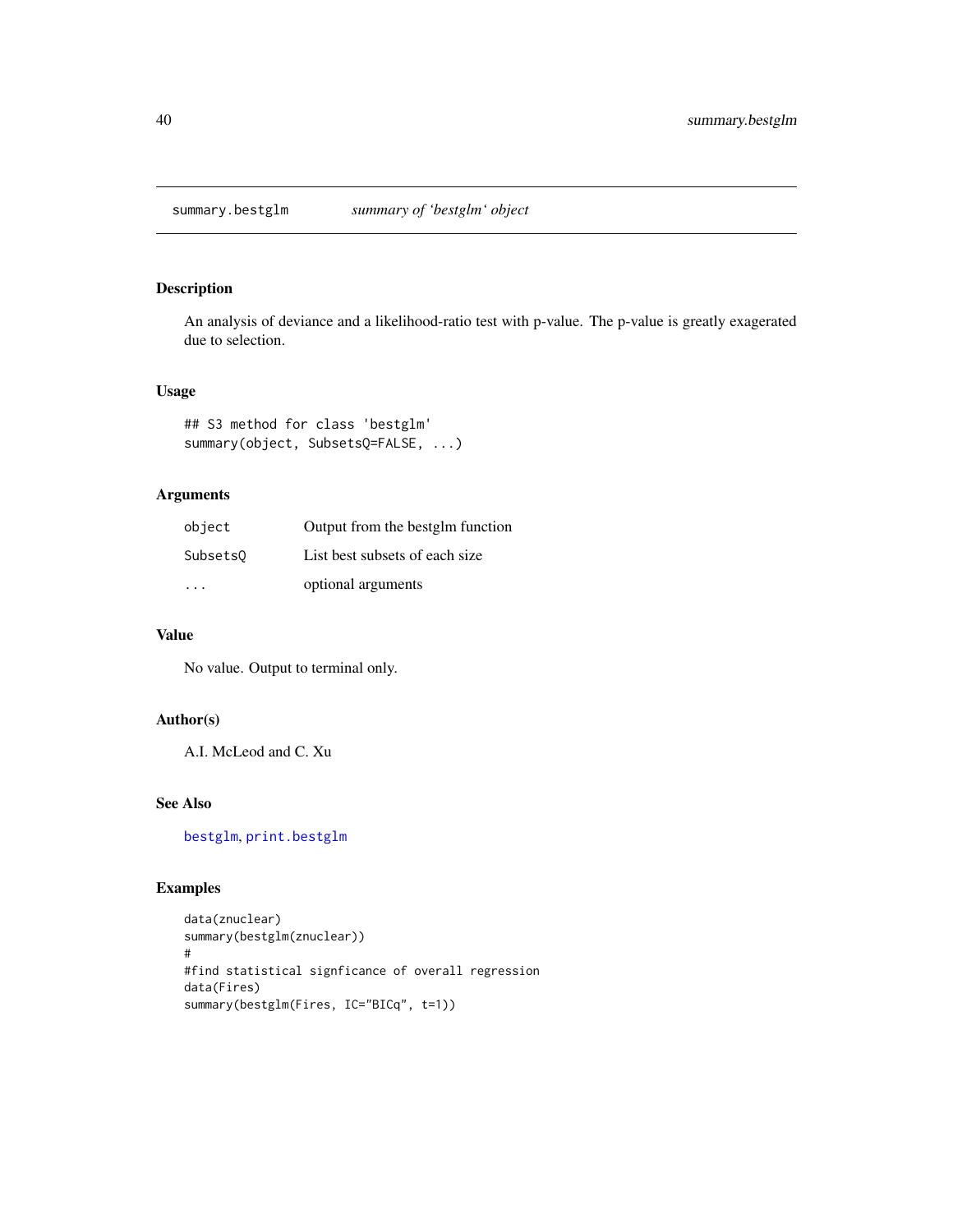<span id="page-39-1"></span><span id="page-39-0"></span>summary.bestglm *summary of 'bestglm' object*

# Description

An analysis of deviance and a likelihood-ratio test with p-value. The p-value is greatly exagerated due to selection.

#### Usage

## S3 method for class 'bestglm' summary(object, SubsetsQ=FALSE, ...)

# Arguments

| object   | Output from the bestglm function |
|----------|----------------------------------|
| Subsets0 | List best subsets of each size   |
|          | optional arguments               |

# Value

No value. Output to terminal only.

# Author(s)

A.I. McLeod and C. Xu

# See Also

[bestglm](#page-5-1), [print.bestglm](#page-33-1)

```
data(znuclear)
summary(bestglm(znuclear))
#
#find statistical signficance of overall regression
data(Fires)
summary(bestglm(Fires, IC="BICq", t=1))
```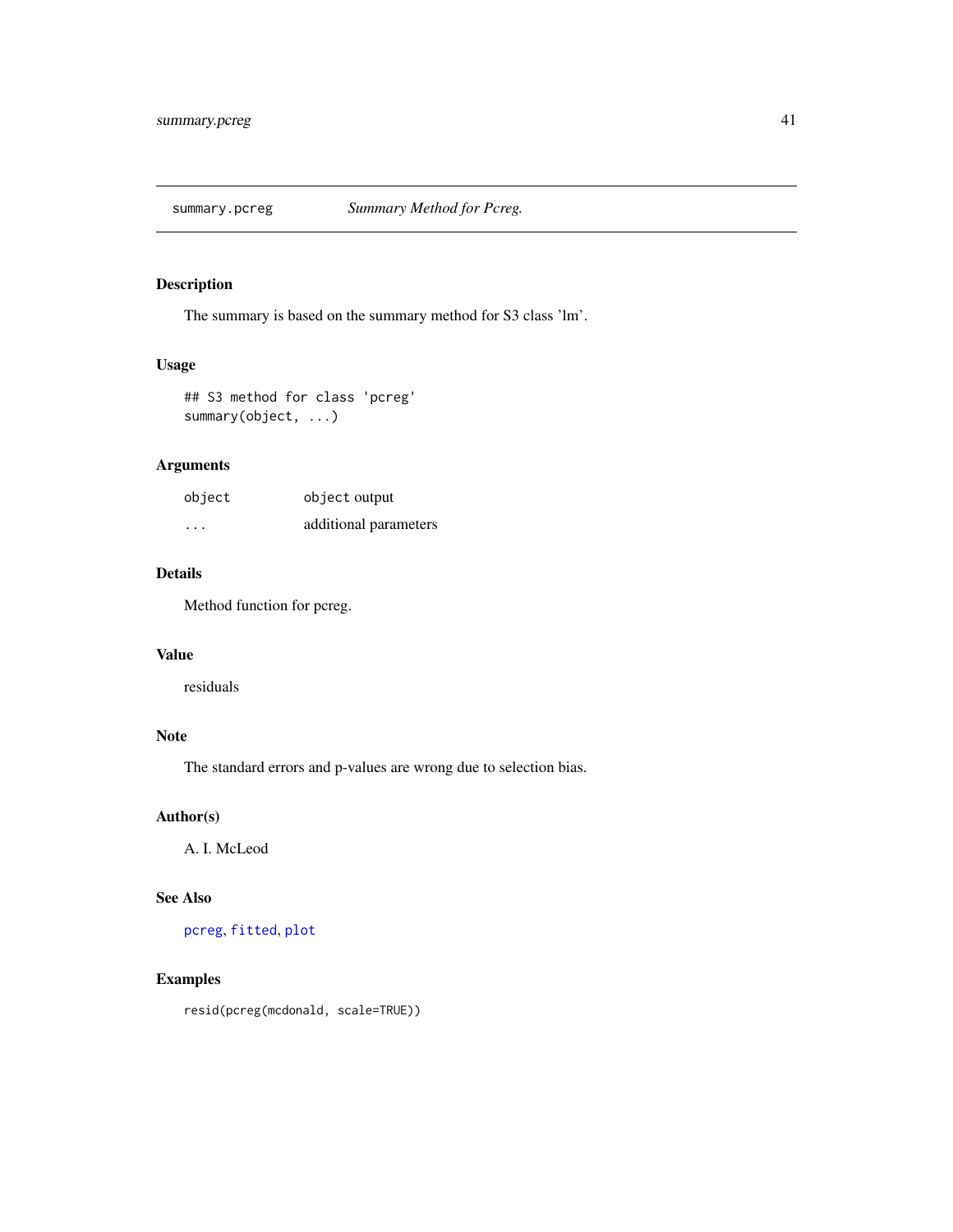<span id="page-40-1"></span><span id="page-40-0"></span>

The summary is based on the summary method for S3 class 'lm'.

# Usage

## S3 method for class 'pcreg' summary(object, ...)

# Arguments

| object | object output         |
|--------|-----------------------|
| .      | additional parameters |

# Details

Method function for pcreg.

# Value

residuals

# Note

The standard errors and p-values are wrong due to selection bias.

# Author(s)

A. I. McLeod

# See Also

[pcreg](#page-29-1), [fitted](#page-0-0), [plot](#page-0-0)

# Examples

resid(pcreg(mcdonald, scale=TRUE))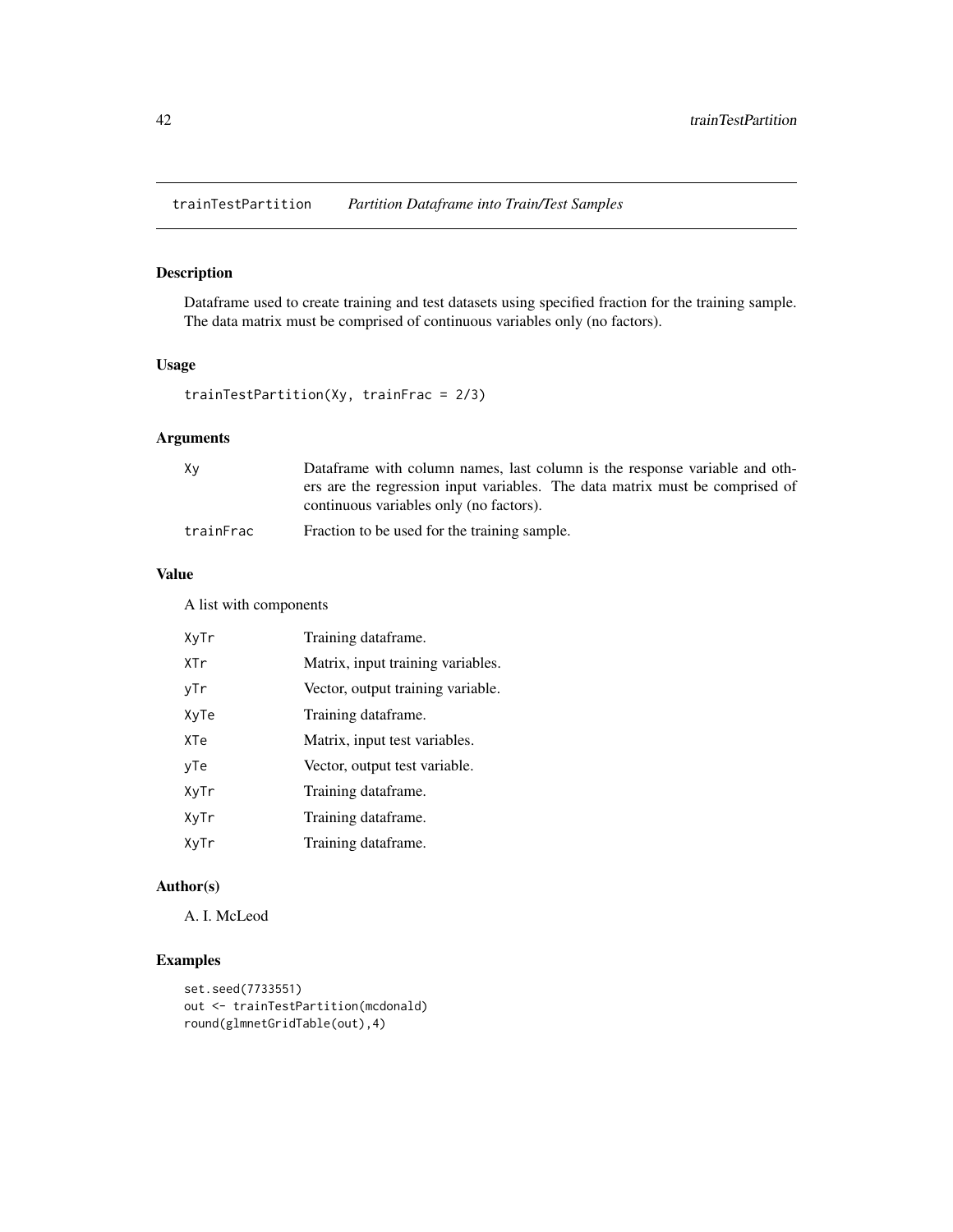<span id="page-41-1"></span><span id="page-41-0"></span>trainTestPartition *Partition Dataframe into Train/Test Samples*

# Description

Dataframe used to create training and test datasets using specified fraction for the training sample. The data matrix must be comprised of continuous variables only (no factors).

#### Usage

```
trainTestPartition(Xy, trainFrac = 2/3)
```
# Arguments

| Χv        | Dataframe with column names, last column is the response variable and oth-   |
|-----------|------------------------------------------------------------------------------|
|           | ers are the regression input variables. The data matrix must be comprised of |
|           | continuous variables only (no factors).                                      |
| trainFrac | Fraction to be used for the training sample.                                 |

#### Value

A list with components

| XyTr | Training dataframe.               |
|------|-----------------------------------|
| XTr  | Matrix, input training variables. |
| vTr  | Vector, output training variable. |
| XvTe | Training dataframe.               |
| XTe  | Matrix, input test variables.     |
| vTe  | Vector, output test variable.     |
| XyTr | Training dataframe.               |
| XyTr | Training dataframe.               |
| XyTr | Training dataframe.               |

# Author(s)

A. I. McLeod

```
set.seed(7733551)
out <- trainTestPartition(mcdonald)
round(glmnetGridTable(out),4)
```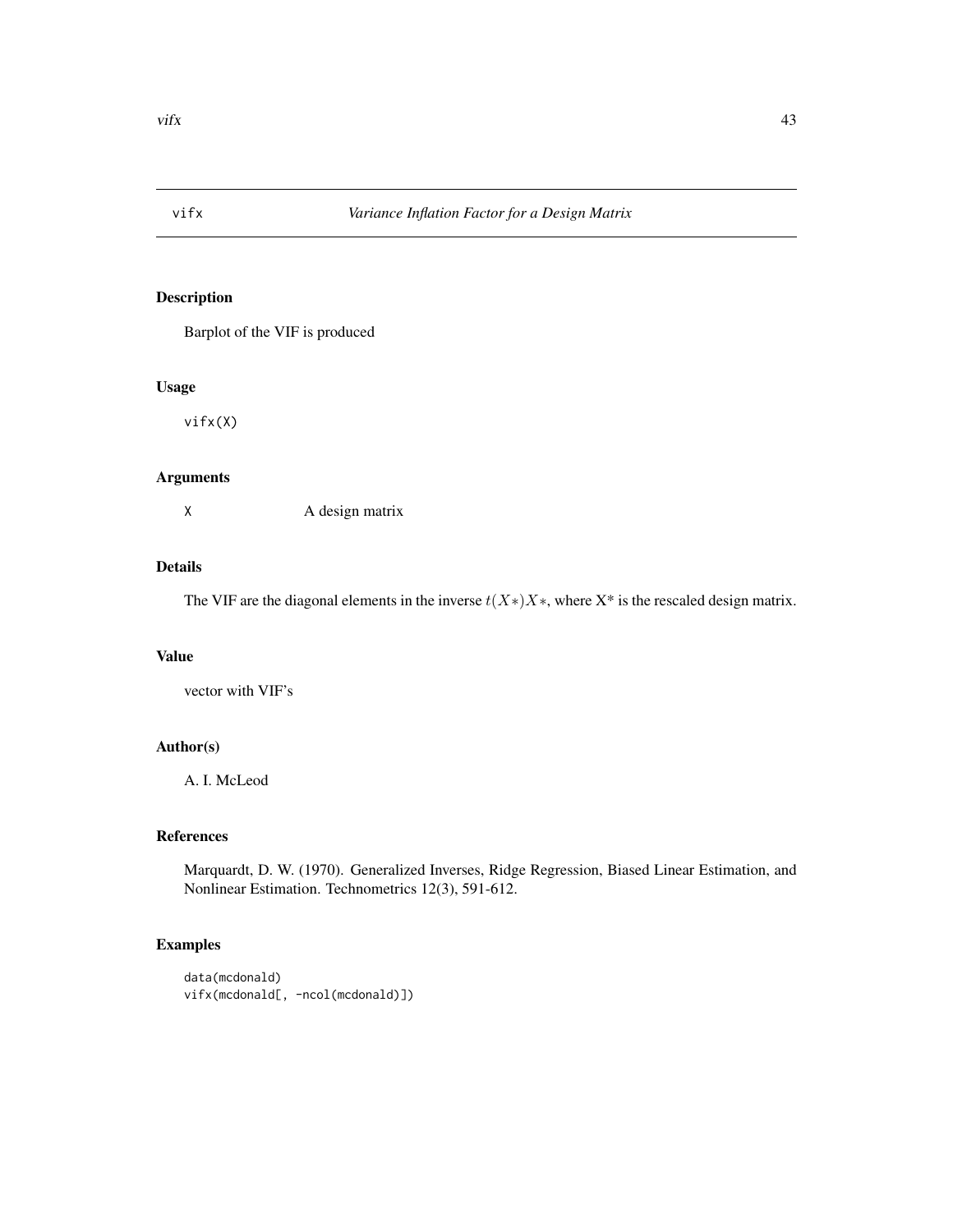<span id="page-42-0"></span>

Barplot of the VIF is produced

#### Usage

vifx(X)

# Arguments

X A design matrix

#### Details

The VIF are the diagonal elements in the inverse  $t(X*)X^*$ , where  $X^*$  is the rescaled design matrix.

#### Value

vector with VIF's

# Author(s)

A. I. McLeod

# References

Marquardt, D. W. (1970). Generalized Inverses, Ridge Regression, Biased Linear Estimation, and Nonlinear Estimation. Technometrics 12(3), 591-612.

```
data(mcdonald)
vifx(mcdonald[, -ncol(mcdonald)])
```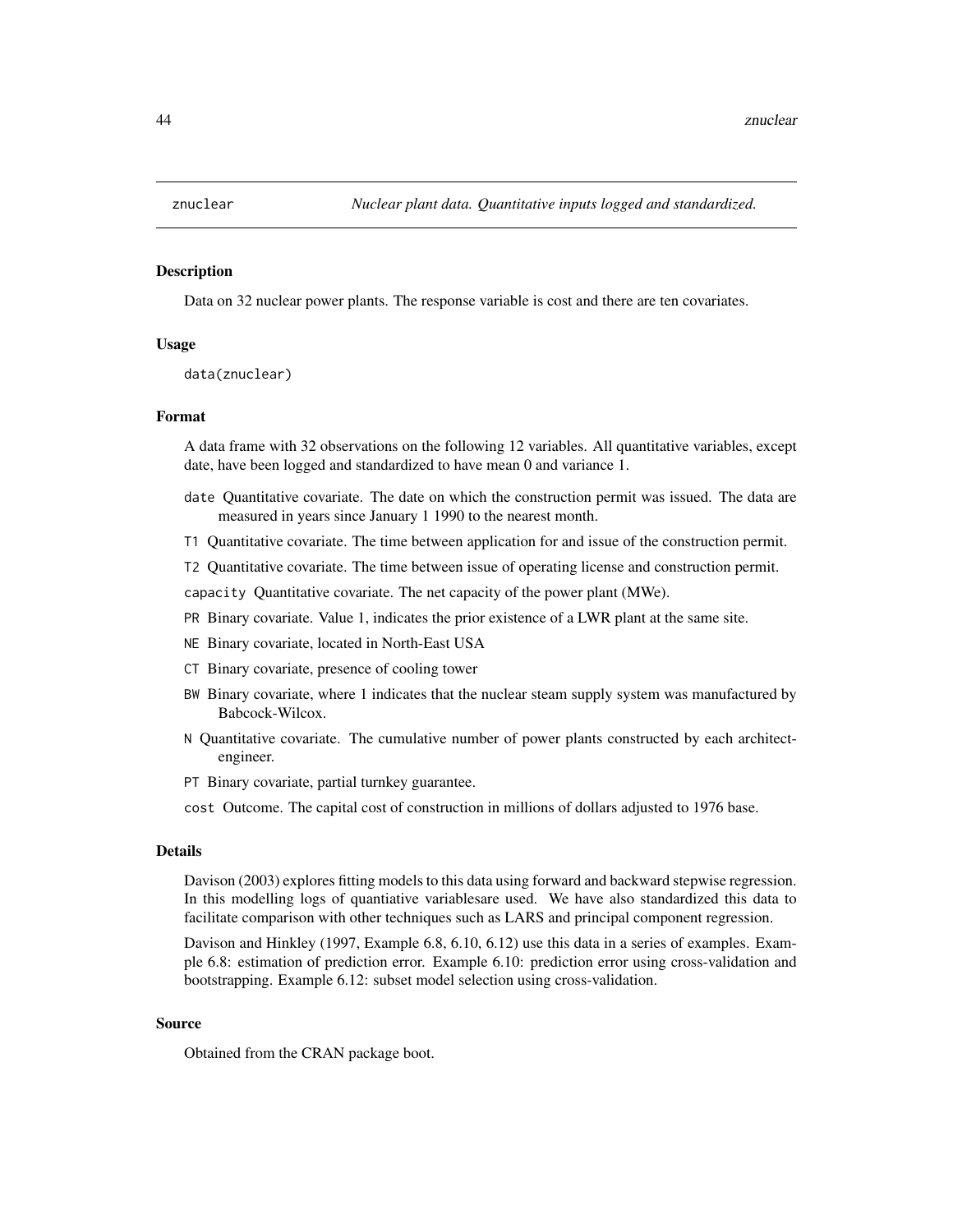<span id="page-43-0"></span>

Data on 32 nuclear power plants. The response variable is cost and there are ten covariates.

#### Usage

data(znuclear)

#### Format

A data frame with 32 observations on the following 12 variables. All quantitative variables, except date, have been logged and standardized to have mean 0 and variance 1.

- date Quantitative covariate. The date on which the construction permit was issued. The data are measured in years since January 1 1990 to the nearest month.
- T1 Quantitative covariate. The time between application for and issue of the construction permit.
- T2 Quantitative covariate. The time between issue of operating license and construction permit.

capacity Quantitative covariate. The net capacity of the power plant (MWe).

- PR Binary covariate. Value 1, indicates the prior existence of a LWR plant at the same site.
- NE Binary covariate, located in North-East USA
- CT Binary covariate, presence of cooling tower
- BW Binary covariate, where 1 indicates that the nuclear steam supply system was manufactured by Babcock-Wilcox.
- N Quantitative covariate. The cumulative number of power plants constructed by each architectengineer.
- PT Binary covariate, partial turnkey guarantee.

cost Outcome. The capital cost of construction in millions of dollars adjusted to 1976 base.

#### Details

Davison (2003) explores fitting models to this data using forward and backward stepwise regression. In this modelling logs of quantiative variablesare used. We have also standardized this data to facilitate comparison with other techniques such as LARS and principal component regression.

Davison and Hinkley (1997, Example 6.8, 6.10, 6.12) use this data in a series of examples. Example 6.8: estimation of prediction error. Example 6.10: prediction error using cross-validation and bootstrapping. Example 6.12: subset model selection using cross-validation.

#### Source

Obtained from the CRAN package boot.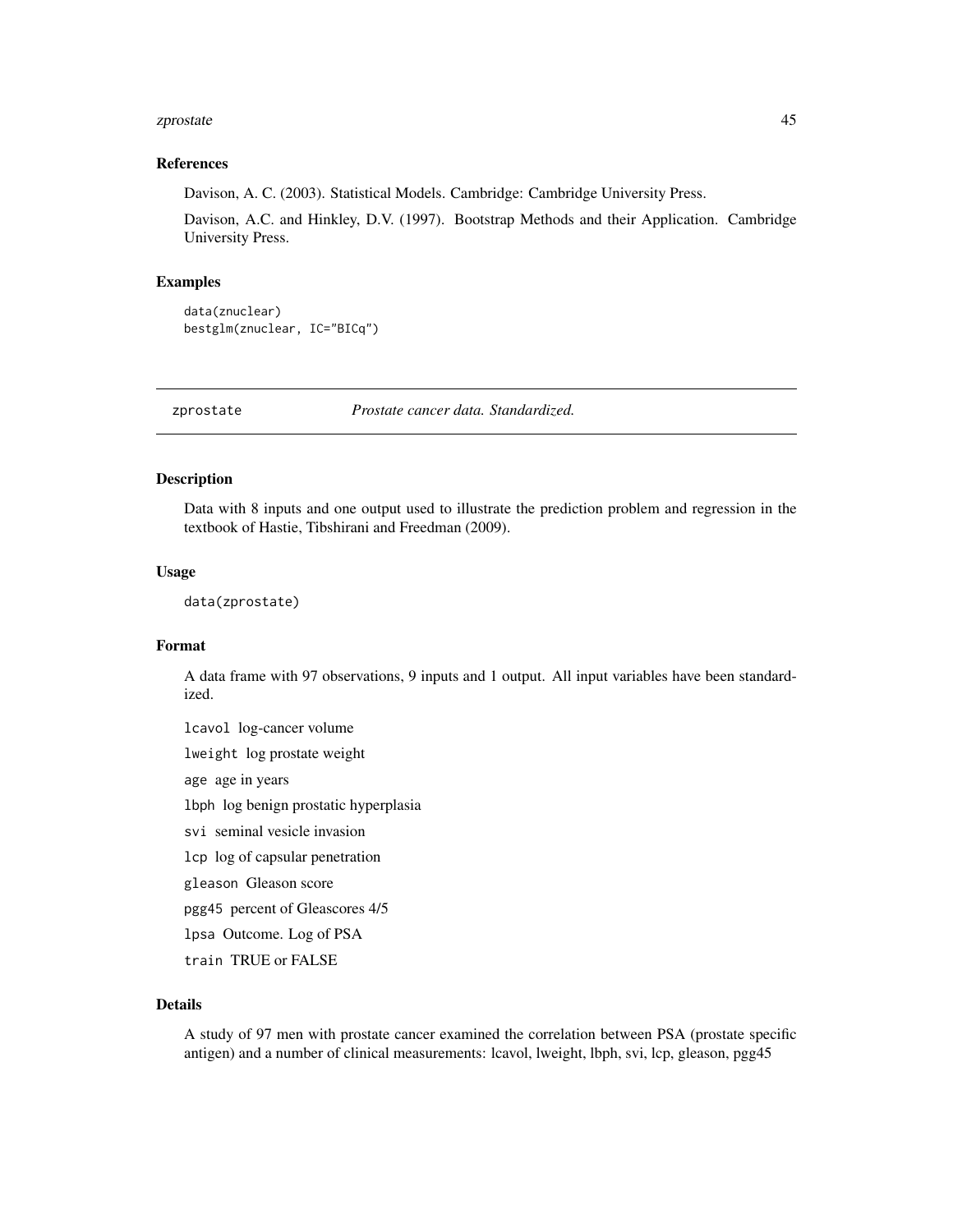#### <span id="page-44-0"></span>zprostate and the set of the set of the set of the set of the set of the set of the set of the set of the set of the set of the set of the set of the set of the set of the set of the set of the set of the set of the set of

#### References

Davison, A. C. (2003). Statistical Models. Cambridge: Cambridge University Press.

Davison, A.C. and Hinkley, D.V. (1997). Bootstrap Methods and their Application. Cambridge University Press.

# Examples

```
data(znuclear)
bestglm(znuclear, IC="BICq")
```
zprostate *Prostate cancer data. Standardized.*

# Description

Data with 8 inputs and one output used to illustrate the prediction problem and regression in the textbook of Hastie, Tibshirani and Freedman (2009).

# Usage

data(zprostate)

# Format

A data frame with 97 observations, 9 inputs and 1 output. All input variables have been standardized.

lcavol log-cancer volume lweight log prostate weight age age in years lbph log benign prostatic hyperplasia svi seminal vesicle invasion lcp log of capsular penetration gleason Gleason score pgg45 percent of Gleascores 4/5 lpsa Outcome. Log of PSA train TRUE or FALSE

# Details

A study of 97 men with prostate cancer examined the correlation between PSA (prostate specific antigen) and a number of clinical measurements: lcavol, lweight, lbph, svi, lcp, gleason, pgg45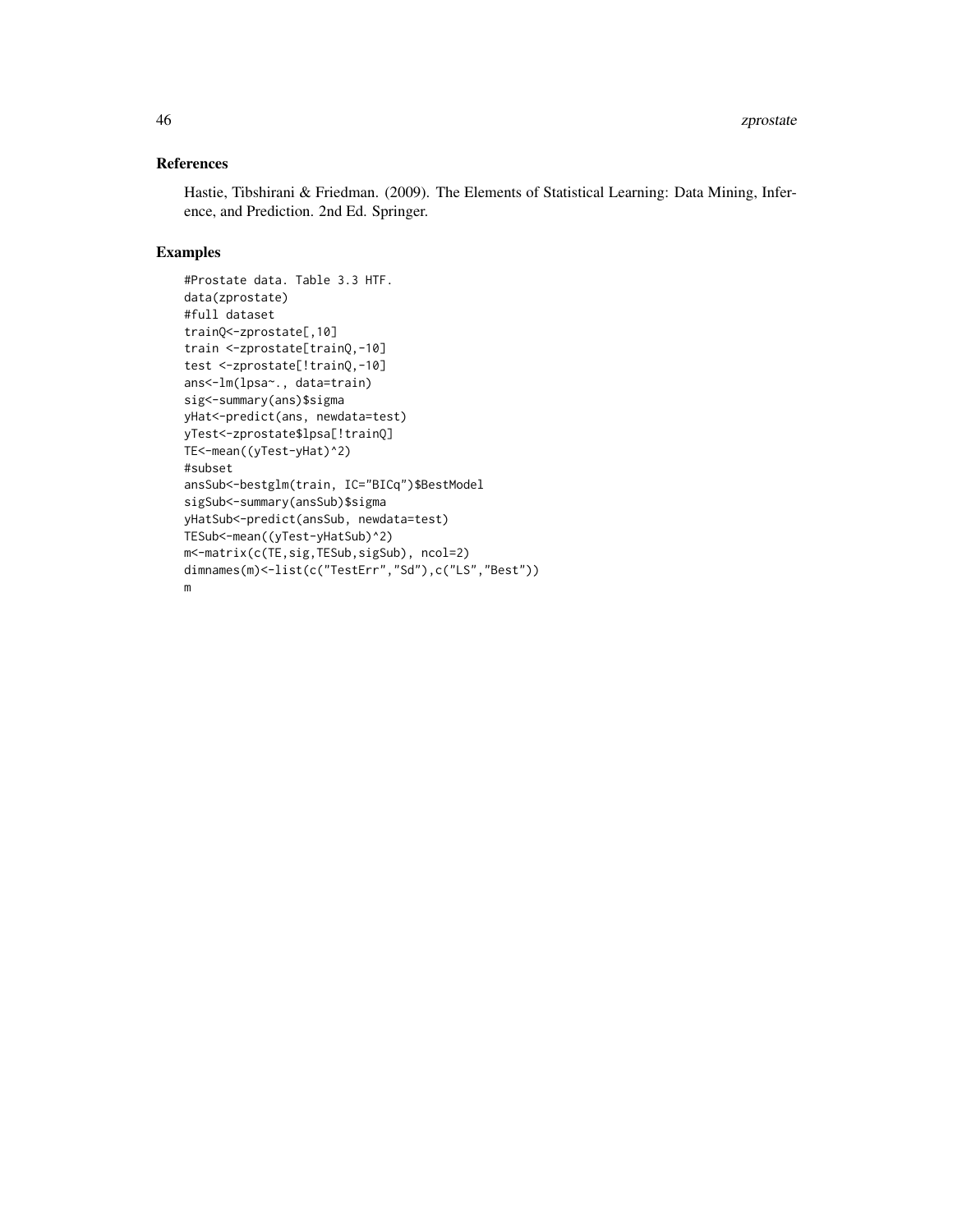# References

Hastie, Tibshirani & Friedman. (2009). The Elements of Statistical Learning: Data Mining, Inference, and Prediction. 2nd Ed. Springer.

```
#Prostate data. Table 3.3 HTF.
data(zprostate)
#full dataset
trainQ<-zprostate[,10]
train <-zprostate[trainQ,-10]
test <-zprostate[!trainQ,-10]
ans<-lm(lpsa~., data=train)
sig<-summary(ans)$sigma
yHat<-predict(ans, newdata=test)
yTest<-zprostate$lpsa[!trainQ]
TE<-mean((yTest-yHat)^2)
#subset
ansSub<-bestglm(train, IC="BICq")$BestModel
sigSub<-summary(ansSub)$sigma
yHatSub<-predict(ansSub, newdata=test)
TESub<-mean((yTest-yHatSub)^2)
m<-matrix(c(TE,sig,TESub,sigSub), ncol=2)
dimnames(m)<-list(c("TestErr","Sd"),c("LS","Best"))
m
```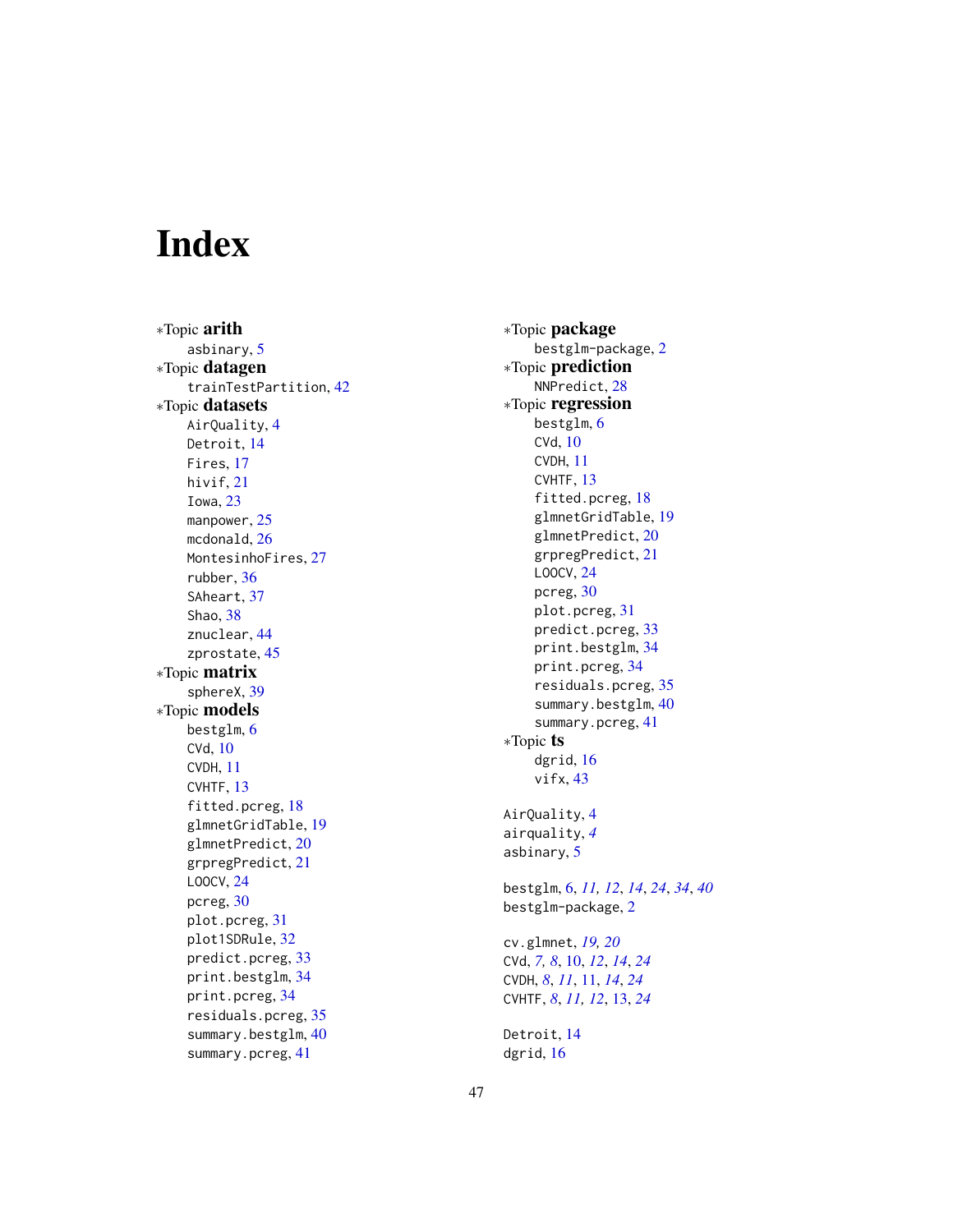# <span id="page-46-0"></span>Index

∗Topic arith asbinary , [5](#page-4-0) ∗Topic datagen trainTestPartition , [42](#page-41-0) ∗Topic datasets AirQuality , [4](#page-3-0) Detroit , [14](#page-13-0) Fires, [17](#page-16-0) hivif , [21](#page-20-0) Iowa , [23](#page-22-0) manpower, [25](#page-24-0) mcdonald, [26](#page-25-0) MontesinhoFires, [27](#page-26-0) rubber , [36](#page-35-0) SAheart, [37](#page-36-0) Shao , [38](#page-37-0) znuclear , [44](#page-43-0) zprostate , [45](#page-44-0) ∗Topic matrix sphereX , [39](#page-38-0) ∗Topic models bestglm, [6](#page-5-0) CVd , [10](#page-9-0) CVDH , [11](#page-10-0) CVHTF, [13](#page-12-0) fitted.pcreg, [18](#page-17-0) glmnetGridTable , [19](#page-18-0) glmnetPredict , [20](#page-19-0) grpregPredict , [21](#page-20-0) LOOCV , [24](#page-23-0) pcreg , [30](#page-29-0) plot.pcreg , [31](#page-30-0) plot1SDRule , [32](#page-31-0) predict.pcreg , [33](#page-32-0) print.bestglm , [34](#page-33-0) print.pcreg , [34](#page-33-0) residuals.pcreg , [35](#page-34-0) summary.bestglm , [40](#page-39-0) summary.pcreg , [41](#page-40-0)

∗Topic package bestglm-package , [2](#page-1-0) ∗Topic prediction NNPredict , [28](#page-27-0) ∗Topic regression bestglm, [6](#page-5-0) CVd , [10](#page-9-0) CVDH , [11](#page-10-0) CVHTF, [13](#page-12-0) fitted.pcreg, [18](#page-17-0) glmnetGridTable , [19](#page-18-0) glmnetPredict , [20](#page-19-0) grpregPredict , [21](#page-20-0) LOOCV , [24](#page-23-0) pcreg , [30](#page-29-0) plot.pcreg , [31](#page-30-0) predict.pcreg , [33](#page-32-0) print.bestglm , [34](#page-33-0) print.pcreg , [34](#page-33-0) residuals.pcreg , [35](#page-34-0) summary.bestglm, [40](#page-39-0) summary.pcreg, [41](#page-40-0) ∗Topic ts dgrid, [16](#page-15-0) vifx , [43](#page-42-0) AirQuality , [4](#page-3-0) airquality , *[4](#page-3-0)* asbinary , [5](#page-4-0) bestglm , [6](#page-5-0) , *[11](#page-10-0) , [12](#page-11-0)* , *[14](#page-13-0)* , *[24](#page-23-0)* , *[34](#page-33-0)* , *[40](#page-39-0)* bestglm-package , [2](#page-1-0) cv.glmnet , *[19](#page-18-0) , [20](#page-19-0)* CVd , *[7,](#page-6-0) [8](#page-7-0)* , [10](#page-9-0) , *[12](#page-11-0)* , *[14](#page-13-0)* , *[24](#page-23-0)* CVDH , *[8](#page-7-0)* , *[11](#page-10-0)* , [11](#page-10-0) , *[14](#page-13-0)* , *[24](#page-23-0)* CVHTF , *[8](#page-7-0)* , *[11](#page-10-0) , [12](#page-11-0)* , [13](#page-12-0) , *[24](#page-23-0)* Detroit , [14](#page-13-0) dgrid , [16](#page-15-0)